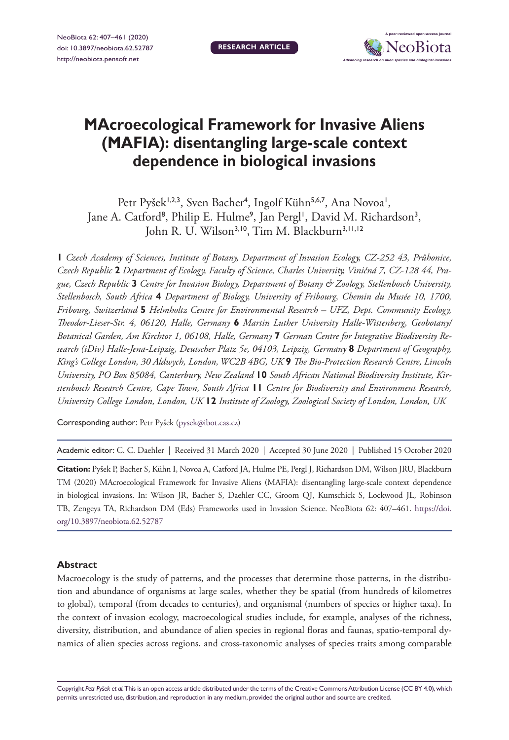

# **MAcroecological Framework for Invasive Aliens (MAFIA): disentangling large-scale context dependence in biological invasions**

Petr Pyšek<sup>1,2,3</sup>, Sven Bacher<sup>4</sup>, Ingolf Kühn<sup>5,6,7</sup>, Ana Novoa<sup>1</sup>, Jane A. Catford<sup>8</sup>, Philip E. Hulme<sup>9</sup>, Jan Pergl<sup>1</sup>, David M. Richardson<sup>3</sup>, John R. U. Wilson<sup>3,10</sup>, Tim M. Blackburn<sup>3,11,12</sup>

**1** *Czech Academy of Sciences, Institute of Botany, Department of Invasion Ecology, CZ-252 43, Průhonice, Czech Republic* **2** *Department of Ecology, Faculty of Science, Charles University, Viničná 7, CZ-128 44, Prague, Czech Republic* **3** *Centre for Invasion Biology, Department of Botany & Zoology, Stellenbosch University, Stellenbosch, South Africa* **4** *Department of Biology, University of Fribourg, Chemin du Musée 10, 1700, Fribourg, Switzerland* **5** *Helmholtz Centre for Environmental Research – UFZ, Dept. Community Ecology, Theodor-Lieser-Str. 4, 06120, Halle, Germany* **6** *Martin Luther University Halle-Wittenberg, Geobotany/ Botanical Garden, Am Kirchtor 1, 06108, Halle, Germany* **7** *German Centre for Integrative Biodiversity Research (iDiv) Halle-Jena-Leipzig, Deutscher Platz 5e, 04103, Leipzig, Germany* **8** *Department of Geography, King's College London, 30 Aldwych, London, WC2B 4BG, UK* **9** *The Bio-Protection Research Centre, Lincoln University, PO Box 85084, Canterbury, New Zealand* **10** *South African National Biodiversity Institute, Kirstenbosch Research Centre, Cape Town, South Africa* **11** *Centre for Biodiversity and Environment Research, University College London, London, UK* **12** *Institute of Zoology, Zoological Society of London, London, UK*

Corresponding author: Petr Pyšek [\(pysek@ibot.cas.cz\)](mailto:pysek@ibot.cas.cz)

Academic editor: C. C. Daehler | Received 31 March 2020 | Accepted 30 June 2020 | Published 15 October 2020

**Citation:** Pyšek P, Bacher S, Kühn I, Novoa A, Catford JA, Hulme PE, Pergl J, Richardson DM, Wilson JRU, Blackburn TM (2020) MAcroecological Framework for Invasive Aliens (MAFIA): disentangling large-scale context dependence in biological invasions. In: Wilson JR, Bacher S, Daehler CC, Groom QJ, Kumschick S, Lockwood JL, Robinson TB, Zengeya TA, Richardson DM (Eds) Frameworks used in Invasion Science. NeoBiota 62: 407–461. [https://doi.](https://doi.org/10.3897/neobiota.62.52787) [org/10.3897/neobiota.62.52787](https://doi.org/10.3897/neobiota.62.52787)

#### **Abstract**

Macroecology is the study of patterns, and the processes that determine those patterns, in the distribution and abundance of organisms at large scales, whether they be spatial (from hundreds of kilometres to global), temporal (from decades to centuries), and organismal (numbers of species or higher taxa). In the context of invasion ecology, macroecological studies include, for example, analyses of the richness, diversity, distribution, and abundance of alien species in regional floras and faunas, spatio-temporal dynamics of alien species across regions, and cross-taxonomic analyses of species traits among comparable

Copyright *Petr Pyšek et al.* This is an open access article distributed under the terms of the [Creative Commons Attribution License \(CC BY 4.0\)](http://creativecommons.org/licenses/by/4.0/), which permits unrestricted use, distribution, and reproduction in any medium, provided the original author and source are credited.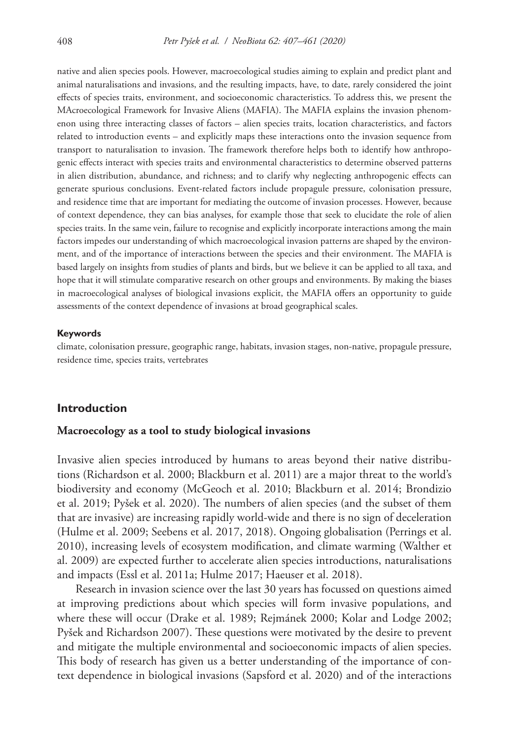native and alien species pools. However, macroecological studies aiming to explain and predict plant and animal naturalisations and invasions, and the resulting impacts, have, to date, rarely considered the joint effects of species traits, environment, and socioeconomic characteristics. To address this, we present the MAcroecological Framework for Invasive Aliens (MAFIA). The MAFIA explains the invasion phenomenon using three interacting classes of factors – alien species traits, location characteristics, and factors related to introduction events – and explicitly maps these interactions onto the invasion sequence from transport to naturalisation to invasion. The framework therefore helps both to identify how anthropogenic effects interact with species traits and environmental characteristics to determine observed patterns in alien distribution, abundance, and richness; and to clarify why neglecting anthropogenic effects can generate spurious conclusions. Event-related factors include propagule pressure, colonisation pressure, and residence time that are important for mediating the outcome of invasion processes. However, because of context dependence, they can bias analyses, for example those that seek to elucidate the role of alien species traits. In the same vein, failure to recognise and explicitly incorporate interactions among the main factors impedes our understanding of which macroecological invasion patterns are shaped by the environment, and of the importance of interactions between the species and their environment. The MAFIA is based largely on insights from studies of plants and birds, but we believe it can be applied to all taxa, and hope that it will stimulate comparative research on other groups and environments. By making the biases in macroecological analyses of biological invasions explicit, the MAFIA offers an opportunity to guide assessments of the context dependence of invasions at broad geographical scales.

#### **Keywords**

climate, colonisation pressure, geographic range, habitats, invasion stages, non-native, propagule pressure, residence time, species traits, vertebrates

#### **Introduction**

#### **Macroecology as a tool to study biological invasions**

Invasive alien species introduced by humans to areas beyond their native distributions (Richardson et al. 2000; Blackburn et al. 2011) are a major threat to the world's biodiversity and economy (McGeoch et al. 2010; Blackburn et al. 2014; Brondizio et al. 2019; Pyšek et al. 2020). The numbers of alien species (and the subset of them that are invasive) are increasing rapidly world-wide and there is no sign of deceleration (Hulme et al. 2009; Seebens et al. 2017, 2018). Ongoing globalisation (Perrings et al. 2010), increasing levels of ecosystem modification, and climate warming (Walther et al. 2009) are expected further to accelerate alien species introductions, naturalisations and impacts (Essl et al. 2011a; Hulme 2017; Haeuser et al. 2018).

Research in invasion science over the last 30 years has focussed on questions aimed at improving predictions about which species will form invasive populations, and where these will occur (Drake et al. 1989; Rejmánek 2000; Kolar and Lodge 2002; Pyšek and Richardson 2007). These questions were motivated by the desire to prevent and mitigate the multiple environmental and socioeconomic impacts of alien species. This body of research has given us a better understanding of the importance of context dependence in biological invasions (Sapsford et al. 2020) and of the interactions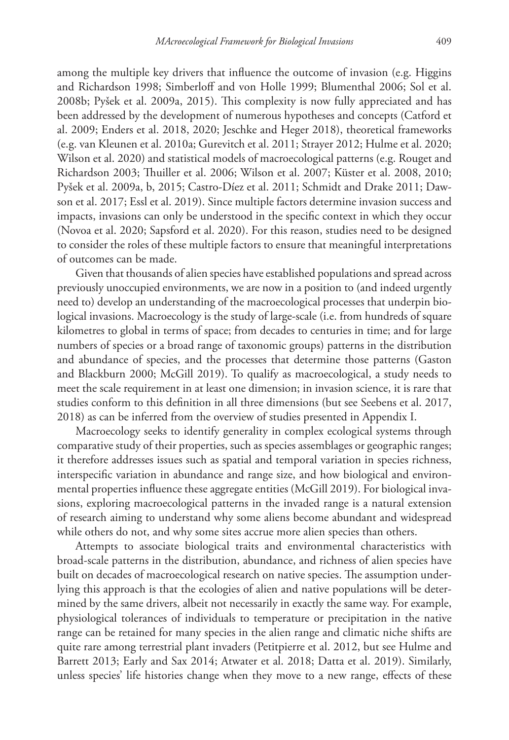among the multiple key drivers that influence the outcome of invasion (e.g. Higgins and Richardson 1998; Simberloff and von Holle 1999; Blumenthal 2006; Sol et al. 2008b; Pyšek et al. 2009a, 2015). This complexity is now fully appreciated and has been addressed by the development of numerous hypotheses and concepts (Catford et al. 2009; Enders et al. 2018, 2020; Jeschke and Heger 2018), theoretical frameworks (e.g. van Kleunen et al. 2010a; Gurevitch et al. 2011; Strayer 2012; Hulme et al. 2020; Wilson et al. 2020) and statistical models of macroecological patterns (e.g. Rouget and Richardson 2003; Thuiller et al. 2006; Wilson et al. 2007; Küster et al. 2008, 2010; Pyšek et al. 2009a, b, 2015; Castro-Díez et al. 2011; Schmidt and Drake 2011; Dawson et al. 2017; Essl et al. 2019). Since multiple factors determine invasion success and impacts, invasions can only be understood in the specific context in which they occur (Novoa et al. 2020; Sapsford et al. 2020). For this reason, studies need to be designed to consider the roles of these multiple factors to ensure that meaningful interpretations of outcomes can be made.

Given that thousands of alien species have established populations and spread across previously unoccupied environments, we are now in a position to (and indeed urgently need to) develop an understanding of the macroecological processes that underpin biological invasions. Macroecology is the study of large-scale (i.e. from hundreds of square kilometres to global in terms of space; from decades to centuries in time; and for large numbers of species or a broad range of taxonomic groups) patterns in the distribution and abundance of species, and the processes that determine those patterns (Gaston and Blackburn 2000; McGill 2019). To qualify as macroecological, a study needs to meet the scale requirement in at least one dimension; in invasion science, it is rare that studies conform to this definition in all three dimensions (but see Seebens et al. 2017, 2018) as can be inferred from the overview of studies presented in Appendix I.

Macroecology seeks to identify generality in complex ecological systems through comparative study of their properties, such as species assemblages or geographic ranges; it therefore addresses issues such as spatial and temporal variation in species richness, interspecific variation in abundance and range size, and how biological and environmental properties influence these aggregate entities (McGill 2019). For biological invasions, exploring macroecological patterns in the invaded range is a natural extension of research aiming to understand why some aliens become abundant and widespread while others do not, and why some sites accrue more alien species than others.

Attempts to associate biological traits and environmental characteristics with broad-scale patterns in the distribution, abundance, and richness of alien species have built on decades of macroecological research on native species. The assumption underlying this approach is that the ecologies of alien and native populations will be determined by the same drivers, albeit not necessarily in exactly the same way. For example, physiological tolerances of individuals to temperature or precipitation in the native range can be retained for many species in the alien range and climatic niche shifts are quite rare among terrestrial plant invaders (Petitpierre et al. 2012, but see Hulme and Barrett 2013; Early and Sax 2014; Atwater et al. 2018; Datta et al. 2019). Similarly, unless species' life histories change when they move to a new range, effects of these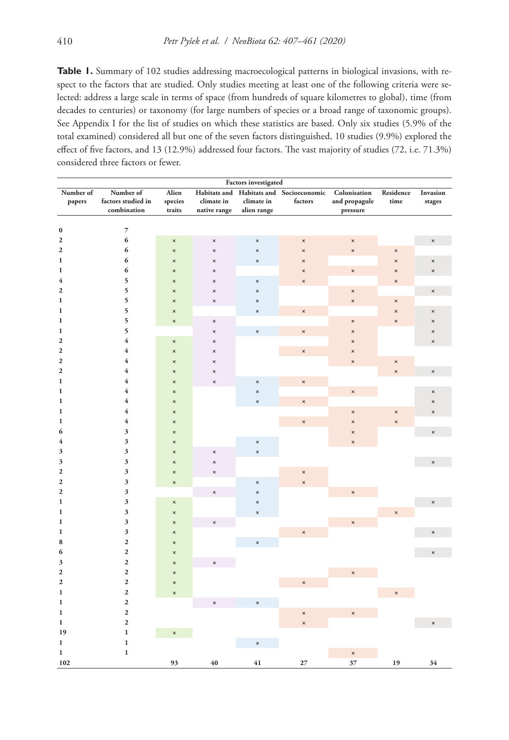**Table 1.** Summary of 102 studies addressing macroecological patterns in biological invasions, with respect to the factors that are studied. Only studies meeting at least one of the following criteria were selected: address a large scale in terms of space (from hundreds of square kilometres to global), time (from decades to centuries) or taxonomy (for large numbers of species or a broad range of taxonomic groups). See Appendix I for the list of studies on which these statistics are based. Only six studies (5.9% of the total examined) considered all but one of the seven factors distinguished, 10 studies (9.9%) explored the effect of five factors, and 13 (12.9%) addressed four factors. The vast majority of studies (72, i.e. 71.3%) considered three factors or fewer.

|                  |                    |                       |                           | <b>Factors investigated</b> |                                         |                           |                           |                           |
|------------------|--------------------|-----------------------|---------------------------|-----------------------------|-----------------------------------------|---------------------------|---------------------------|---------------------------|
| Number of        | Number of          | Alien                 |                           |                             | Habitats and Habitats and Socioeconomic | Colonisation              | Residence                 | Invasion                  |
| papers           | factors studied in | species               | climate in                | climate in                  | factors                                 | and propagule             | time                      | stages                    |
|                  | combination        | traits                | native range              | alien range                 |                                         | pressure                  |                           |                           |
|                  |                    |                       |                           |                             |                                         |                           |                           |                           |
| $\pmb{0}$        | $\overline{7}$     |                       |                           |                             |                                         |                           |                           |                           |
| $\mathbf{2}$     | 6                  | $\pmb{\times}$        | $\pmb{\times}$            | $\pmb{\times}$              | $\boldsymbol{\mathsf{x}}$               | $\pmb{\times}$            |                           | $\pmb{\times}$            |
| $\boldsymbol{2}$ | 6                  | $\times$              | $\pmb{\times}$            | $\boldsymbol{\mathsf{x}}$   | $\boldsymbol{\mathsf{x}}$               | $\boldsymbol{\times}$     | $\boldsymbol{\times}$     |                           |
| 1                | 6                  | $\pmb{\times}$        | $\pmb{\times}$            | $\boldsymbol{\times}$       | $\boldsymbol{\times}$                   |                           | $\boldsymbol{\mathsf{x}}$ | $\times$                  |
| $\mathbf 1$      | 6                  | ×                     | $\boldsymbol{\mathsf{x}}$ |                             | ×                                       | $\times$                  | $\boldsymbol{\mathsf{x}}$ | ×                         |
| 4                | 5                  | ×                     | $\boldsymbol{\times}$     | ×                           | ×                                       |                           | $\boldsymbol{\times}$     |                           |
| $\boldsymbol{2}$ | 5                  | $\times$              | $\times$                  | $\pmb{\times}$              |                                         | $\boldsymbol{\times}$     |                           | $\boldsymbol{\times}$     |
| 1                | 5                  | $\times$              | $\pmb{\times}$            | $\pmb{\times}$              |                                         | ×                         | $\pmb{\times}$            |                           |
| 1                | 5                  | $\pmb{\times}$        |                           | $\pmb{\times}$              | $\boldsymbol{\times}$                   |                           | $\boldsymbol{\mathsf{x}}$ | $\boldsymbol{\times}$     |
| 1                | 5                  | $\pmb{\times}$        | $\pmb{\times}$            |                             |                                         | $\times$                  | $\boldsymbol{\times}$     | $\boldsymbol{\mathsf{x}}$ |
| $\mathbf 1$      | 5                  |                       | $\pmb{\times}$            | $\pmb{\times}$              | $\pmb{\times}$                          | $\boldsymbol{\mathsf{x}}$ |                           | ×                         |
| $\boldsymbol{2}$ | $\overline{4}$     | $\pmb{\times}$        | $\boldsymbol{\mathsf{x}}$ |                             |                                         | $\boldsymbol{\times}$     |                           | $\pmb{\times}$            |
| $\mathbf 2$      | $\overline{4}$     | $\pmb{\times}$        | $\boldsymbol{\mathsf{x}}$ |                             | $\boldsymbol{\times}$                   | $\boldsymbol{\times}$     |                           |                           |
| $\boldsymbol{2}$ | $\overline{4}$     | $\boldsymbol{\times}$ | $\boldsymbol{\mathsf{x}}$ |                             |                                         | $\boldsymbol{\times}$     | $\times$                  |                           |
| $\mathbf{2}$     | $\overline{4}$     | $\times$              | $\pmb{\times}$            |                             |                                         |                           | $\boldsymbol{\mathsf{x}}$ | $\times$                  |
| $\mathbf{1}$     | $\overline{4}$     | $\times$              | $\pmb{\times}$            | $\pmb{\times}$              | $\boldsymbol{\mathsf{x}}$               |                           |                           |                           |
| $\mathbf 1$      | $\overline{4}$     | ×                     |                           | ×                           |                                         | $\boldsymbol{\times}$     |                           | $\boldsymbol{\mathsf{x}}$ |
| $\mathbf 1$      | $\overline{4}$     | $\pmb{\times}$        |                           | $\pmb{\times}$              | $\times$                                |                           |                           | $\times$                  |
| $\mathbf 1$      | $\overline{4}$     | $\pmb{\times}$        |                           |                             |                                         | ×                         | $\boldsymbol{\times}$     | $\times$                  |
| $\mathbf{1}$     | $\overline{4}$     | $\times$              |                           |                             | $\pmb{\times}$                          | $\boldsymbol{\times}$     | $\boldsymbol{\times}$     |                           |
| 6                | 3                  | $\pmb{\times}$        |                           |                             |                                         | $\pmb{\times}$            |                           | $\times$                  |
| 4                | $\mathfrak z$      | $\pmb{\times}$        |                           | $\pmb{\times}$              |                                         | $\boldsymbol{\times}$     |                           |                           |
| 3                | $\mathfrak z$      | ×                     | $\times$                  | ×                           |                                         |                           |                           |                           |
| 3                | 3                  | $\pmb{\times}$        | $\times$                  |                             |                                         |                           |                           | $\times$                  |
| $\mathbf 2$      | 3                  | $\pmb{\times}$        | $\times$                  |                             | $\pmb{\times}$                          |                           |                           |                           |
| $\mathbf 2$      | $\mathfrak z$      | $\pmb{\times}$        |                           | $\boldsymbol{\times}$       | $\times$                                |                           |                           |                           |
| $\mathbf{2}$     | 3                  |                       | $\boldsymbol{\times}$     | $\boldsymbol{\times}$       |                                         | $\times$                  |                           |                           |
| $\mathbf 1$      | 3                  | $\pmb{\times}$        |                           | $\boldsymbol{\times}$       |                                         |                           |                           | $\times$                  |
| $\mathbf 1$      | $\mathfrak z$      | ×                     |                           | ×                           |                                         |                           | $\boldsymbol{\mathsf{x}}$ |                           |
| $\mathbf 1$      | 3                  | $\pmb{\times}$        | $\pmb{\times}$            |                             |                                         | ×                         |                           |                           |
| $\mathbf 1$      | 3                  | $\times$              |                           |                             | $\times$                                |                           |                           | ×                         |
| 8                | $\mathbf 2$        | $\times$              |                           | $\boldsymbol{\mathsf{x}}$   |                                         |                           |                           |                           |
| 6                | $\mathbf{2}$       | $\pmb{\times}$        |                           |                             |                                         |                           |                           | $\times$                  |
| 3                | $\mathbf{2}$       | $\pmb{\times}$        | $\times$                  |                             |                                         |                           |                           |                           |
| 2                | $\mathbf{2}$       | ×                     |                           |                             |                                         | $\times$                  |                           |                           |
| $\mathbf 2$      | $\mathbf{2}$       | $\pmb{\times}$        |                           |                             | $\times$                                |                           |                           |                           |
| $\mathbf 1$      | $\mathbf{2}$       | $\pmb{\times}$        |                           |                             |                                         |                           | $\boldsymbol{\times}$     |                           |
| 1                | $\mathbf{2}$       |                       | $\boldsymbol{\times}$     | $\boldsymbol{\times}$       |                                         |                           |                           |                           |
| 1                | $\mathbf{2}$       |                       |                           |                             | ×                                       | $\boldsymbol{\mathsf{x}}$ |                           |                           |
| $\mathbf{1}$     | $\mathbf{2}$       |                       |                           |                             | $\times$                                |                           |                           | $\times$                  |
| 19               | $\mathbf 1$        | $\pmb{\times}$        |                           |                             |                                         |                           |                           |                           |
| $\mathbf{1}$     | $\mathbf 1$        |                       |                           | $\pmb{\times}$              |                                         |                           |                           |                           |
| $\mathbf{1}$     | $\mathbf 1$        |                       |                           |                             |                                         |                           |                           |                           |
| 102              |                    | 93                    | 40                        | 41                          | 27                                      | ×<br>37                   | 19                        | 34                        |
|                  |                    |                       |                           |                             |                                         |                           |                           |                           |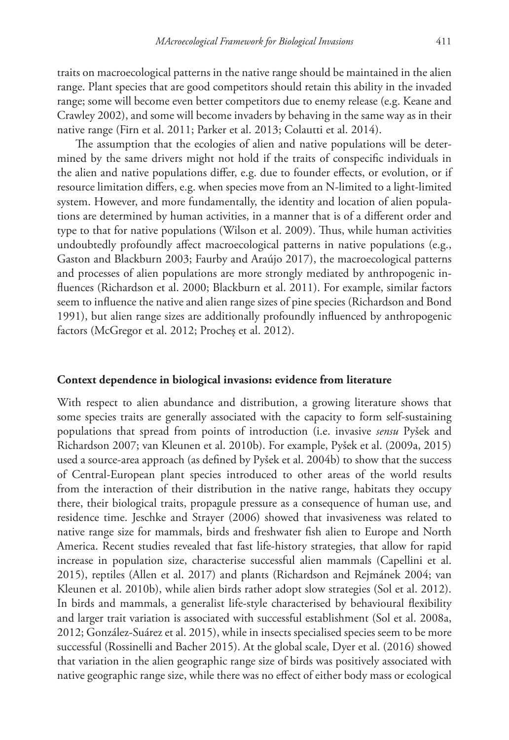traits on macroecological patterns in the native range should be maintained in the alien range. Plant species that are good competitors should retain this ability in the invaded range; some will become even better competitors due to enemy release (e.g. Keane and Crawley 2002), and some will become invaders by behaving in the same way as in their native range (Firn et al. 2011; Parker et al. 2013; Colautti et al. 2014).

The assumption that the ecologies of alien and native populations will be determined by the same drivers might not hold if the traits of conspecific individuals in the alien and native populations differ, e.g. due to founder effects, or evolution, or if resource limitation differs, e.g. when species move from an N-limited to a light-limited system. However, and more fundamentally, the identity and location of alien populations are determined by human activities, in a manner that is of a different order and type to that for native populations (Wilson et al. 2009). Thus, while human activities undoubtedly profoundly affect macroecological patterns in native populations (e.g., Gaston and Blackburn 2003; Faurby and Araújo 2017), the macroecological patterns and processes of alien populations are more strongly mediated by anthropogenic influences (Richardson et al. 2000; Blackburn et al. 2011). For example, similar factors seem to influence the native and alien range sizes of pine species (Richardson and Bond 1991), but alien range sizes are additionally profoundly influenced by anthropogenic factors (McGregor et al. 2012; Procheş et al. 2012).

#### **Context dependence in biological invasions: evidence from literature**

With respect to alien abundance and distribution, a growing literature shows that some species traits are generally associated with the capacity to form self-sustaining populations that spread from points of introduction (i.e. invasive *sensu* Pyšek and Richardson 2007; van Kleunen et al. 2010b). For example, Pyšek et al. (2009a, 2015) used a source-area approach (as defined by Pyšek et al. 2004b) to show that the success of Central-European plant species introduced to other areas of the world results from the interaction of their distribution in the native range, habitats they occupy there, their biological traits, propagule pressure as a consequence of human use, and residence time. Jeschke and Strayer (2006) showed that invasiveness was related to native range size for mammals, birds and freshwater fish alien to Europe and North America. Recent studies revealed that fast life-history strategies, that allow for rapid increase in population size, characterise successful alien mammals (Capellini et al. 2015), reptiles (Allen et al. 2017) and plants (Richardson and Rejmánek 2004; van Kleunen et al. 2010b), while alien birds rather adopt slow strategies (Sol et al. 2012). In birds and mammals, a generalist life-style characterised by behavioural flexibility and larger trait variation is associated with successful establishment (Sol et al. 2008a, 2012; González-Suárez et al. 2015), while in insects specialised species seem to be more successful (Rossinelli and Bacher 2015). At the global scale, Dyer et al. (2016) showed that variation in the alien geographic range size of birds was positively associated with native geographic range size, while there was no effect of either body mass or ecological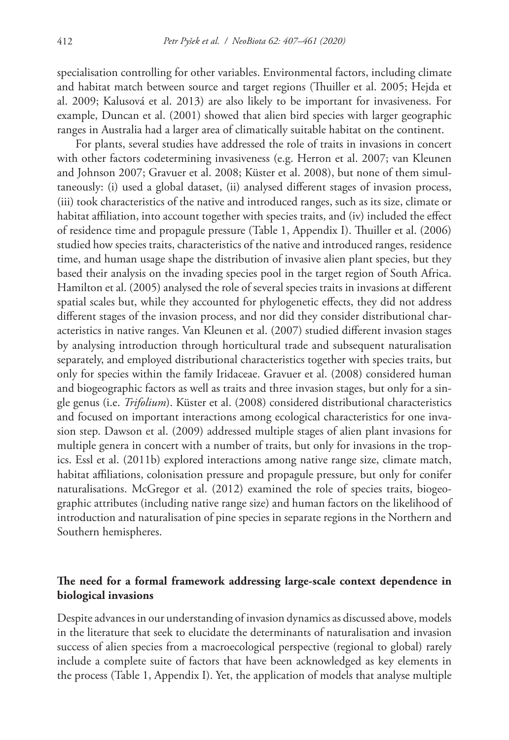specialisation controlling for other variables. Environmental factors, including climate and habitat match between source and target regions (Thuiller et al. 2005; Hejda et al. 2009; Kalusová et al. 2013) are also likely to be important for invasiveness. For example, Duncan et al. (2001) showed that alien bird species with larger geographic ranges in Australia had a larger area of climatically suitable habitat on the continent.

For plants, several studies have addressed the role of traits in invasions in concert with other factors codetermining invasiveness (e.g. Herron et al. 2007; van Kleunen and Johnson 2007; Gravuer et al. 2008; Küster et al. 2008), but none of them simultaneously: (i) used a global dataset, (ii) analysed different stages of invasion process, (iii) took characteristics of the native and introduced ranges, such as its size, climate or habitat affiliation, into account together with species traits, and (iv) included the effect of residence time and propagule pressure (Table 1, Appendix I). Thuiller et al. (2006) studied how species traits, characteristics of the native and introduced ranges, residence time, and human usage shape the distribution of invasive alien plant species, but they based their analysis on the invading species pool in the target region of South Africa. Hamilton et al. (2005) analysed the role of several species traits in invasions at different spatial scales but, while they accounted for phylogenetic effects, they did not address different stages of the invasion process, and nor did they consider distributional characteristics in native ranges. Van Kleunen et al. (2007) studied different invasion stages by analysing introduction through horticultural trade and subsequent naturalisation separately, and employed distributional characteristics together with species traits, but only for species within the family Iridaceae. Gravuer et al. (2008) considered human and biogeographic factors as well as traits and three invasion stages, but only for a single genus (i.e. *Trifolium*). Küster et al. (2008) considered distributional characteristics and focused on important interactions among ecological characteristics for one invasion step. Dawson et al. (2009) addressed multiple stages of alien plant invasions for multiple genera in concert with a number of traits, but only for invasions in the tropics. Essl et al. (2011b) explored interactions among native range size, climate match, habitat affiliations, colonisation pressure and propagule pressure, but only for conifer naturalisations. McGregor et al. (2012) examined the role of species traits, biogeographic attributes (including native range size) and human factors on the likelihood of introduction and naturalisation of pine species in separate regions in the Northern and Southern hemispheres.

## **The need for a formal framework addressing large-scale context dependence in biological invasions**

Despite advances in our understanding of invasion dynamics as discussed above, models in the literature that seek to elucidate the determinants of naturalisation and invasion success of alien species from a macroecological perspective (regional to global) rarely include a complete suite of factors that have been acknowledged as key elements in the process (Table 1, Appendix I). Yet, the application of models that analyse multiple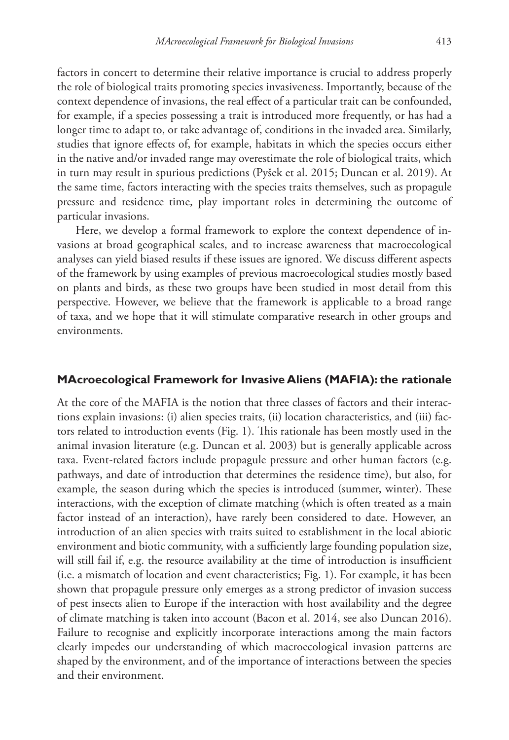factors in concert to determine their relative importance is crucial to address properly the role of biological traits promoting species invasiveness. Importantly, because of the context dependence of invasions, the real effect of a particular trait can be confounded, for example, if a species possessing a trait is introduced more frequently, or has had a longer time to adapt to, or take advantage of, conditions in the invaded area. Similarly, studies that ignore effects of, for example, habitats in which the species occurs either in the native and/or invaded range may overestimate the role of biological traits, which in turn may result in spurious predictions (Pyšek et al. 2015; Duncan et al. 2019). At the same time, factors interacting with the species traits themselves, such as propagule pressure and residence time, play important roles in determining the outcome of particular invasions.

Here, we develop a formal framework to explore the context dependence of invasions at broad geographical scales, and to increase awareness that macroecological analyses can yield biased results if these issues are ignored. We discuss different aspects of the framework by using examples of previous macroecological studies mostly based on plants and birds, as these two groups have been studied in most detail from this perspective. However, we believe that the framework is applicable to a broad range of taxa, and we hope that it will stimulate comparative research in other groups and environments.

#### **MAcroecological Framework for Invasive Aliens (MAFIA): the rationale**

At the core of the MAFIA is the notion that three classes of factors and their interactions explain invasions: (i) alien species traits, (ii) location characteristics, and (iii) factors related to introduction events (Fig. 1). This rationale has been mostly used in the animal invasion literature (e.g. Duncan et al. 2003) but is generally applicable across taxa. Event-related factors include propagule pressure and other human factors (e.g. pathways, and date of introduction that determines the residence time), but also, for example, the season during which the species is introduced (summer, winter). These interactions, with the exception of climate matching (which is often treated as a main factor instead of an interaction), have rarely been considered to date. However, an introduction of an alien species with traits suited to establishment in the local abiotic environment and biotic community, with a sufficiently large founding population size, will still fail if, e.g. the resource availability at the time of introduction is insufficient (i.e. a mismatch of location and event characteristics; Fig. 1). For example, it has been shown that propagule pressure only emerges as a strong predictor of invasion success of pest insects alien to Europe if the interaction with host availability and the degree of climate matching is taken into account (Bacon et al. 2014, see also Duncan 2016). Failure to recognise and explicitly incorporate interactions among the main factors clearly impedes our understanding of which macroecological invasion patterns are shaped by the environment, and of the importance of interactions between the species and their environment.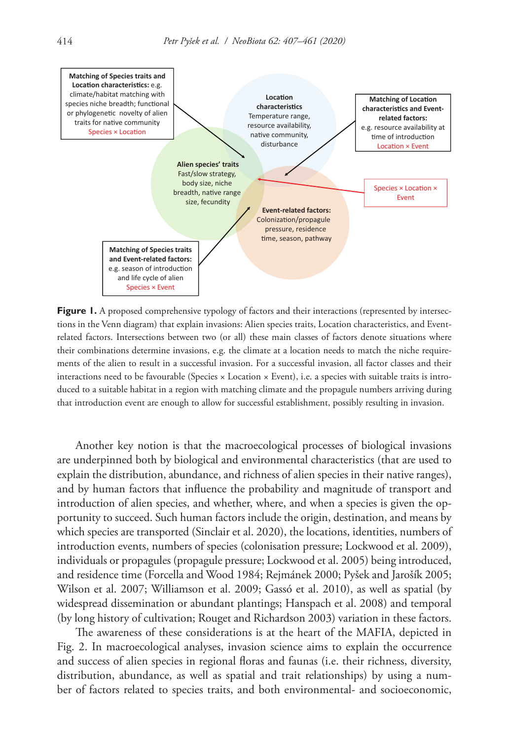

**Figure 1.** A proposed comprehensive typology of factors and their interactions (represented by intersections in the Venn diagram) that explain invasions: Alien species traits, Location characteristics, and Eventrelated factors. Intersections between two (or all) these main classes of factors denote situations where their combinations determine invasions, e.g. the climate at a location needs to match the niche requirements of the alien to result in a successful invasion. For a successful invasion, all factor classes and their interactions need to be favourable (Species × Location × Event), i.e. a species with suitable traits is introduced to a suitable habitat in a region with matching climate and the propagule numbers arriving during that introduction event are enough to allow for successful establishment, possibly resulting in invasion.

Another key notion is that the macroecological processes of biological invasions are underpinned both by biological and environmental characteristics (that are used to explain the distribution, abundance, and richness of alien species in their native ranges), and by human factors that influence the probability and magnitude of transport and introduction of alien species, and whether, where, and when a species is given the opportunity to succeed. Such human factors include the origin, destination, and means by which species are transported (Sinclair et al. 2020), the locations, identities, numbers of introduction events, numbers of species (colonisation pressure; Lockwood et al. 2009), individuals or propagules (propagule pressure; Lockwood et al. 2005) being introduced, and residence time (Forcella and Wood 1984; Rejmánek 2000; Pyšek and Jarošík 2005; Wilson et al. 2007; Williamson et al. 2009; Gassó et al. 2010), as well as spatial (by widespread dissemination or abundant plantings; Hanspach et al. 2008) and temporal (by long history of cultivation; Rouget and Richardson 2003) variation in these factors.

The awareness of these considerations is at the heart of the MAFIA, depicted in Fig. 2. In macroecological analyses, invasion science aims to explain the occurrence and success of alien species in regional floras and faunas (i.e. their richness, diversity, distribution, abundance, as well as spatial and trait relationships) by using a number of factors related to species traits, and both environmental- and socioeconomic,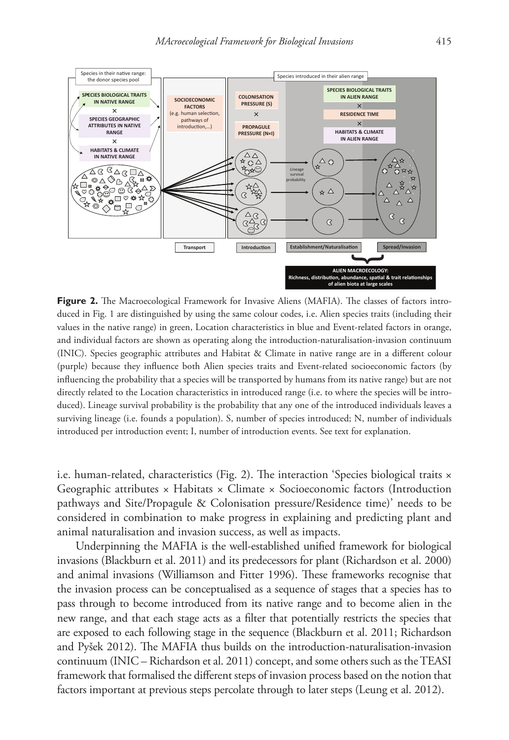

Figure 2. The Macroecological Framework for Invasive Aliens (MAFIA). The classes of factors introduced in Fig. 1 are distinguished by using the same colour codes, i.e. Alien species traits (including their values in the native range) in green, Location characteristics in blue and Event-related factors in orange, and individual factors are shown as operating along the introduction-naturalisation-invasion continuum (INIC). Species geographic attributes and Habitat & Climate in native range are in a different colour (purple) because they influence both Alien species traits and Event-related socioeconomic factors (by influencing the probability that a species will be transported by humans from its native range) but are not directly related to the Location characteristics in introduced range (i.e. to where the species will be introduced). Lineage survival probability is the probability that any one of the introduced individuals leaves a surviving lineage (i.e. founds a population). S, number of species introduced; N, number of individuals introduced per introduction event; I, number of introduction events. See text for explanation.

i.e. human-related, characteristics (Fig. 2). The interaction 'Species biological traits × Geographic attributes × Habitats × Climate × Socioeconomic factors (Introduction pathways and Site/Propagule & Colonisation pressure/Residence time)' needs to be considered in combination to make progress in explaining and predicting plant and animal naturalisation and invasion success, as well as impacts.

Underpinning the MAFIA is the well-established unified framework for biological invasions (Blackburn et al. 2011) and its predecessors for plant (Richardson et al. 2000) and animal invasions (Williamson and Fitter 1996). These frameworks recognise that the invasion process can be conceptualised as a sequence of stages that a species has to pass through to become introduced from its native range and to become alien in the new range, and that each stage acts as a filter that potentially restricts the species that are exposed to each following stage in the sequence (Blackburn et al. 2011; Richardson and Pyšek 2012). The MAFIA thus builds on the introduction-naturalisation-invasion continuum (INIC – Richardson et al. 2011) concept, and some others such as the TEASI framework that formalised the different steps of invasion process based on the notion that factors important at previous steps percolate through to later steps (Leung et al. 2012).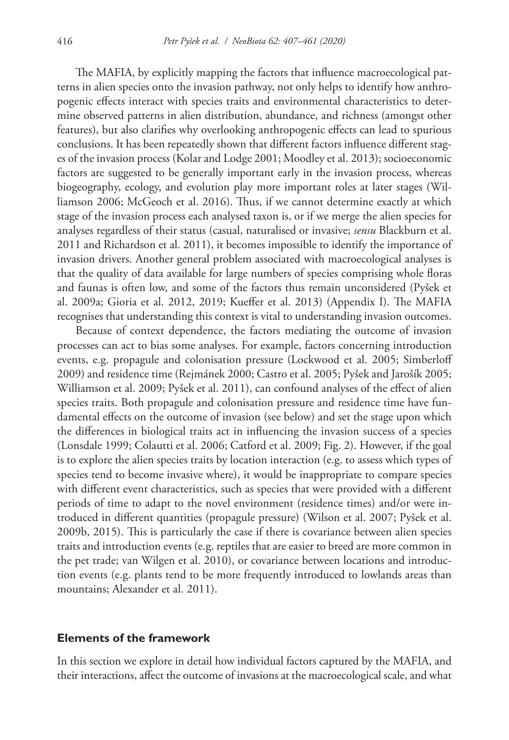The MAFIA, by explicitly mapping the factors that influence macroecological patterns in alien species onto the invasion pathway, not only helps to identify how anthropogenic effects interact with species traits and environmental characteristics to determine observed patterns in alien distribution, abundance, and richness (amongst other features), but also clarifies why overlooking anthropogenic effects can lead to spurious conclusions. It has been repeatedly shown that different factors influence different stages of the invasion process (Kolar and Lodge 2001; Moodley et al. 2013); socioeconomic factors are suggested to be generally important early in the invasion process, whereas biogeography, ecology, and evolution play more important roles at later stages (Williamson 2006; McGeoch et al. 2016). Thus, if we cannot determine exactly at which stage of the invasion process each analysed taxon is, or if we merge the alien species for analyses regardless of their status (casual, naturalised or invasive; *sensu* Blackburn et al. 2011 and Richardson et al. 2011), it becomes impossible to identify the importance of invasion drivers. Another general problem associated with macroecological analyses is that the quality of data available for large numbers of species comprising whole floras and faunas is often low, and some of the factors thus remain unconsidered (Pyšek et al. 2009a; Gioria et al. 2012, 2019; Kueffer et al. 2013) (Appendix I). The MAFIA recognises that understanding this context is vital to understanding invasion outcomes.

Because of context dependence, the factors mediating the outcome of invasion processes can act to bias some analyses. For example, factors concerning introduction events, e.g. propagule and colonisation pressure (Lockwood et al. 2005; Simberloff 2009) and residence time (Rejmánek 2000; Castro et al. 2005; Pyšek and Jarošík 2005; Williamson et al. 2009; Pyšek et al. 2011), can confound analyses of the effect of alien species traits. Both propagule and colonisation pressure and residence time have fundamental effects on the outcome of invasion (see below) and set the stage upon which the differences in biological traits act in influencing the invasion success of a species (Lonsdale 1999; Colautti et al. 2006; Catford et al. 2009; Fig. 2). However, if the goal is to explore the alien species traits by location interaction (e.g. to assess which types of species tend to become invasive where), it would be inappropriate to compare species with different event characteristics, such as species that were provided with a different periods of time to adapt to the novel environment (residence times) and/or were introduced in different quantities (propagule pressure) (Wilson et al. 2007; Pyšek et al. 2009b, 2015). This is particularly the case if there is covariance between alien species traits and introduction events (e.g. reptiles that are easier to breed are more common in the pet trade; van Wilgen et al. 2010), or covariance between locations and introduction events (e.g. plants tend to be more frequently introduced to lowlands areas than mountains; Alexander et al. 2011).

#### **Elements of the framework**

In this section we explore in detail how individual factors captured by the MAFIA, and their interactions, affect the outcome of invasions at the macroecological scale, and what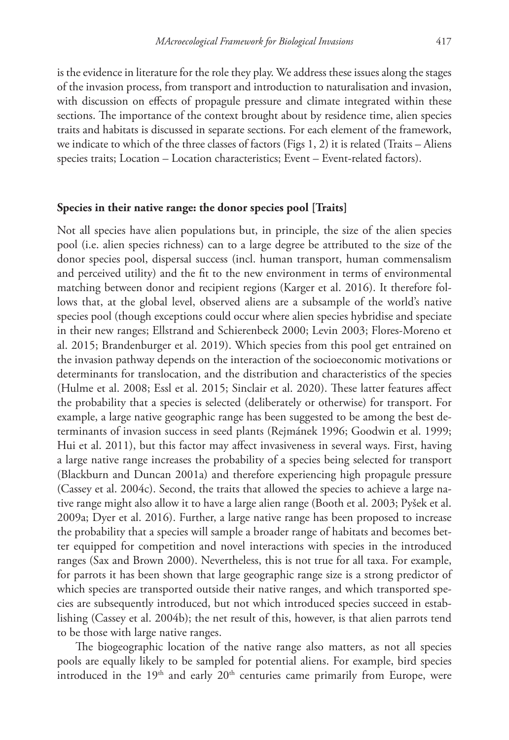is the evidence in literature for the role they play. We address these issues along the stages of the invasion process, from transport and introduction to naturalisation and invasion, with discussion on effects of propagule pressure and climate integrated within these sections. The importance of the context brought about by residence time, alien species traits and habitats is discussed in separate sections. For each element of the framework, we indicate to which of the three classes of factors (Figs 1, 2) it is related (Traits – Aliens species traits; Location – Location characteristics; Event – Event-related factors).

#### **Species in their native range: the donor species pool [Traits]**

Not all species have alien populations but, in principle, the size of the alien species pool (i.e. alien species richness) can to a large degree be attributed to the size of the donor species pool, dispersal success (incl. human transport, human commensalism and perceived utility) and the fit to the new environment in terms of environmental matching between donor and recipient regions (Karger et al. 2016). It therefore follows that, at the global level, observed aliens are a subsample of the world's native species pool (though exceptions could occur where alien species hybridise and speciate in their new ranges; Ellstrand and Schierenbeck 2000; Levin 2003; Flores-Moreno et al. 2015; Brandenburger et al. 2019). Which species from this pool get entrained on the invasion pathway depends on the interaction of the socioeconomic motivations or determinants for translocation, and the distribution and characteristics of the species (Hulme et al. 2008; Essl et al. 2015; Sinclair et al. 2020). These latter features affect the probability that a species is selected (deliberately or otherwise) for transport. For example, a large native geographic range has been suggested to be among the best determinants of invasion success in seed plants (Rejmánek 1996; Goodwin et al. 1999; Hui et al. 2011), but this factor may affect invasiveness in several ways. First, having a large native range increases the probability of a species being selected for transport (Blackburn and Duncan 2001a) and therefore experiencing high propagule pressure (Cassey et al. 2004c). Second, the traits that allowed the species to achieve a large native range might also allow it to have a large alien range (Booth et al. 2003; Pyšek et al. 2009a; Dyer et al. 2016). Further, a large native range has been proposed to increase the probability that a species will sample a broader range of habitats and becomes better equipped for competition and novel interactions with species in the introduced ranges (Sax and Brown 2000). Nevertheless, this is not true for all taxa. For example, for parrots it has been shown that large geographic range size is a strong predictor of which species are transported outside their native ranges, and which transported species are subsequently introduced, but not which introduced species succeed in establishing (Cassey et al. 2004b); the net result of this, however, is that alien parrots tend to be those with large native ranges.

The biogeographic location of the native range also matters, as not all species pools are equally likely to be sampled for potential aliens. For example, bird species introduced in the 19<sup>th</sup> and early 20<sup>th</sup> centuries came primarily from Europe, were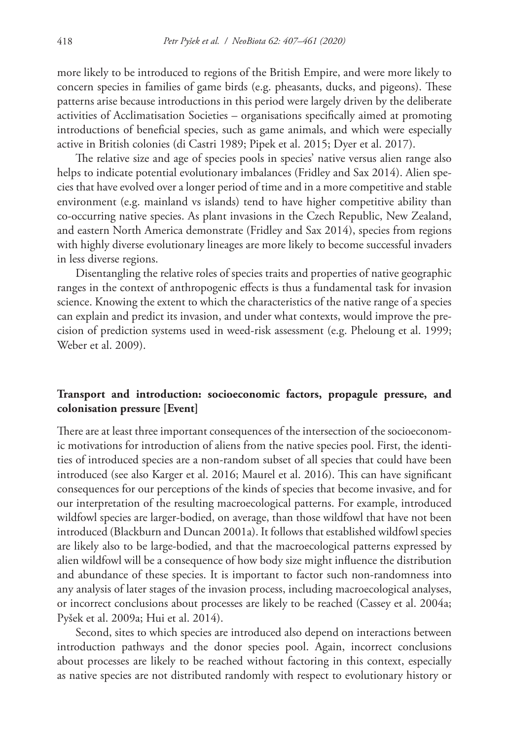more likely to be introduced to regions of the British Empire, and were more likely to concern species in families of game birds (e.g. pheasants, ducks, and pigeons). These patterns arise because introductions in this period were largely driven by the deliberate activities of Acclimatisation Societies – organisations specifically aimed at promoting introductions of beneficial species, such as game animals, and which were especially active in British colonies (di Castri 1989; Pipek et al. 2015; Dyer et al. 2017).

The relative size and age of species pools in species' native versus alien range also helps to indicate potential evolutionary imbalances (Fridley and Sax 2014). Alien species that have evolved over a longer period of time and in a more competitive and stable environment (e.g. mainland vs islands) tend to have higher competitive ability than co-occurring native species. As plant invasions in the Czech Republic, New Zealand, and eastern North America demonstrate (Fridley and Sax 2014), species from regions with highly diverse evolutionary lineages are more likely to become successful invaders in less diverse regions.

Disentangling the relative roles of species traits and properties of native geographic ranges in the context of anthropogenic effects is thus a fundamental task for invasion science. Knowing the extent to which the characteristics of the native range of a species can explain and predict its invasion, and under what contexts, would improve the precision of prediction systems used in weed-risk assessment (e.g. Pheloung et al. 1999; Weber et al. 2009).

## **Transport and introduction: socioeconomic factors, propagule pressure, and colonisation pressure [Event]**

There are at least three important consequences of the intersection of the socioeconomic motivations for introduction of aliens from the native species pool. First, the identities of introduced species are a non-random subset of all species that could have been introduced (see also Karger et al. 2016; Maurel et al. 2016). This can have significant consequences for our perceptions of the kinds of species that become invasive, and for our interpretation of the resulting macroecological patterns. For example, introduced wildfowl species are larger-bodied, on average, than those wildfowl that have not been introduced (Blackburn and Duncan 2001a). It follows that established wildfowl species are likely also to be large-bodied, and that the macroecological patterns expressed by alien wildfowl will be a consequence of how body size might influence the distribution and abundance of these species. It is important to factor such non-randomness into any analysis of later stages of the invasion process, including macroecological analyses, or incorrect conclusions about processes are likely to be reached (Cassey et al. 2004a; Pyšek et al. 2009a; Hui et al. 2014).

Second, sites to which species are introduced also depend on interactions between introduction pathways and the donor species pool. Again, incorrect conclusions about processes are likely to be reached without factoring in this context, especially as native species are not distributed randomly with respect to evolutionary history or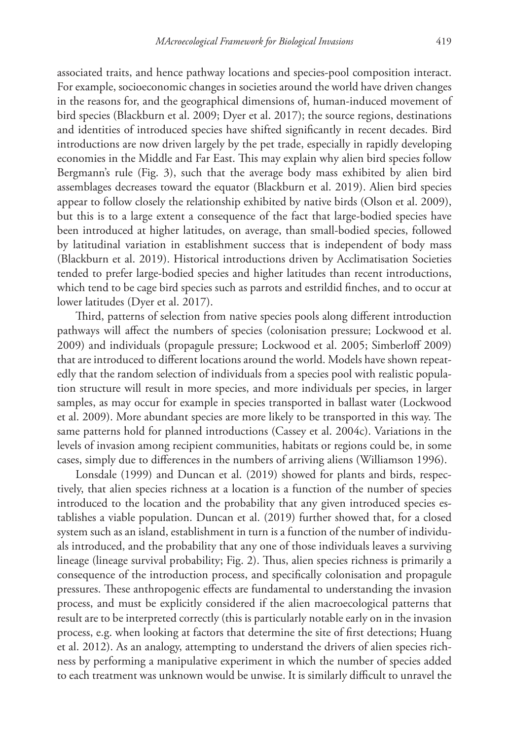associated traits, and hence pathway locations and species-pool composition interact. For example, socioeconomic changes in societies around the world have driven changes in the reasons for, and the geographical dimensions of, human-induced movement of bird species (Blackburn et al. 2009; Dyer et al. 2017); the source regions, destinations and identities of introduced species have shifted significantly in recent decades. Bird introductions are now driven largely by the pet trade, especially in rapidly developing economies in the Middle and Far East. This may explain why alien bird species follow Bergmann's rule (Fig. 3), such that the average body mass exhibited by alien bird assemblages decreases toward the equator (Blackburn et al. 2019). Alien bird species appear to follow closely the relationship exhibited by native birds (Olson et al. 2009), but this is to a large extent a consequence of the fact that large-bodied species have been introduced at higher latitudes, on average, than small-bodied species, followed by latitudinal variation in establishment success that is independent of body mass (Blackburn et al. 2019). Historical introductions driven by Acclimatisation Societies tended to prefer large-bodied species and higher latitudes than recent introductions, which tend to be cage bird species such as parrots and estrildid finches, and to occur at lower latitudes (Dyer et al. 2017).

Third, patterns of selection from native species pools along different introduction pathways will affect the numbers of species (colonisation pressure; Lockwood et al. 2009) and individuals (propagule pressure; Lockwood et al. 2005; Simberloff 2009) that are introduced to different locations around the world. Models have shown repeatedly that the random selection of individuals from a species pool with realistic population structure will result in more species, and more individuals per species, in larger samples, as may occur for example in species transported in ballast water (Lockwood et al. 2009). More abundant species are more likely to be transported in this way. The same patterns hold for planned introductions (Cassey et al. 2004c). Variations in the levels of invasion among recipient communities, habitats or regions could be, in some cases, simply due to differences in the numbers of arriving aliens (Williamson 1996).

Lonsdale (1999) and Duncan et al. (2019) showed for plants and birds, respectively, that alien species richness at a location is a function of the number of species introduced to the location and the probability that any given introduced species establishes a viable population. Duncan et al. (2019) further showed that, for a closed system such as an island, establishment in turn is a function of the number of individuals introduced, and the probability that any one of those individuals leaves a surviving lineage (lineage survival probability; Fig. 2). Thus, alien species richness is primarily a consequence of the introduction process, and specifically colonisation and propagule pressures. These anthropogenic effects are fundamental to understanding the invasion process, and must be explicitly considered if the alien macroecological patterns that result are to be interpreted correctly (this is particularly notable early on in the invasion process, e.g. when looking at factors that determine the site of first detections; Huang et al. 2012). As an analogy, attempting to understand the drivers of alien species richness by performing a manipulative experiment in which the number of species added to each treatment was unknown would be unwise. It is similarly difficult to unravel the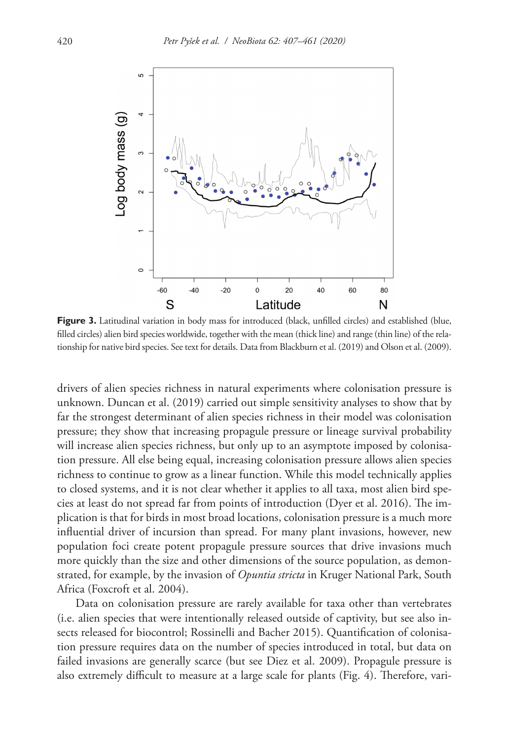

**Figure 3.** Latitudinal variation in body mass for introduced (black, unfilled circles) and established (blue, filled circles) alien bird species worldwide, together with the mean (thick line) and range (thin line) of the relationship for native bird species. See text for details. Data from Blackburn et al. (2019) and Olson et al. (2009).

drivers of alien species richness in natural experiments where colonisation pressure is unknown. Duncan et al. (2019) carried out simple sensitivity analyses to show that by far the strongest determinant of alien species richness in their model was colonisation pressure; they show that increasing propagule pressure or lineage survival probability will increase alien species richness, but only up to an asymptote imposed by colonisation pressure. All else being equal, increasing colonisation pressure allows alien species richness to continue to grow as a linear function. While this model technically applies to closed systems, and it is not clear whether it applies to all taxa, most alien bird species at least do not spread far from points of introduction (Dyer et al. 2016). The implication is that for birds in most broad locations, colonisation pressure is a much more influential driver of incursion than spread. For many plant invasions, however, new population foci create potent propagule pressure sources that drive invasions much more quickly than the size and other dimensions of the source population, as demonstrated, for example, by the invasion of *Opuntia stricta* in Kruger National Park, South Africa (Foxcroft et al. 2004).

Data on colonisation pressure are rarely available for taxa other than vertebrates (i.e. alien species that were intentionally released outside of captivity, but see also insects released for biocontrol; Rossinelli and Bacher 2015). Quantification of colonisation pressure requires data on the number of species introduced in total, but data on failed invasions are generally scarce (but see Diez et al. 2009). Propagule pressure is also extremely difficult to measure at a large scale for plants (Fig. 4). Therefore, vari-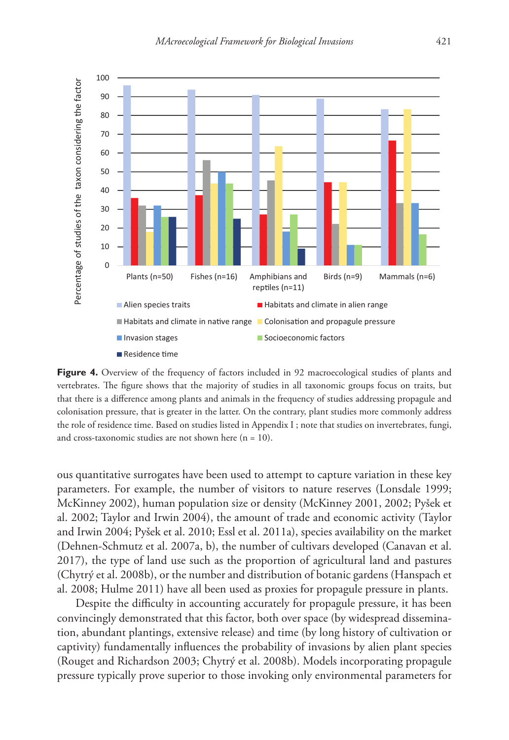

**Figure 4.** Overview of the frequency of factors included in 92 macroecological studies of plants and vertebrates. The figure shows that the majority of studies in all taxonomic groups focus on traits, but that there is a difference among plants and animals in the frequency of studies addressing propagule and colonisation pressure, that is greater in the latter. On the contrary, plant studies more commonly address the role of residence time. Based on studies listed in Appendix I ; note that studies on invertebrates, fungi, and cross-taxonomic studies are not shown here  $(n = 10)$ .

ous quantitative surrogates have been used to attempt to capture variation in these key parameters. For example, the number of visitors to nature reserves (Lonsdale 1999; McKinney 2002), human population size or density (McKinney 2001, 2002; Pyšek et al. 2002; Taylor and Irwin 2004), the amount of trade and economic activity (Taylor and Irwin 2004; Pyšek et al. 2010; Essl et al. 2011a), species availability on the market (Dehnen-Schmutz et al. 2007a, b), the number of cultivars developed (Canavan et al. 2017), the type of land use such as the proportion of agricultural land and pastures (Chytrý et al. 2008b), or the number and distribution of botanic gardens (Hanspach et al. 2008; Hulme 2011) have all been used as proxies for propagule pressure in plants.

Despite the difficulty in accounting accurately for propagule pressure, it has been convincingly demonstrated that this factor, both over space (by widespread dissemination, abundant plantings, extensive release) and time (by long history of cultivation or captivity) fundamentally influences the probability of invasions by alien plant species (Rouget and Richardson 2003; Chytrý et al. 2008b). Models incorporating propagule pressure typically prove superior to those invoking only environmental parameters for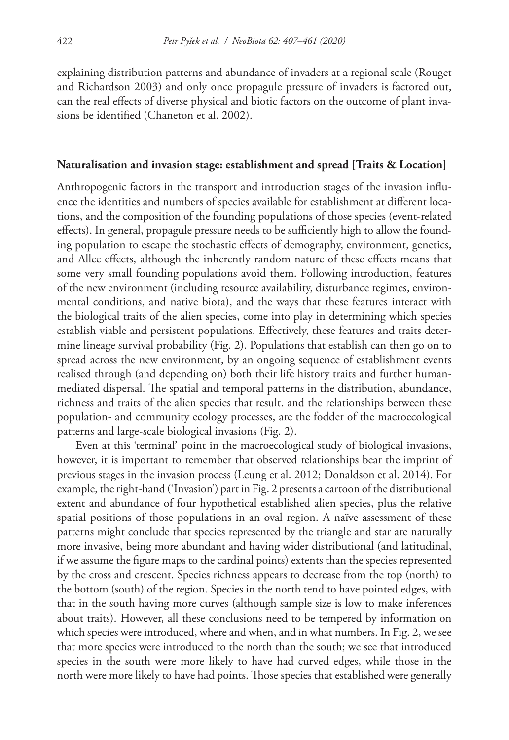explaining distribution patterns and abundance of invaders at a regional scale (Rouget and Richardson 2003) and only once propagule pressure of invaders is factored out, can the real effects of diverse physical and biotic factors on the outcome of plant invasions be identified (Chaneton et al. 2002).

#### **Naturalisation and invasion stage: establishment and spread [Traits & Location]**

Anthropogenic factors in the transport and introduction stages of the invasion influence the identities and numbers of species available for establishment at different locations, and the composition of the founding populations of those species (event-related effects). In general, propagule pressure needs to be sufficiently high to allow the founding population to escape the stochastic effects of demography, environment, genetics, and Allee effects, although the inherently random nature of these effects means that some very small founding populations avoid them. Following introduction, features of the new environment (including resource availability, disturbance regimes, environmental conditions, and native biota), and the ways that these features interact with the biological traits of the alien species, come into play in determining which species establish viable and persistent populations. Effectively, these features and traits determine lineage survival probability (Fig. 2). Populations that establish can then go on to spread across the new environment, by an ongoing sequence of establishment events realised through (and depending on) both their life history traits and further humanmediated dispersal. The spatial and temporal patterns in the distribution, abundance, richness and traits of the alien species that result, and the relationships between these population- and community ecology processes, are the fodder of the macroecological patterns and large-scale biological invasions (Fig. 2).

Even at this 'terminal' point in the macroecological study of biological invasions, however, it is important to remember that observed relationships bear the imprint of previous stages in the invasion process (Leung et al. 2012; Donaldson et al. 2014). For example, the right-hand ('Invasion') part in Fig. 2 presents a cartoon of the distributional extent and abundance of four hypothetical established alien species, plus the relative spatial positions of those populations in an oval region. A naïve assessment of these patterns might conclude that species represented by the triangle and star are naturally more invasive, being more abundant and having wider distributional (and latitudinal, if we assume the figure maps to the cardinal points) extents than the species represented by the cross and crescent. Species richness appears to decrease from the top (north) to the bottom (south) of the region. Species in the north tend to have pointed edges, with that in the south having more curves (although sample size is low to make inferences about traits). However, all these conclusions need to be tempered by information on which species were introduced, where and when, and in what numbers. In Fig. 2, we see that more species were introduced to the north than the south; we see that introduced species in the south were more likely to have had curved edges, while those in the north were more likely to have had points. Those species that established were generally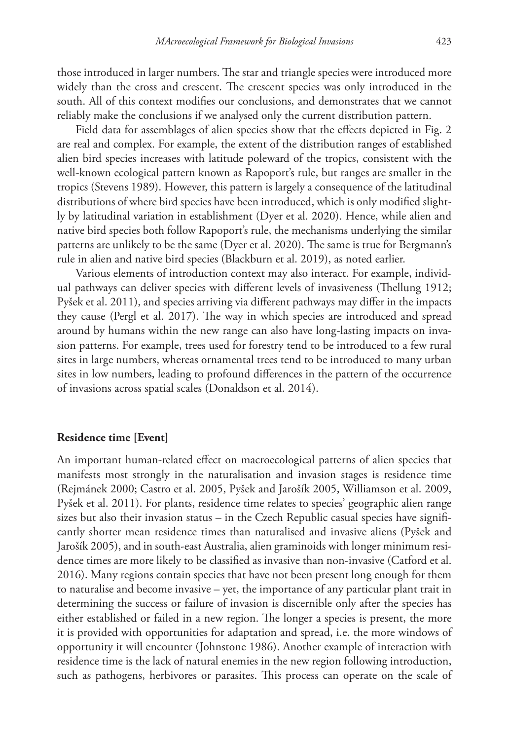those introduced in larger numbers. The star and triangle species were introduced more widely than the cross and crescent. The crescent species was only introduced in the south. All of this context modifies our conclusions, and demonstrates that we cannot reliably make the conclusions if we analysed only the current distribution pattern.

Field data for assemblages of alien species show that the effects depicted in Fig. 2 are real and complex. For example, the extent of the distribution ranges of established alien bird species increases with latitude poleward of the tropics, consistent with the well-known ecological pattern known as Rapoport's rule, but ranges are smaller in the tropics (Stevens 1989). However, this pattern is largely a consequence of the latitudinal distributions of where bird species have been introduced, which is only modified slightly by latitudinal variation in establishment (Dyer et al. 2020). Hence, while alien and native bird species both follow Rapoport's rule, the mechanisms underlying the similar patterns are unlikely to be the same (Dyer et al. 2020). The same is true for Bergmann's rule in alien and native bird species (Blackburn et al. 2019), as noted earlier.

Various elements of introduction context may also interact. For example, individual pathways can deliver species with different levels of invasiveness (Thellung 1912; Pyšek et al. 2011), and species arriving via different pathways may differ in the impacts they cause (Pergl et al. 2017). The way in which species are introduced and spread around by humans within the new range can also have long-lasting impacts on invasion patterns. For example, trees used for forestry tend to be introduced to a few rural sites in large numbers, whereas ornamental trees tend to be introduced to many urban sites in low numbers, leading to profound differences in the pattern of the occurrence of invasions across spatial scales (Donaldson et al. 2014).

#### **Residence time [Event]**

An important human-related effect on macroecological patterns of alien species that manifests most strongly in the naturalisation and invasion stages is residence time (Rejmánek 2000; Castro et al. 2005, Pyšek and Jarošík 2005, Williamson et al. 2009, Pyšek et al. 2011). For plants, residence time relates to species' geographic alien range sizes but also their invasion status – in the Czech Republic casual species have significantly shorter mean residence times than naturalised and invasive aliens (Pyšek and Jarošík 2005), and in south-east Australia, alien graminoids with longer minimum residence times are more likely to be classified as invasive than non-invasive (Catford et al. 2016). Many regions contain species that have not been present long enough for them to naturalise and become invasive – yet, the importance of any particular plant trait in determining the success or failure of invasion is discernible only after the species has either established or failed in a new region. The longer a species is present, the more it is provided with opportunities for adaptation and spread, i.e. the more windows of opportunity it will encounter (Johnstone 1986). Another example of interaction with residence time is the lack of natural enemies in the new region following introduction, such as pathogens, herbivores or parasites. This process can operate on the scale of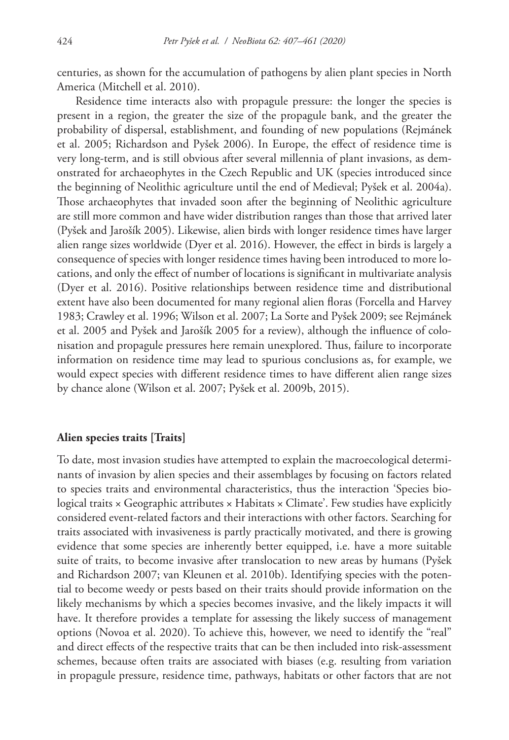centuries, as shown for the accumulation of pathogens by alien plant species in North America (Mitchell et al. 2010).

Residence time interacts also with propagule pressure: the longer the species is present in a region, the greater the size of the propagule bank, and the greater the probability of dispersal, establishment, and founding of new populations (Rejmánek et al. 2005; Richardson and Pyšek 2006). In Europe, the effect of residence time is very long-term, and is still obvious after several millennia of plant invasions, as demonstrated for archaeophytes in the Czech Republic and UK (species introduced since the beginning of Neolithic agriculture until the end of Medieval; Pyšek et al. 2004a). Those archaeophytes that invaded soon after the beginning of Neolithic agriculture are still more common and have wider distribution ranges than those that arrived later (Pyšek and Jarošík 2005). Likewise, alien birds with longer residence times have larger alien range sizes worldwide (Dyer et al. 2016). However, the effect in birds is largely a consequence of species with longer residence times having been introduced to more locations, and only the effect of number of locations is significant in multivariate analysis (Dyer et al. 2016). Positive relationships between residence time and distributional extent have also been documented for many regional alien floras (Forcella and Harvey 1983; Crawley et al. 1996; Wilson et al. 2007; La Sorte and Pyšek 2009; see Rejmánek et al. 2005 and Pyšek and Jarošík 2005 for a review), although the influence of colonisation and propagule pressures here remain unexplored. Thus, failure to incorporate information on residence time may lead to spurious conclusions as, for example, we would expect species with different residence times to have different alien range sizes by chance alone (Wilson et al. 2007; Pyšek et al. 2009b, 2015).

#### **Alien species traits [Traits]**

To date, most invasion studies have attempted to explain the macroecological determinants of invasion by alien species and their assemblages by focusing on factors related to species traits and environmental characteristics, thus the interaction 'Species biological traits  $\times$  Geographic attributes  $\times$  Habitats  $\times$  Climate'. Few studies have explicitly considered event-related factors and their interactions with other factors. Searching for traits associated with invasiveness is partly practically motivated, and there is growing evidence that some species are inherently better equipped, i.e. have a more suitable suite of traits, to become invasive after translocation to new areas by humans (Pyšek and Richardson 2007; van Kleunen et al. 2010b). Identifying species with the potential to become weedy or pests based on their traits should provide information on the likely mechanisms by which a species becomes invasive, and the likely impacts it will have. It therefore provides a template for assessing the likely success of management options (Novoa et al. 2020). To achieve this, however, we need to identify the "real" and direct effects of the respective traits that can be then included into risk-assessment schemes, because often traits are associated with biases (e.g. resulting from variation in propagule pressure, residence time, pathways, habitats or other factors that are not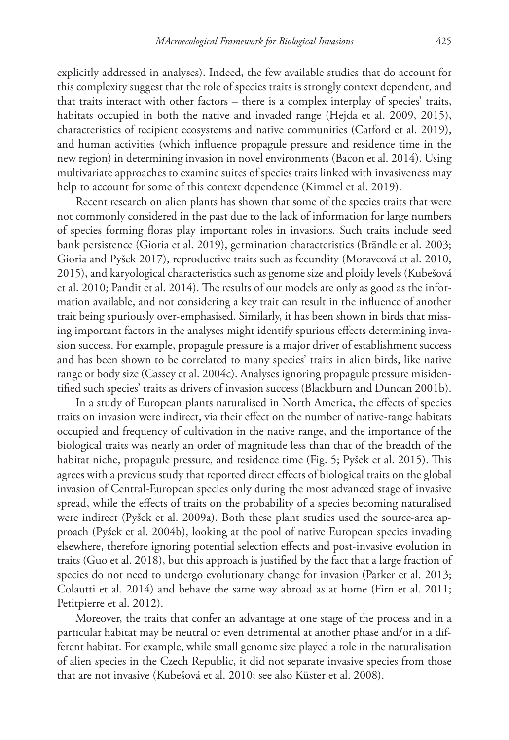explicitly addressed in analyses). Indeed, the few available studies that do account for this complexity suggest that the role of species traits is strongly context dependent, and that traits interact with other factors – there is a complex interplay of species' traits, habitats occupied in both the native and invaded range (Hejda et al. 2009, 2015), characteristics of recipient ecosystems and native communities (Catford et al. 2019), and human activities (which influence propagule pressure and residence time in the new region) in determining invasion in novel environments (Bacon et al. 2014). Using multivariate approaches to examine suites of species traits linked with invasiveness may help to account for some of this context dependence (Kimmel et al. 2019).

Recent research on alien plants has shown that some of the species traits that were not commonly considered in the past due to the lack of information for large numbers of species forming floras play important roles in invasions. Such traits include seed bank persistence (Gioria et al. 2019), germination characteristics (Brändle et al. 2003; Gioria and Pyšek 2017), reproductive traits such as fecundity (Moravcová et al. 2010, 2015), and karyological characteristics such as genome size and ploidy levels (Kubešová et al. 2010; Pandit et al. 2014). The results of our models are only as good as the information available, and not considering a key trait can result in the influence of another trait being spuriously over-emphasised. Similarly, it has been shown in birds that missing important factors in the analyses might identify spurious effects determining invasion success. For example, propagule pressure is a major driver of establishment success and has been shown to be correlated to many species' traits in alien birds, like native range or body size (Cassey et al. 2004c). Analyses ignoring propagule pressure misidentified such species' traits as drivers of invasion success (Blackburn and Duncan 2001b).

In a study of European plants naturalised in North America, the effects of species traits on invasion were indirect, via their effect on the number of native-range habitats occupied and frequency of cultivation in the native range, and the importance of the biological traits was nearly an order of magnitude less than that of the breadth of the habitat niche, propagule pressure, and residence time (Fig. 5; Pyšek et al. 2015). This agrees with a previous study that reported direct effects of biological traits on the global invasion of Central-European species only during the most advanced stage of invasive spread, while the effects of traits on the probability of a species becoming naturalised were indirect (Pyšek et al. 2009a). Both these plant studies used the source-area approach (Pyšek et al. 2004b), looking at the pool of native European species invading elsewhere, therefore ignoring potential selection effects and post-invasive evolution in traits (Guo et al. 2018), but this approach is justified by the fact that a large fraction of species do not need to undergo evolutionary change for invasion (Parker et al. 2013; Colautti et al. 2014) and behave the same way abroad as at home (Firn et al. 2011; Petitpierre et al. 2012).

Moreover, the traits that confer an advantage at one stage of the process and in a particular habitat may be neutral or even detrimental at another phase and/or in a different habitat. For example, while small genome size played a role in the naturalisation of alien species in the Czech Republic, it did not separate invasive species from those that are not invasive (Kubešová et al. 2010; see also Küster et al. 2008).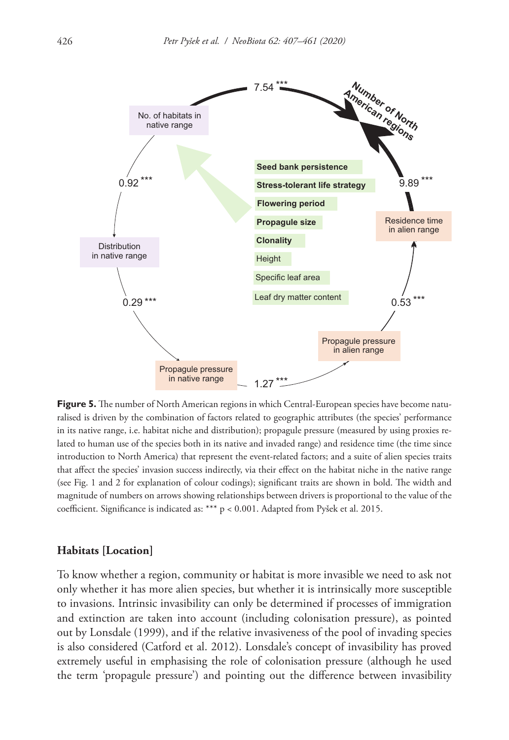

**Figure 5.** The number of North American regions in which Central-European species have become naturalised is driven by the combination of factors related to geographic attributes (the species' performance in its native range, i.e. habitat niche and distribution); propagule pressure (measured by using proxies related to human use of the species both in its native and invaded range) and residence time (the time since introduction to North America) that represent the event-related factors; and a suite of alien species traits that affect the species' invasion success indirectly, via their effect on the habitat niche in the native range (see Fig. 1 and 2 for explanation of colour codings); significant traits are shown in bold. The width and magnitude of numbers on arrows showing relationships between drivers is proportional to the value of the coefficient. Significance is indicated as: \*\*\* p < 0.001. Adapted from Pyšek et al. 2015.

#### **Habitats [Location]**

To know whether a region, community or habitat is more invasible we need to ask not only whether it has more alien species, but whether it is intrinsically more susceptible to invasions. Intrinsic invasibility can only be determined if processes of immigration and extinction are taken into account (including colonisation pressure), as pointed out by Lonsdale (1999), and if the relative invasiveness of the pool of invading species is also considered (Catford et al. 2012). Lonsdale's concept of invasibility has proved extremely useful in emphasising the role of colonisation pressure (although he used the term 'propagule pressure') and pointing out the difference between invasibility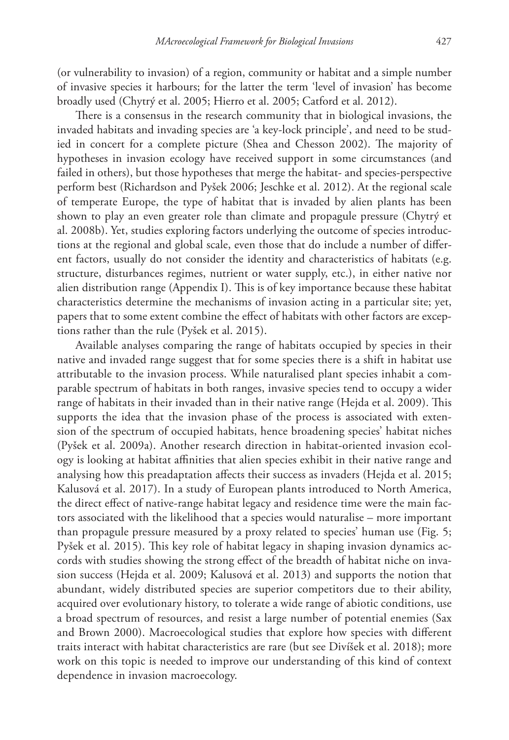(or vulnerability to invasion) of a region, community or habitat and a simple number of invasive species it harbours; for the latter the term 'level of invasion' has become broadly used (Chytrý et al. 2005; Hierro et al. 2005; Catford et al. 2012).

There is a consensus in the research community that in biological invasions, the invaded habitats and invading species are 'a key-lock principle', and need to be studied in concert for a complete picture (Shea and Chesson 2002). The majority of hypotheses in invasion ecology have received support in some circumstances (and failed in others), but those hypotheses that merge the habitat- and species-perspective perform best (Richardson and Pyšek 2006; Jeschke et al. 2012). At the regional scale of temperate Europe, the type of habitat that is invaded by alien plants has been shown to play an even greater role than climate and propagule pressure (Chytrý et al. 2008b). Yet, studies exploring factors underlying the outcome of species introductions at the regional and global scale, even those that do include a number of different factors, usually do not consider the identity and characteristics of habitats (e.g. structure, disturbances regimes, nutrient or water supply, etc.), in either native nor alien distribution range (Appendix I). This is of key importance because these habitat characteristics determine the mechanisms of invasion acting in a particular site; yet, papers that to some extent combine the effect of habitats with other factors are exceptions rather than the rule (Pyšek et al. 2015).

Available analyses comparing the range of habitats occupied by species in their native and invaded range suggest that for some species there is a shift in habitat use attributable to the invasion process. While naturalised plant species inhabit a comparable spectrum of habitats in both ranges, invasive species tend to occupy a wider range of habitats in their invaded than in their native range (Hejda et al. 2009). This supports the idea that the invasion phase of the process is associated with extension of the spectrum of occupied habitats, hence broadening species' habitat niches (Pyšek et al. 2009a). Another research direction in habitat-oriented invasion ecology is looking at habitat affinities that alien species exhibit in their native range and analysing how this preadaptation affects their success as invaders (Hejda et al. 2015; Kalusová et al. 2017). In a study of European plants introduced to North America, the direct effect of native-range habitat legacy and residence time were the main factors associated with the likelihood that a species would naturalise – more important than propagule pressure measured by a proxy related to species' human use (Fig. 5; Pyšek et al. 2015). This key role of habitat legacy in shaping invasion dynamics accords with studies showing the strong effect of the breadth of habitat niche on invasion success (Hejda et al. 2009; Kalusová et al. 2013) and supports the notion that abundant, widely distributed species are superior competitors due to their ability, acquired over evolutionary history, to tolerate a wide range of abiotic conditions, use a broad spectrum of resources, and resist a large number of potential enemies (Sax and Brown 2000). Macroecological studies that explore how species with different traits interact with habitat characteristics are rare (but see Divíšek et al. 2018); more work on this topic is needed to improve our understanding of this kind of context dependence in invasion macroecology.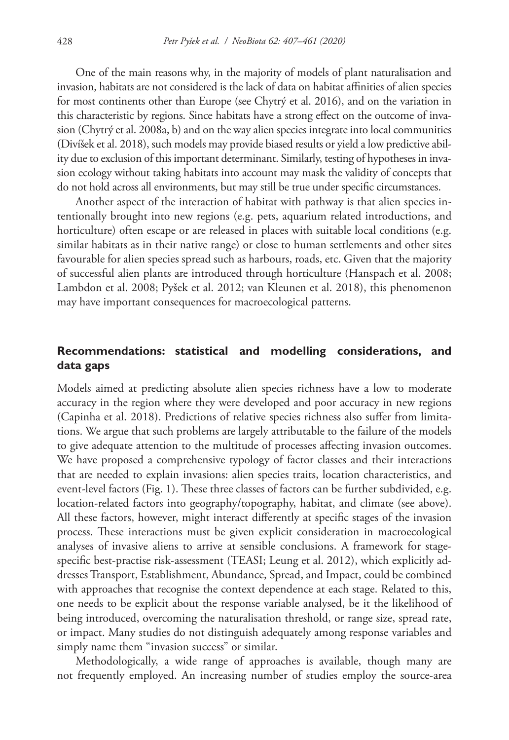One of the main reasons why, in the majority of models of plant naturalisation and invasion, habitats are not considered is the lack of data on habitat affinities of alien species for most continents other than Europe (see Chytrý et al. 2016), and on the variation in this characteristic by regions. Since habitats have a strong effect on the outcome of invasion (Chytrý et al. 2008a, b) and on the way alien species integrate into local communities (Divíšek et al. 2018), such models may provide biased results or yield a low predictive ability due to exclusion of this important determinant. Similarly, testing of hypotheses in invasion ecology without taking habitats into account may mask the validity of concepts that do not hold across all environments, but may still be true under specific circumstances.

Another aspect of the interaction of habitat with pathway is that alien species intentionally brought into new regions (e.g. pets, aquarium related introductions, and horticulture) often escape or are released in places with suitable local conditions (e.g. similar habitats as in their native range) or close to human settlements and other sites favourable for alien species spread such as harbours, roads, etc. Given that the majority of successful alien plants are introduced through horticulture (Hanspach et al. 2008; Lambdon et al. 2008; Pyšek et al. 2012; van Kleunen et al. 2018), this phenomenon may have important consequences for macroecological patterns.

## **Recommendations: statistical and modelling considerations, and data gaps**

Models aimed at predicting absolute alien species richness have a low to moderate accuracy in the region where they were developed and poor accuracy in new regions (Capinha et al. 2018). Predictions of relative species richness also suffer from limitations. We argue that such problems are largely attributable to the failure of the models to give adequate attention to the multitude of processes affecting invasion outcomes. We have proposed a comprehensive typology of factor classes and their interactions that are needed to explain invasions: alien species traits, location characteristics, and event-level factors (Fig. 1). These three classes of factors can be further subdivided, e.g. location-related factors into geography/topography, habitat, and climate (see above). All these factors, however, might interact differently at specific stages of the invasion process. These interactions must be given explicit consideration in macroecological analyses of invasive aliens to arrive at sensible conclusions. A framework for stagespecific best-practise risk-assessment (TEASI; Leung et al. 2012), which explicitly addresses Transport, Establishment, Abundance, Spread, and Impact, could be combined with approaches that recognise the context dependence at each stage. Related to this, one needs to be explicit about the response variable analysed, be it the likelihood of being introduced, overcoming the naturalisation threshold, or range size, spread rate, or impact. Many studies do not distinguish adequately among response variables and simply name them "invasion success" or similar.

Methodologically, a wide range of approaches is available, though many are not frequently employed. An increasing number of studies employ the source-area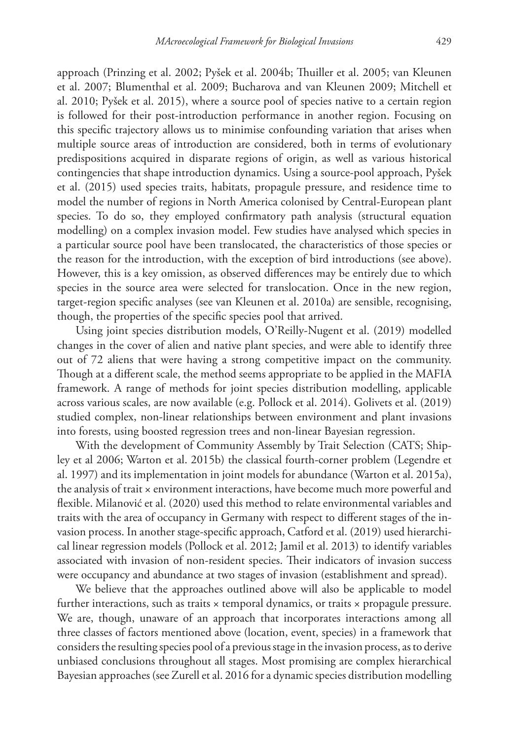approach (Prinzing et al. 2002; Pyšek et al. 2004b; Thuiller et al. 2005; van Kleunen et al. 2007; Blumenthal et al. 2009; Bucharova and van Kleunen 2009; Mitchell et al. 2010; Pyšek et al. 2015), where a source pool of species native to a certain region is followed for their post-introduction performance in another region. Focusing on this specific trajectory allows us to minimise confounding variation that arises when multiple source areas of introduction are considered, both in terms of evolutionary predispositions acquired in disparate regions of origin, as well as various historical contingencies that shape introduction dynamics. Using a source-pool approach, Pyšek et al. (2015) used species traits, habitats, propagule pressure, and residence time to model the number of regions in North America colonised by Central-European plant species. To do so, they employed confirmatory path analysis (structural equation modelling) on a complex invasion model. Few studies have analysed which species in a particular source pool have been translocated, the characteristics of those species or the reason for the introduction, with the exception of bird introductions (see above). However, this is a key omission, as observed differences may be entirely due to which species in the source area were selected for translocation. Once in the new region, target-region specific analyses (see van Kleunen et al. 2010a) are sensible, recognising, though, the properties of the specific species pool that arrived.

Using joint species distribution models, O'Reilly‐Nugent et al. (2019) modelled changes in the cover of alien and native plant species, and were able to identify three out of 72 aliens that were having a strong competitive impact on the community. Though at a different scale, the method seems appropriate to be applied in the MAFIA framework. A range of methods for joint species distribution modelling, applicable across various scales, are now available (e.g. Pollock et al. 2014). Golivets et al. (2019) studied complex, non-linear relationships between environment and plant invasions into forests, using boosted regression trees and non-linear Bayesian regression.

With the development of Community Assembly by Trait Selection (CATS; Shipley et al 2006; Warton et al. 2015b) the classical fourth-corner problem (Legendre et al. 1997) and its implementation in joint models for abundance (Warton et al. 2015a), the analysis of trait × environment interactions, have become much more powerful and flexible. Milanović et al. (2020) used this method to relate environmental variables and traits with the area of occupancy in Germany with respect to different stages of the invasion process. In another stage-specific approach, Catford et al. (2019) used hierarchical linear regression models (Pollock et al. 2012; Jamil et al. 2013) to identify variables associated with invasion of non‐resident species. Their indicators of invasion success were occupancy and abundance at two stages of invasion (establishment and spread).

We believe that the approaches outlined above will also be applicable to model further interactions, such as traits  $\times$  temporal dynamics, or traits  $\times$  propagule pressure. We are, though, unaware of an approach that incorporates interactions among all three classes of factors mentioned above (location, event, species) in a framework that considers the resulting species pool of a previous stage in the invasion process, as to derive unbiased conclusions throughout all stages. Most promising are complex hierarchical Bayesian approaches (see Zurell et al. 2016 for a dynamic species distribution modelling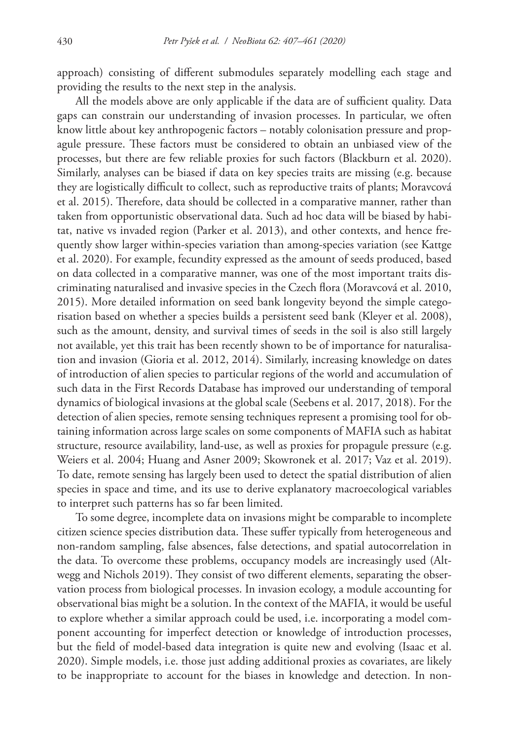approach) consisting of different submodules separately modelling each stage and providing the results to the next step in the analysis.

All the models above are only applicable if the data are of sufficient quality. Data gaps can constrain our understanding of invasion processes. In particular, we often know little about key anthropogenic factors – notably colonisation pressure and propagule pressure. These factors must be considered to obtain an unbiased view of the processes, but there are few reliable proxies for such factors (Blackburn et al. 2020). Similarly, analyses can be biased if data on key species traits are missing (e.g. because they are logistically difficult to collect, such as reproductive traits of plants; Moravcová et al. 2015). Therefore, data should be collected in a comparative manner, rather than taken from opportunistic observational data. Such ad hoc data will be biased by habitat, native vs invaded region (Parker et al. 2013), and other contexts, and hence frequently show larger within-species variation than among-species variation (see Kattge et al. 2020). For example, fecundity expressed as the amount of seeds produced, based on data collected in a comparative manner, was one of the most important traits discriminating naturalised and invasive species in the Czech flora (Moravcová et al. 2010, 2015). More detailed information on seed bank longevity beyond the simple categorisation based on whether a species builds a persistent seed bank (Kleyer et al. 2008), such as the amount, density, and survival times of seeds in the soil is also still largely not available, yet this trait has been recently shown to be of importance for naturalisation and invasion (Gioria et al. 2012, 2014). Similarly, increasing knowledge on dates of introduction of alien species to particular regions of the world and accumulation of such data in the First Records Database has improved our understanding of temporal dynamics of biological invasions at the global scale (Seebens et al. 2017, 2018). For the detection of alien species, remote sensing techniques represent a promising tool for obtaining information across large scales on some components of MAFIA such as habitat structure, resource availability, land-use, as well as proxies for propagule pressure (e.g. Weiers et al. 2004; Huang and Asner 2009; Skowronek et al. 2017; Vaz et al. 2019). To date, remote sensing has largely been used to detect the spatial distribution of alien species in space and time, and its use to derive explanatory macroecological variables to interpret such patterns has so far been limited.

To some degree, incomplete data on invasions might be comparable to incomplete citizen science species distribution data. These suffer typically from heterogeneous and non-random sampling, false absences, false detections, and spatial autocorrelation in the data. To overcome these problems, occupancy models are increasingly used (Altwegg and Nichols 2019). They consist of two different elements, separating the observation process from biological processes. In invasion ecology, a module accounting for observational bias might be a solution. In the context of the MAFIA, it would be useful to explore whether a similar approach could be used, i.e. incorporating a model component accounting for imperfect detection or knowledge of introduction processes, but the field of model-based data integration is quite new and evolving (Isaac et al. 2020). Simple models, i.e. those just adding additional proxies as covariates, are likely to be inappropriate to account for the biases in knowledge and detection. In non-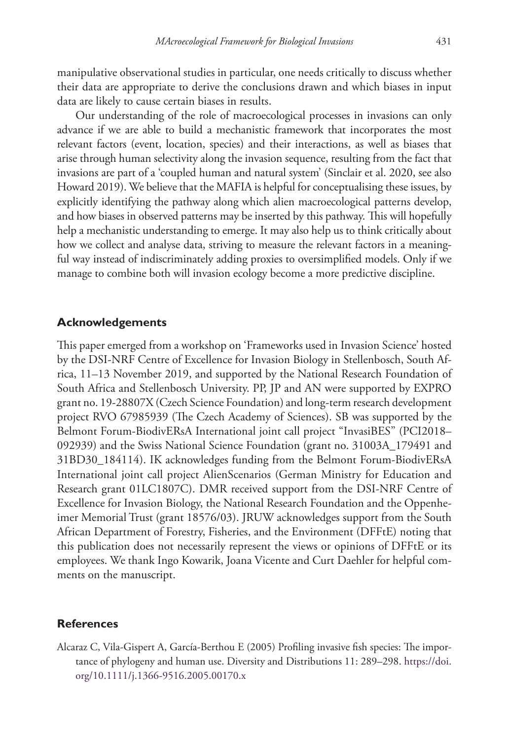manipulative observational studies in particular, one needs critically to discuss whether their data are appropriate to derive the conclusions drawn and which biases in input data are likely to cause certain biases in results.

Our understanding of the role of macroecological processes in invasions can only advance if we are able to build a mechanistic framework that incorporates the most relevant factors (event, location, species) and their interactions, as well as biases that arise through human selectivity along the invasion sequence, resulting from the fact that invasions are part of a 'coupled human and natural system' (Sinclair et al. 2020, see also Howard 2019). We believe that the MAFIA is helpful for conceptualising these issues, by explicitly identifying the pathway along which alien macroecological patterns develop, and how biases in observed patterns may be inserted by this pathway. This will hopefully help a mechanistic understanding to emerge. It may also help us to think critically about how we collect and analyse data, striving to measure the relevant factors in a meaningful way instead of indiscriminately adding proxies to oversimplified models. Only if we manage to combine both will invasion ecology become a more predictive discipline.

### **Acknowledgements**

This paper emerged from a workshop on 'Frameworks used in Invasion Science' hosted by the DSI-NRF Centre of Excellence for Invasion Biology in Stellenbosch, South Africa, 11–13 November 2019, and supported by the National Research Foundation of South Africa and Stellenbosch University. PP, JP and AN were supported by EXPRO grant no. 19-28807X (Czech Science Foundation) and long-term research development project RVO 67985939 (The Czech Academy of Sciences). SB was supported by the Belmont Forum-BiodivERsA International joint call project "InvasiBES" (PCI2018– 092939) and the Swiss National Science Foundation (grant no. 31003A\_179491 and 31BD30\_184114). IK acknowledges funding from the Belmont Forum-BiodivERsA International joint call project AlienScenarios (German Ministry for Education and Research grant 01LC1807C). DMR received support from the DSI-NRF Centre of Excellence for Invasion Biology, the National Research Foundation and the Oppenheimer Memorial Trust (grant 18576/03). JRUW acknowledges support from the South African Department of Forestry, Fisheries, and the Environment (DFFtE) noting that this publication does not necessarily represent the views or opinions of DFFtE or its employees. We thank Ingo Kowarik, Joana Vicente and Curt Daehler for helpful comments on the manuscript.

#### **References**

Alcaraz C, Vila-Gispert A, García-Berthou E (2005) Profiling invasive fish species: The importance of phylogeny and human use. Diversity and Distributions 11: 289–298. [https://doi.](https://doi.org/10.1111/j.1366-9516.2005.00170.x) [org/10.1111/j.1366-9516.2005.00170.x](https://doi.org/10.1111/j.1366-9516.2005.00170.x)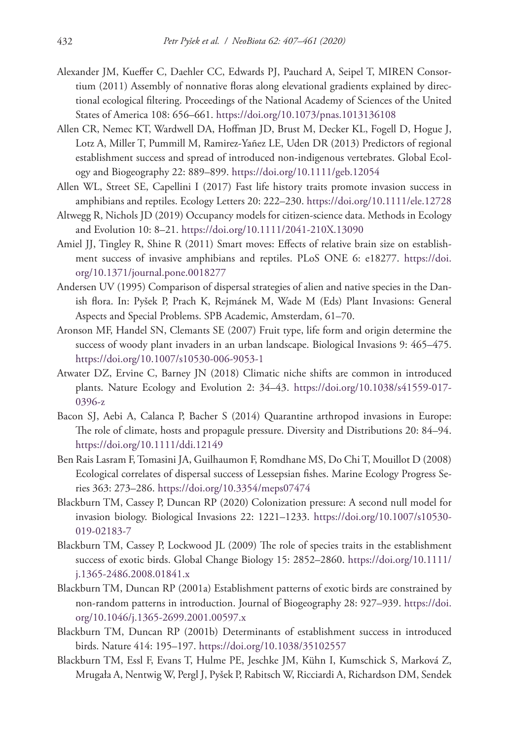- Alexander JM, Kueffer C, Daehler CC, Edwards PJ, Pauchard A, Seipel T, MIREN Consortium (2011) Assembly of nonnative floras along elevational gradients explained by directional ecological filtering. Proceedings of the National Academy of Sciences of the United States of America 108: 656–661. <https://doi.org/10.1073/pnas.1013136108>
- Allen CR, Nemec KT, Wardwell DA, Hoffman JD, Brust M, Decker KL, Fogell D, Hogue J, Lotz A, Miller T, Pummill M, Ramirez‐Yañez LE, Uden DR (2013) Predictors of regional establishment success and spread of introduced non‐indigenous vertebrates. Global Ecology and Biogeography 22: 889–899.<https://doi.org/10.1111/geb.12054>
- Allen WL, Street SE, Capellini I (2017) Fast life history traits promote invasion success in amphibians and reptiles. Ecology Letters 20: 222–230.<https://doi.org/10.1111/ele.12728>
- Altwegg R, Nichols JD (2019) Occupancy models for citizen‐science data. Methods in Ecology and Evolution 10: 8–21. <https://doi.org/10.1111/2041-210X.13090>
- Amiel JJ, Tingley R, Shine R (2011) Smart moves: Effects of relative brain size on establishment success of invasive amphibians and reptiles. PLoS ONE 6: e18277. [https://doi.](https://doi.org/10.1371/journal.pone.0018277) [org/10.1371/journal.pone.0018277](https://doi.org/10.1371/journal.pone.0018277)
- Andersen UV (1995) Comparison of dispersal strategies of alien and native species in the Danish flora. In: Pyšek P, Prach K, Rejmánek M, Wade M (Eds) Plant Invasions: General Aspects and Special Problems. SPB Academic, Amsterdam, 61–70.
- Aronson MF, Handel SN, Clemants SE (2007) Fruit type, life form and origin determine the success of woody plant invaders in an urban landscape. Biological Invasions 9: 465–475. <https://doi.org/10.1007/s10530-006-9053-1>
- Atwater DZ, Ervine C, Barney JN (2018) Climatic niche shifts are common in introduced plants. Nature Ecology and Evolution 2: 34–43. [https://doi.org/10.1038/s41559-017-](https://doi.org/10.1038/s41559-017-0396-z) [0396-z](https://doi.org/10.1038/s41559-017-0396-z)
- Bacon SJ, Aebi A, Calanca P, Bacher S (2014) Quarantine arthropod invasions in Europe: The role of climate, hosts and propagule pressure. Diversity and Distributions 20: 84–94. <https://doi.org/10.1111/ddi.12149>
- Ben Rais Lasram F, Tomasini JA, Guilhaumon F, Romdhane MS, Do Chi T, Mouillot D (2008) Ecological correlates of dispersal success of Lessepsian fishes. Marine Ecology Progress Series 363: 273–286.<https://doi.org/10.3354/meps07474>
- Blackburn TM, Cassey P, Duncan RP (2020) Colonization pressure: A second null model for invasion biology. Biological Invasions 22: 1221–1233. [https://doi.org/10.1007/s10530-](https://doi.org/10.1007/s10530-019-02183-7) [019-02183-7](https://doi.org/10.1007/s10530-019-02183-7)
- Blackburn TM, Cassey P, Lockwood JL (2009) The role of species traits in the establishment success of exotic birds. Global Change Biology 15: 2852–2860. [https://doi.org/10.1111/](https://doi.org/10.1111/j.1365-2486.2008.01841.x) [j.1365-2486.2008.01841.x](https://doi.org/10.1111/j.1365-2486.2008.01841.x)
- Blackburn TM, Duncan RP (2001a) Establishment patterns of exotic birds are constrained by non‐random patterns in introduction. Journal of Biogeography 28: 927–939. [https://doi.](https://doi.org/10.1046/j.1365-2699.2001.00597.x) [org/10.1046/j.1365-2699.2001.00597.x](https://doi.org/10.1046/j.1365-2699.2001.00597.x)
- Blackburn TM, Duncan RP (2001b) Determinants of establishment success in introduced birds. Nature 414: 195–197. <https://doi.org/10.1038/35102557>
- Blackburn TM, Essl F, Evans T, Hulme PE, Jeschke JM, Kühn I, Kumschick S, Marková Z, Mrugała A, Nentwig W, Pergl J, Pyšek P, Rabitsch W, Ricciardi A, Richardson DM, Sendek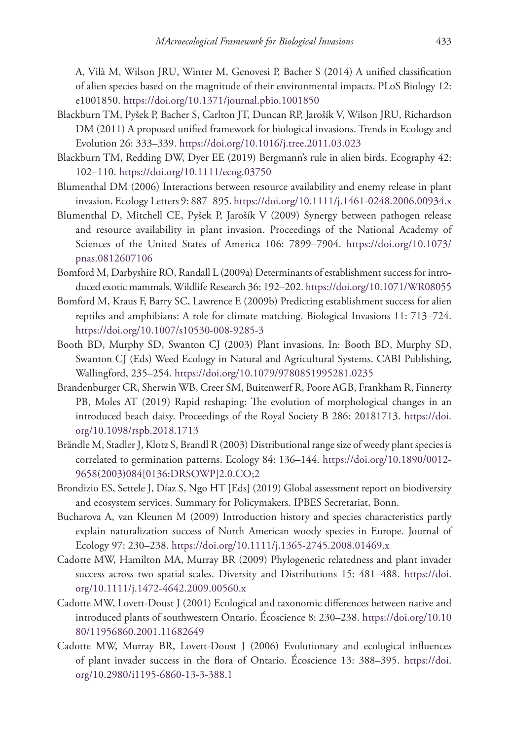A, Vilà M, Wilson JRU, Winter M, Genovesi P, Bacher S (2014) A unified classification of alien species based on the magnitude of their environmental impacts. PLoS Biology 12: e1001850.<https://doi.org/10.1371/journal.pbio.1001850>

- Blackburn TM, Pyšek P, Bacher S, Carlton JT, Duncan RP, Jarošík V, Wilson JRU, Richardson DM (2011) A proposed unified framework for biological invasions. Trends in Ecology and Evolution 26: 333–339. <https://doi.org/10.1016/j.tree.2011.03.023>
- Blackburn TM, Redding DW, Dyer EE (2019) Bergmann's rule in alien birds. Ecography 42: 102–110.<https://doi.org/10.1111/ecog.03750>
- Blumenthal DM (2006) Interactions between resource availability and enemy release in plant invasion. Ecology Letters 9: 887–895.<https://doi.org/10.1111/j.1461-0248.2006.00934.x>
- Blumenthal D, Mitchell CE, Pyšek P, Jarošík V (2009) Synergy between pathogen release and resource availability in plant invasion. Proceedings of the National Academy of Sciences of the United States of America 106: 7899–7904. [https://doi.org/10.1073/](https://doi.org/10.1073/pnas.0812607106) [pnas.0812607106](https://doi.org/10.1073/pnas.0812607106)
- Bomford M, Darbyshire RO, Randall L (2009a) Determinants of establishment success for introduced exotic mammals. Wildlife Research 36: 192–202.<https://doi.org/10.1071/WR08055>
- Bomford M, Kraus F, Barry SC, Lawrence E (2009b) Predicting establishment success for alien reptiles and amphibians: A role for climate matching. Biological Invasions 11: 713–724. <https://doi.org/10.1007/s10530-008-9285-3>
- Booth BD, Murphy SD, Swanton CJ (2003) Plant invasions. In: Booth BD, Murphy SD, Swanton CJ (Eds) Weed Ecology in Natural and Agricultural Systems. CABI Publishing, Wallingford, 235–254. <https://doi.org/10.1079/9780851995281.0235>
- Brandenburger CR, Sherwin WB, Creer SM, Buitenwerf R, Poore AGB, Frankham R, Finnerty PB, Moles AT (2019) Rapid reshaping: The evolution of morphological changes in an introduced beach daisy. Proceedings of the Royal Society B 286: 20181713. [https://doi.](https://doi.org/10.1098/rspb.2018.1713) [org/10.1098/rspb.2018.1713](https://doi.org/10.1098/rspb.2018.1713)
- Brändle M, Stadler J, Klotz S, Brandl R (2003) Distributional range size of weedy plant species is correlated to germination patterns. Ecology 84: 136–144. [https://doi.org/10.1890/0012-](https://doi.org/10.1890/0012-9658(2003)084%5B0136:DRSOWP%5D2.0.CO;2) [9658\(2003\)084\[0136:DRSOWP\]2.0.CO;2](https://doi.org/10.1890/0012-9658(2003)084%5B0136:DRSOWP%5D2.0.CO;2)
- Brondizio ES, Settele J, Díaz S, Ngo HT [Eds] (2019) Global assessment report on biodiversity and ecosystem services. Summary for Policymakers. IPBES Secretariat, Bonn.
- Bucharova A, van Kleunen M (2009) Introduction history and species characteristics partly explain naturalization success of North American woody species in Europe. Journal of Ecology 97: 230–238. <https://doi.org/10.1111/j.1365-2745.2008.01469.x>
- Cadotte MW, Hamilton MA, Murray BR (2009) Phylogenetic relatedness and plant invader success across two spatial scales. Diversity and Distributions 15: 481–488. [https://doi.](https://doi.org/10.1111/j.1472-4642.2009.00560.x) [org/10.1111/j.1472-4642.2009.00560.x](https://doi.org/10.1111/j.1472-4642.2009.00560.x)
- Cadotte MW, Lovett-Doust J (2001) Ecological and taxonomic differences between native and introduced plants of southwestern Ontario. Écoscience 8: 230–238. [https://doi.org/10.10](https://doi.org/10.1080/11956860.2001.11682649) [80/11956860.2001.11682649](https://doi.org/10.1080/11956860.2001.11682649)
- Cadotte MW, Murray BR, Lovett-Doust J (2006) Evolutionary and ecological influences of plant invader success in the flora of Ontario. Écoscience 13: 388–395. [https://doi.](https://doi.org/10.2980/i1195-6860-13-3-388.1) [org/10.2980/i1195-6860-13-3-388.1](https://doi.org/10.2980/i1195-6860-13-3-388.1)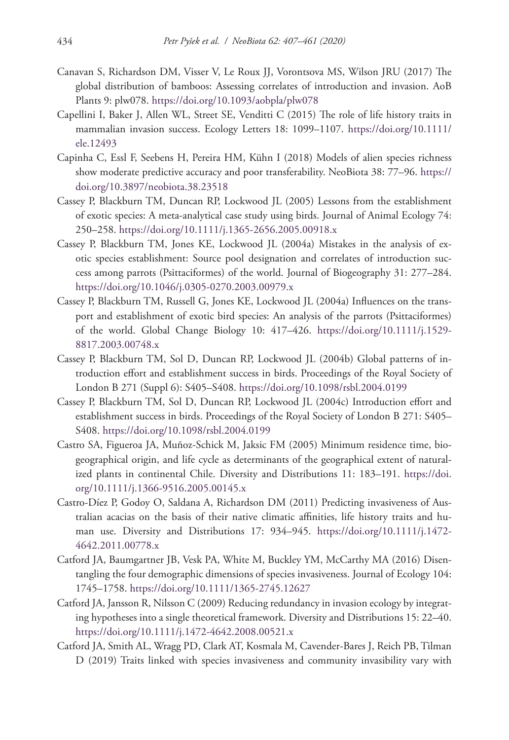- Canavan S, Richardson DM, Visser V, Le Roux JJ, Vorontsova MS, Wilson JRU (2017) The global distribution of bamboos: Assessing correlates of introduction and invasion. AoB Plants 9: plw078. <https://doi.org/10.1093/aobpla/plw078>
- Capellini I, Baker J, Allen WL, Street SE, Venditti C (2015) The role of life history traits in mammalian invasion success. Ecology Letters 18: 1099–1107. [https://doi.org/10.1111/](https://doi.org/10.1111/ele.12493) [ele.12493](https://doi.org/10.1111/ele.12493)
- Capinha C, Essl F, Seebens H, Pereira HM, Kühn I (2018) Models of alien species richness show moderate predictive accuracy and poor transferability. NeoBiota 38: 77–96. [https://](https://doi.org/10.3897/neobiota.38.23518) [doi.org/10.3897/neobiota.38.23518](https://doi.org/10.3897/neobiota.38.23518)
- Cassey P, Blackburn TM, Duncan RP, Lockwood JL (2005) Lessons from the establishment of exotic species: A meta-analytical case study using birds. Journal of Animal Ecology 74: 250–258.<https://doi.org/10.1111/j.1365-2656.2005.00918.x>
- Cassey P, Blackburn TM, Jones KE, Lockwood JL (2004a) Mistakes in the analysis of exotic species establishment: Source pool designation and correlates of introduction success among parrots (Psittaciformes) of the world. Journal of Biogeography 31: 277–284. <https://doi.org/10.1046/j.0305-0270.2003.00979.x>
- Cassey P, Blackburn TM, Russell G, Jones KE, Lockwood JL (2004a) Influences on the transport and establishment of exotic bird species: An analysis of the parrots (Psittaciformes) of the world. Global Change Biology 10: 417–426. [https://doi.org/10.1111/j.1529-](https://doi.org/10.1111/j.1529-8817.2003.00748.x) [8817.2003.00748.x](https://doi.org/10.1111/j.1529-8817.2003.00748.x)
- Cassey P, Blackburn TM, Sol D, Duncan RP, Lockwood JL (2004b) Global patterns of introduction effort and establishment success in birds. Proceedings of the Royal Society of London B 271 (Suppl 6): S405–S408. <https://doi.org/10.1098/rsbl.2004.0199>
- Cassey P, Blackburn TM, Sol D, Duncan RP, Lockwood JL (2004c) Introduction effort and establishment success in birds. Proceedings of the Royal Society of London B 271: S405– S408.<https://doi.org/10.1098/rsbl.2004.0199>
- Castro SA, Figueroa JA, Muñoz-Schick M, Jaksic FM (2005) Minimum residence time, biogeographical origin, and life cycle as determinants of the geographical extent of naturalized plants in continental Chile. Diversity and Distributions 11: 183–191. [https://doi.](https://doi.org/10.1111/j.1366-9516.2005.00145.x) [org/10.1111/j.1366-9516.2005.00145.x](https://doi.org/10.1111/j.1366-9516.2005.00145.x)
- Castro-Díez P, Godoy O, Saldana A, Richardson DM (2011) Predicting invasiveness of Australian acacias on the basis of their native climatic affinities, life history traits and human use. Diversity and Distributions 17: 934–945. [https://doi.org/10.1111/j.1472-](https://doi.org/10.1111/j.1472-4642.2011.00778.x) [4642.2011.00778.x](https://doi.org/10.1111/j.1472-4642.2011.00778.x)
- Catford JA, Baumgartner JB, Vesk PA, White M, Buckley YM, McCarthy MA (2016) Disentangling the four demographic dimensions of species invasiveness. Journal of Ecology 104: 1745–1758.<https://doi.org/10.1111/1365-2745.12627>
- Catford JA, Jansson R, Nilsson C (2009) Reducing redundancy in invasion ecology by integrating hypotheses into a single theoretical framework. Diversity and Distributions 15: 22–40. <https://doi.org/10.1111/j.1472-4642.2008.00521.x>
- Catford JA, Smith AL, Wragg PD, Clark AT, Kosmala M, Cavender-Bares J, Reich PB, Tilman D (2019) Traits linked with species invasiveness and community invasibility vary with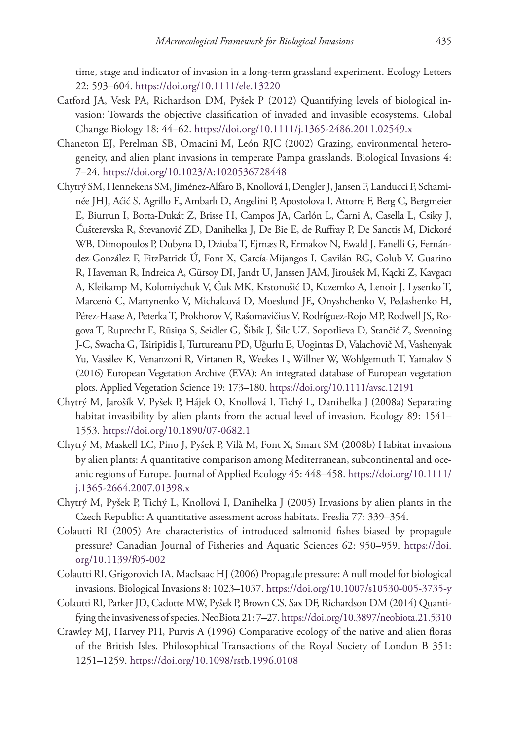time, stage and indicator of invasion in a long-term grassland experiment. Ecology Letters 22: 593–604.<https://doi.org/10.1111/ele.13220>

- Catford JA, Vesk PA, Richardson DM, Pyšek P (2012) Quantifying levels of biological invasion: Towards the objective classification of invaded and invasible ecosystems. Global Change Biology 18: 44–62. <https://doi.org/10.1111/j.1365-2486.2011.02549.x>
- Chaneton EJ, Perelman SB, Omacini M, León RJC (2002) Grazing, environmental heterogeneity, and alien plant invasions in temperate Pampa grasslands. Biological Invasions 4: 7–24.<https://doi.org/10.1023/A:1020536728448>
- Chytrý SM, Hennekens SM, Jiménez-Alfaro B, Knollová I, Dengler J, Jansen F, Landucci F, Schaminée JHJ, Aćić S, Agrillo E, Ambarlı D, Angelini P, Apostolova I, Attorre F, Berg C, Bergmeier E, Biurrun I, Botta‐Dukát Z, Brisse H, Campos JA, Carlón L, Čarni A, Casella L, Csiky J, Ćušterevska R, Stevanović ZD, Danihelka J, De Bie E, de Ruffray P, De Sanctis M, Dickoré WB, Dimopoulos P, Dubyna D, Dziuba T, Ejrnæs R, Ermakov N, Ewald J, Fanelli G, Fernández‐González F, FitzPatrick Ú, Font X, García‐Mijangos I, Gavilán RG, Golub V, Guarino R, Haveman R, Indreica A, Gürsoy DI, Jandt U, Janssen JAM, Jiroušek M, Kącki Z, Kavgacı A, Kleikamp M, Kolomiychuk V, Ćuk MK, Krstonošić D, Kuzemko A, Lenoir J, Lysenko T, Marcenò C, Martynenko V, Michalcová D, Moeslund JE, Onyshchenko V, Pedashenko H, Pérez‐Haase A, Peterka T, Prokhorov V, Rašomavičius V, Rodríguez‐Rojo MP, Rodwell JS, Rogova T, Ruprecht E, Rūsiņa S, Seidler G, Šibík J, Šilc UZ, Sopotlieva D, Stančić Z, Svenning J-C, Swacha G, Tsiripidis I, Turtureanu PD, Uğurlu E, Uogintas D, Valachovič M, Vashenyak Yu, Vassilev K, Venanzoni R, Virtanen R, Weekes L, Willner W, Wohlgemuth T, Yamalov S (2016) European Vegetation Archive (EVA): An integrated database of European vegetation plots. Applied Vegetation Science 19: 173–180.<https://doi.org/10.1111/avsc.12191>
- Chytrý M, Jarošík V, Pyšek P, Hájek O, Knollová I, Tichý L, Danihelka J (2008a) Separating habitat invasibility by alien plants from the actual level of invasion. Ecology 89: 1541– 1553.<https://doi.org/10.1890/07-0682.1>
- Chytrý M, Maskell LC, Pino J, Pyšek P, Vilà M, Font X, Smart SM (2008b) Habitat invasions by alien plants: A quantitative comparison among Mediterranean, subcontinental and oceanic regions of Europe. Journal of Applied Ecology 45: 448–458. [https://doi.org/10.1111/](https://doi.org/10.1111/j.1365-2664.2007.01398.x) [j.1365-2664.2007.01398.x](https://doi.org/10.1111/j.1365-2664.2007.01398.x)
- Chytrý M, Pyšek P, Tichý L, Knollová I, Danihelka J (2005) Invasions by alien plants in the Czech Republic: A quantitative assessment across habitats. Preslia 77: 339–354.
- Colautti RI (2005) Are characteristics of introduced salmonid fishes biased by propagule pressure? Canadian Journal of Fisheries and Aquatic Sciences 62: 950–959. [https://doi.](https://doi.org/10.1139/f05-002) [org/10.1139/f05-002](https://doi.org/10.1139/f05-002)
- Colautti RI, Grigorovich IA, MacIsaac HJ (2006) Propagule pressure: A null model for biological invasions. Biological Invasions 8: 1023–1037.<https://doi.org/10.1007/s10530-005-3735-y>
- Colautti RI, Parker JD, Cadotte MW, Pyšek P, Brown CS, Sax DF, Richardson DM (2014) Quantifying the invasiveness of species. NeoBiota 21: 7–27.<https://doi.org/10.3897/neobiota.21.5310>
- Crawley MJ, Harvey PH, Purvis A (1996) Comparative ecology of the native and alien floras of the British Isles. Philosophical Transactions of the Royal Society of London B 351: 1251–1259.<https://doi.org/10.1098/rstb.1996.0108>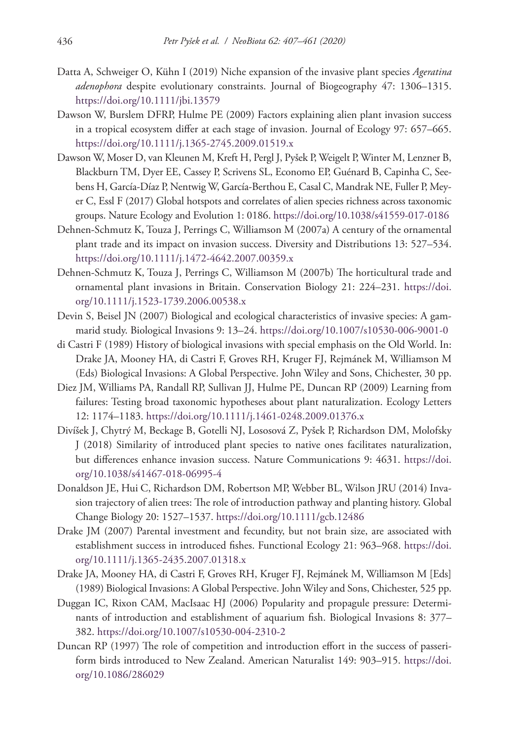- Datta A, Schweiger O, Kühn I (2019) Niche expansion of the invasive plant species *Ageratina adenophora* despite evolutionary constraints. Journal of Biogeography 47: 1306–1315. <https://doi.org/10.1111/jbi.13579>
- Dawson W, Burslem DFRP, Hulme PE (2009) Factors explaining alien plant invasion success in a tropical ecosystem differ at each stage of invasion. Journal of Ecology 97: 657–665. <https://doi.org/10.1111/j.1365-2745.2009.01519.x>
- Dawson W, Moser D, van Kleunen M, Kreft H, Pergl J, Pyšek P, Weigelt P, Winter M, Lenzner B, Blackburn TM, Dyer EE, Cassey P, Scrivens SL, Economo EP, Guénard B, Capinha C, Seebens H, García-Díaz P, Nentwig W, García-Berthou E, Casal C, Mandrak NE, Fuller P, Meyer C, Essl F (2017) Global hotspots and correlates of alien species richness across taxonomic groups. Nature Ecology and Evolution 1: 0186.<https://doi.org/10.1038/s41559-017-0186>
- Dehnen‐Schmutz K, Touza J, Perrings C, Williamson M (2007a) A century of the ornamental plant trade and its impact on invasion success. Diversity and Distributions 13: 527–534. <https://doi.org/10.1111/j.1472-4642.2007.00359.x>
- Dehnen-Schmutz K, Touza J, Perrings C, Williamson M (2007b) The horticultural trade and ornamental plant invasions in Britain. Conservation Biology 21: 224–231. [https://doi.](https://doi.org/10.1111/j.1523-1739.2006.00538.x) [org/10.1111/j.1523-1739.2006.00538.x](https://doi.org/10.1111/j.1523-1739.2006.00538.x)
- Devin S, Beisel JN (2007) Biological and ecological characteristics of invasive species: A gammarid study. Biological Invasions 9: 13–24.<https://doi.org/10.1007/s10530-006-9001-0>
- di Castri F (1989) History of biological invasions with special emphasis on the Old World. In: Drake JA, Mooney HA, di Castri F, Groves RH, Kruger FJ, Rejmánek M, Williamson M (Eds) Biological Invasions: A Global Perspective. John Wiley and Sons, Chichester, 30 pp.
- Diez JM, Williams PA, Randall RP, Sullivan JJ, Hulme PE, Duncan RP (2009) Learning from failures: Testing broad taxonomic hypotheses about plant naturalization. Ecology Letters 12: 1174–1183.<https://doi.org/10.1111/j.1461-0248.2009.01376.x>
- Divíšek J, Chytrý M, Beckage B, Gotelli NJ, Lososová Z, Pyšek P, Richardson DM, Molofsky J (2018) Similarity of introduced plant species to native ones facilitates naturalization, but differences enhance invasion success. Nature Communications 9: 4631. [https://doi.](https://doi.org/10.1038/s41467-018-06995-4) [org/10.1038/s41467-018-06995-4](https://doi.org/10.1038/s41467-018-06995-4)
- Donaldson JE, Hui C, Richardson DM, Robertson MP, Webber BL, Wilson JRU (2014) Invasion trajectory of alien trees: The role of introduction pathway and planting history. Global Change Biology 20: 1527–1537. <https://doi.org/10.1111/gcb.12486>
- Drake JM (2007) Parental investment and fecundity, but not brain size, are associated with establishment success in introduced fishes. Functional Ecology 21: 963–968. [https://doi.](https://doi.org/10.1111/j.1365-2435.2007.01318.x) [org/10.1111/j.1365-2435.2007.01318.x](https://doi.org/10.1111/j.1365-2435.2007.01318.x)
- Drake JA, Mooney HA, di Castri F, Groves RH, Kruger FJ, Rejmánek M, Williamson M [Eds] (1989) Biological Invasions: A Global Perspective. John Wiley and Sons, Chichester, 525 pp.
- Duggan IC, Rixon CAM, MacIsaac HJ (2006) Popularity and propagule pressure: Determinants of introduction and establishment of aquarium fish. Biological Invasions 8: 377– 382.<https://doi.org/10.1007/s10530-004-2310-2>
- Duncan RP (1997) The role of competition and introduction effort in the success of passeriform birds introduced to New Zealand. American Naturalist 149: 903–915. [https://doi.](https://doi.org/10.1086/286029) [org/10.1086/286029](https://doi.org/10.1086/286029)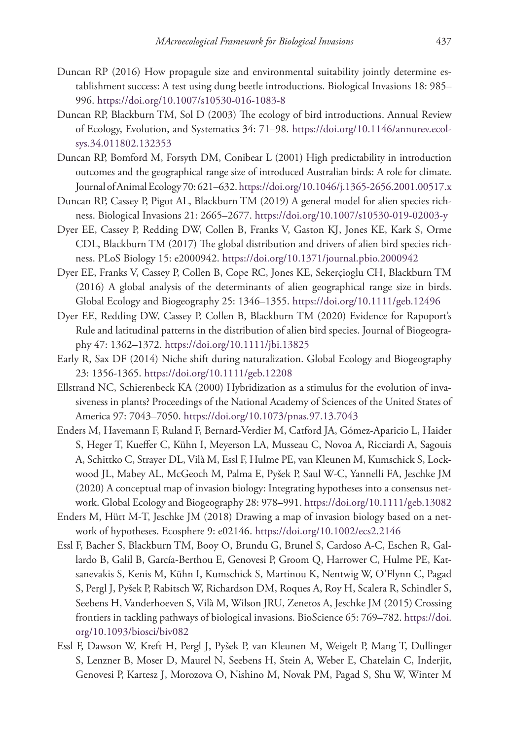- Duncan RP (2016) How propagule size and environmental suitability jointly determine establishment success: A test using dung beetle introductions. Biological Invasions 18: 985– 996.<https://doi.org/10.1007/s10530-016-1083-8>
- Duncan RP, Blackburn TM, Sol D (2003) The ecology of bird introductions. Annual Review of Ecology, Evolution, and Systematics 34: 71–98. [https://doi.org/10.1146/annurev.ecol](https://doi.org/10.1146/annurev.ecolsys.34.011802.132353)[sys.34.011802.132353](https://doi.org/10.1146/annurev.ecolsys.34.011802.132353)
- Duncan RP, Bomford M, Forsyth DM, Conibear L (2001) High predictability in introduction outcomes and the geographical range size of introduced Australian birds: A role for climate. Journal of Animal Ecology 70: 621–632.<https://doi.org/10.1046/j.1365-2656.2001.00517.x>
- Duncan RP, Cassey P, Pigot AL, Blackburn TM (2019) A general model for alien species richness. Biological Invasions 21: 2665–2677.<https://doi.org/10.1007/s10530-019-02003-y>
- Dyer EE, Cassey P, Redding DW, Collen B, Franks V, Gaston KJ, Jones KE, Kark S, Orme CDL, Blackburn TM (2017) The global distribution and drivers of alien bird species richness. PLoS Biology 15: e2000942.<https://doi.org/10.1371/journal.pbio.2000942>
- Dyer EE, Franks V, Cassey P, Collen B, Cope RC, Jones KE, Sekerçioglu CH, Blackburn TM (2016) A global analysis of the determinants of alien geographical range size in birds. Global Ecology and Biogeography 25: 1346–1355. <https://doi.org/10.1111/geb.12496>
- Dyer EE, Redding DW, Cassey P, Collen B, Blackburn TM (2020) Evidence for Rapoport's Rule and latitudinal patterns in the distribution of alien bird species. Journal of Biogeography 47: 1362–1372. <https://doi.org/10.1111/jbi.13825>
- Early R, Sax DF (2014) Niche shift during naturalization. Global Ecology and Biogeography 23: 1356-1365. <https://doi.org/10.1111/geb.12208>
- Ellstrand NC, Schierenbeck KA (2000) Hybridization as a stimulus for the evolution of invasiveness in plants? Proceedings of the National Academy of Sciences of the United States of America 97: 7043–7050. <https://doi.org/10.1073/pnas.97.13.7043>
- Enders M, Havemann F, Ruland F, Bernard-Verdier M, Catford JA, Gómez-Aparicio L, Haider S, Heger T, Kueffer C, Kühn I, Meyerson LA, Musseau C, Novoa A, Ricciardi A, Sagouis A, Schittko C, Strayer DL, Vilà M, Essl F, Hulme PE, van Kleunen M, Kumschick S, Lockwood JL, Mabey AL, McGeoch M, Palma E, Pyšek P, Saul W-C, Yannelli FA, Jeschke JM (2020) A conceptual map of invasion biology: Integrating hypotheses into a consensus network. Global Ecology and Biogeography 28: 978–991.<https://doi.org/10.1111/geb.13082>
- Enders M, Hütt M-T, Jeschke JM (2018) Drawing a map of invasion biology based on a network of hypotheses. Ecosphere 9: e02146.<https://doi.org/10.1002/ecs2.2146>
- Essl F, Bacher S, Blackburn TM, Booy O, Brundu G, Brunel S, Cardoso A-C, Eschen R, Gallardo B, Galil B, García-Berthou E, Genovesi P, Groom Q, Harrower C, Hulme PE, Katsanevakis S, Kenis M, Kühn I, Kumschick S, Martinou K, Nentwig W, O'Flynn C, Pagad S, Pergl J, Pyšek P, Rabitsch W, Richardson DM, Roques A, Roy H, Scalera R, Schindler S, Seebens H, Vanderhoeven S, Vilà M, Wilson JRU, Zenetos A, Jeschke JM (2015) Crossing frontiers in tackling pathways of biological invasions. BioScience 65: 769–782. [https://doi.](https://doi.org/10.1093/biosci/biv082) [org/10.1093/biosci/biv082](https://doi.org/10.1093/biosci/biv082)
- Essl F, Dawson W, Kreft H, Pergl J, Pyšek P, van Kleunen M, Weigelt P, Mang T, Dullinger S, Lenzner B, Moser D, Maurel N, Seebens H, Stein A, Weber E, Chatelain C, Inderjit, Genovesi P, Kartesz J, Morozova O, Nishino M, Novak PM, Pagad S, Shu W, Winter M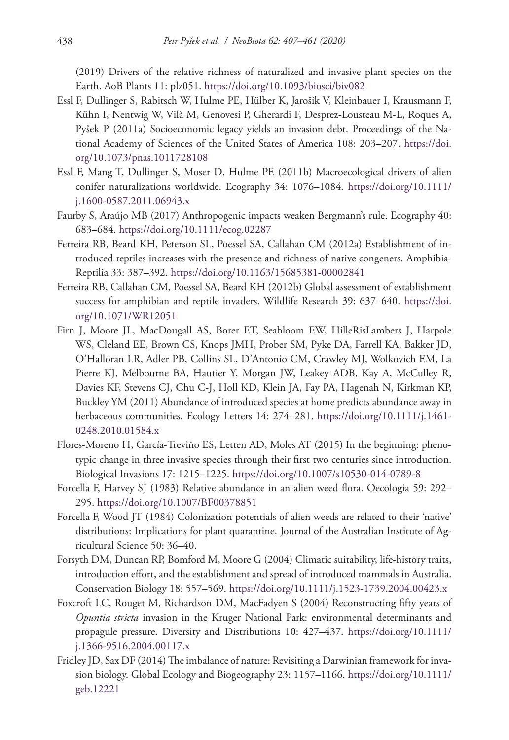(2019) Drivers of the relative richness of naturalized and invasive plant species on the Earth. AoB Plants 11: plz051. <https://doi.org/10.1093/biosci/biv082>

- Essl F, Dullinger S, Rabitsch W, Hulme PE, Hülber K, Jarošík V, Kleinbauer I, Krausmann F, Kühn I, Nentwig W, Vilà M, Genovesi P, Gherardi F, Desprez-Lousteau M-L, Roques A, Pyšek P (2011a) Socioeconomic legacy yields an invasion debt. Proceedings of the National Academy of Sciences of the United States of America 108: 203–207. [https://doi.](https://doi.org/10.1073/pnas.1011728108) [org/10.1073/pnas.1011728108](https://doi.org/10.1073/pnas.1011728108)
- Essl F, Mang T, Dullinger S, Moser D, Hulme PE (2011b) Macroecological drivers of alien conifer naturalizations worldwide. Ecography 34: 1076–1084. [https://doi.org/10.1111/](https://doi.org/10.1111/j.1600-0587.2011.06943.x) [j.1600-0587.2011.06943.x](https://doi.org/10.1111/j.1600-0587.2011.06943.x)
- Faurby S, Araújo MB (2017) Anthropogenic impacts weaken Bergmann's rule. Ecography 40: 683–684.<https://doi.org/10.1111/ecog.02287>
- Ferreira RB, Beard KH, Peterson SL, Poessel SA, Callahan CM (2012a) Establishment of introduced reptiles increases with the presence and richness of native congeners. Amphibia-Reptilia 33: 387–392.<https://doi.org/10.1163/15685381-00002841>
- Ferreira RB, Callahan CM, Poessel SA, Beard KH (2012b) Global assessment of establishment success for amphibian and reptile invaders. Wildlife Research 39: 637–640. [https://doi.](https://doi.org/10.1071/WR12051) [org/10.1071/WR12051](https://doi.org/10.1071/WR12051)
- Firn J, Moore JL, MacDougall AS, Borer ET, Seabloom EW, HilleRisLambers J, Harpole WS, Cleland EE, Brown CS, Knops JMH, Prober SM, Pyke DA, Farrell KA, Bakker JD, O'Halloran LR, Adler PB, Collins SL, D'Antonio CM, Crawley MJ, Wolkovich EM, La Pierre KJ, Melbourne BA, Hautier Y, Morgan JW, Leakey ADB, Kay A, McCulley R, Davies KF, Stevens CJ, Chu C-J, Holl KD, Klein JA, Fay PA, Hagenah N, Kirkman KP, Buckley YM (2011) Abundance of introduced species at home predicts abundance away in herbaceous communities. Ecology Letters 14: 274–281. [https://doi.org/10.1111/j.1461-](https://doi.org/10.1111/j.1461-0248.2010.01584.x) [0248.2010.01584.x](https://doi.org/10.1111/j.1461-0248.2010.01584.x)
- Flores-Moreno H, García-Treviño ES, Letten AD, Moles AT (2015) In the beginning: phenotypic change in three invasive species through their first two centuries since introduction. Biological Invasions 17: 1215–1225. <https://doi.org/10.1007/s10530-014-0789-8>
- Forcella F, Harvey SJ (1983) Relative abundance in an alien weed flora. Oecologia 59: 292– 295.<https://doi.org/10.1007/BF00378851>
- Forcella F, Wood JT (1984) Colonization potentials of alien weeds are related to their 'native' distributions: Implications for plant quarantine. Journal of the Australian Institute of Agricultural Science 50: 36–40.
- Forsyth DM, Duncan RP, Bomford M, Moore G (2004) Climatic suitability, life‐history traits, introduction effort, and the establishment and spread of introduced mammals in Australia. Conservation Biology 18: 557–569. <https://doi.org/10.1111/j.1523-1739.2004.00423.x>
- Foxcroft LC, Rouget M, Richardson DM, MacFadyen S (2004) Reconstructing fifty years of *Opuntia stricta* invasion in the Kruger National Park: environmental determinants and propagule pressure. Diversity and Distributions 10: 427–437. [https://doi.org/10.1111/](https://doi.org/10.1111/j.1366-9516.2004.00117.x) [j.1366-9516.2004.00117.x](https://doi.org/10.1111/j.1366-9516.2004.00117.x)
- Fridley JD, Sax DF (2014) The imbalance of nature: Revisiting a Darwinian framework for invasion biology. Global Ecology and Biogeography 23: 1157–1166. [https://doi.org/10.1111/](https://doi.org/10.1111/geb.12221) [geb.12221](https://doi.org/10.1111/geb.12221)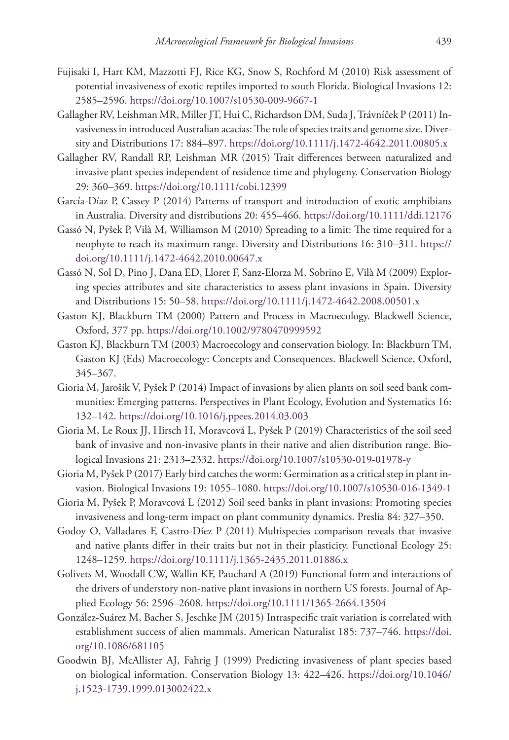- Fujisaki I, Hart KM, Mazzotti FJ, Rice KG, Snow S, Rochford M (2010) Risk assessment of potential invasiveness of exotic reptiles imported to south Florida. Biological Invasions 12: 2585–2596.<https://doi.org/10.1007/s10530-009-9667-1>
- Gallagher RV, Leishman MR, Miller JT, Hui C, Richardson DM, Suda J, Trávníček P (2011) Invasiveness in introduced Australian acacias: The role of species traits and genome size. Diversity and Distributions 17: 884–897.<https://doi.org/10.1111/j.1472-4642.2011.00805.x>
- Gallagher RV, Randall RP, Leishman MR (2015) Trait differences between naturalized and invasive plant species independent of residence time and phylogeny. Conservation Biology 29: 360–369.<https://doi.org/10.1111/cobi.12399>
- García‐Díaz P, Cassey P (2014) Patterns of transport and introduction of exotic amphibians in Australia. Diversity and distributions 20: 455–466. <https://doi.org/10.1111/ddi.12176>
- Gassó N, Pyšek P, Vilà M, Williamson M (2010) Spreading to a limit: The time required for a neophyte to reach its maximum range. Diversity and Distributions 16: 310–311. [https://](https://doi.org/10.1111/j.1472-4642.2010.00647.x) [doi.org/10.1111/j.1472-4642.2010.00647.x](https://doi.org/10.1111/j.1472-4642.2010.00647.x)
- Gassó N, Sol D, Pino J, Dana ED, Lloret F, Sanz-Elorza M, Sobrino E, Vilà M (2009) Exploring species attributes and site characteristics to assess plant invasions in Spain. Diversity and Distributions 15: 50–58.<https://doi.org/10.1111/j.1472-4642.2008.00501.x>
- Gaston KJ, Blackburn TM (2000) Pattern and Process in Macroecology. Blackwell Science, Oxford, 377 pp.<https://doi.org/10.1002/9780470999592>
- Gaston KJ, Blackburn TM (2003) Macroecology and conservation biology. In: Blackburn TM, Gaston KJ (Eds) Macroecology: Concepts and Consequences. Blackwell Science, Oxford, 345–367.
- Gioria M, Jarošík V, Pyšek P (2014) Impact of invasions by alien plants on soil seed bank communities: Emerging patterns. Perspectives in Plant Ecology, Evolution and Systematics 16: 132–142.<https://doi.org/10.1016/j.ppees.2014.03.003>
- Gioria M, Le Roux JJ, Hirsch H, Moravcová L, Pyšek P (2019) Characteristics of the soil seed bank of invasive and non-invasive plants in their native and alien distribution range. Biological Invasions 21: 2313–2332.<https://doi.org/10.1007/s10530-019-01978-y>
- Gioria M, Pyšek P (2017) Early bird catches the worm: Germination as a critical step in plant invasion. Biological Invasions 19: 1055–1080.<https://doi.org/10.1007/s10530-016-1349-1>
- Gioria M, Pyšek P, Moravcová L (2012) Soil seed banks in plant invasions: Promoting species invasiveness and long-term impact on plant community dynamics. Preslia 84: 327–350.
- Godoy O, Valladares F, Castro-Díez P (2011) Multispecies comparison reveals that invasive and native plants differ in their traits but not in their plasticity. Functional Ecology 25: 1248–1259.<https://doi.org/10.1111/j.1365-2435.2011.01886.x>
- Golivets M, Woodall CW, Wallin KF, Pauchard A (2019) Functional form and interactions of the drivers of understory non‐native plant invasions in northern US forests. Journal of Applied Ecology 56: 2596–2608.<https://doi.org/10.1111/1365-2664.13504>
- González-Suárez M, Bacher S, Jeschke JM (2015) Intraspecific trait variation is correlated with establishment success of alien mammals. American Naturalist 185: 737–746. [https://doi.](https://doi.org/10.1086/681105) [org/10.1086/681105](https://doi.org/10.1086/681105)
- Goodwin BJ, McAllister AJ, Fahrig J (1999) Predicting invasiveness of plant species based on biological information. Conservation Biology 13: 422–426. [https://doi.org/10.1046/](https://doi.org/10.1046/j.1523-1739.1999.013002422.x) [j.1523-1739.1999.013002422.x](https://doi.org/10.1046/j.1523-1739.1999.013002422.x)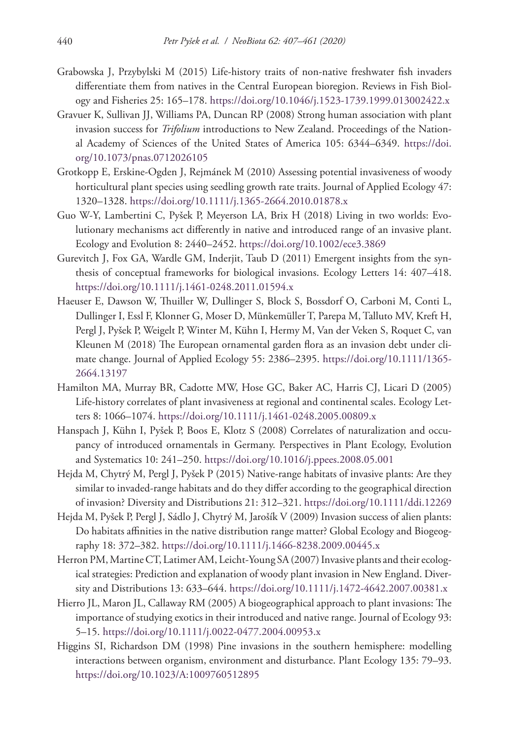- Grabowska J, Przybylski M (2015) Life-history traits of non-native freshwater fish invaders differentiate them from natives in the Central European bioregion. Reviews in Fish Biology and Fisheries 25: 165–178.<https://doi.org/10.1046/j.1523-1739.1999.013002422.x>
- Gravuer K, Sullivan JJ, Williams PA, Duncan RP (2008) Strong human association with plant invasion success for *Trifolium* introductions to New Zealand. Proceedings of the National Academy of Sciences of the United States of America 105: 6344–6349. [https://doi.](https://doi.org/10.1073/pnas.0712026105) [org/10.1073/pnas.0712026105](https://doi.org/10.1073/pnas.0712026105)
- Grotkopp E, Erskine-Ogden J, Rejmánek M (2010) Assessing potential invasiveness of woody horticultural plant species using seedling growth rate traits. Journal of Applied Ecology 47: 1320–1328.<https://doi.org/10.1111/j.1365-2664.2010.01878.x>
- Guo W-Y, Lambertini C, Pyšek P, Meyerson LA, Brix H (2018) Living in two worlds: Evolutionary mechanisms act differently in native and introduced range of an invasive plant. Ecology and Evolution 8: 2440–2452.<https://doi.org/10.1002/ece3.3869>
- Gurevitch J, Fox GA, Wardle GM, Inderjit, Taub D (2011) Emergent insights from the synthesis of conceptual frameworks for biological invasions. Ecology Letters 14: 407–418. <https://doi.org/10.1111/j.1461-0248.2011.01594.x>
- Haeuser E, Dawson W, Thuiller W, Dullinger S, Block S, Bossdorf O, Carboni M, Conti L, Dullinger I, Essl F, Klonner G, Moser D, Münkemüller T, Parepa M, Talluto MV, Kreft H, Pergl J, Pyšek P, Weigelt P, Winter M, Kühn I, Hermy M, Van der Veken S, Roquet C, van Kleunen M (2018) The European ornamental garden flora as an invasion debt under climate change. Journal of Applied Ecology 55: 2386–2395. [https://doi.org/10.1111/1365-](https://doi.org/10.1111/1365-2664.13197) [2664.13197](https://doi.org/10.1111/1365-2664.13197)
- Hamilton MA, Murray BR, Cadotte MW, Hose GC, Baker AC, Harris CJ, Licari D (2005) Life-history correlates of plant invasiveness at regional and continental scales. Ecology Letters 8: 1066–1074. <https://doi.org/10.1111/j.1461-0248.2005.00809.x>
- Hanspach J, Kühn I, Pyšek P, Boos E, Klotz S (2008) Correlates of naturalization and occupancy of introduced ornamentals in Germany. Perspectives in Plant Ecology, Evolution and Systematics 10: 241–250.<https://doi.org/10.1016/j.ppees.2008.05.001>
- Hejda M, Chytrý M, Pergl J, Pyšek P (2015) Native-range habitats of invasive plants: Are they similar to invaded-range habitats and do they differ according to the geographical direction of invasion? Diversity and Distributions 21: 312–321. <https://doi.org/10.1111/ddi.12269>
- Hejda M, Pyšek P, Pergl J, Sádlo J, Chytrý M, Jarošík V (2009) Invasion success of alien plants: Do habitats affinities in the native distribution range matter? Global Ecology and Biogeography 18: 372–382. <https://doi.org/10.1111/j.1466-8238.2009.00445.x>
- Herron PM, Martine CT, Latimer AM, Leicht-Young SA (2007) Invasive plants and their ecological strategies: Prediction and explanation of woody plant invasion in New England. Diversity and Distributions 13: 633–644.<https://doi.org/10.1111/j.1472-4642.2007.00381.x>
- Hierro JL, Maron JL, Callaway RM (2005) A biogeographical approach to plant invasions: The importance of studying exotics in their introduced and native range. Journal of Ecology 93: 5–15.<https://doi.org/10.1111/j.0022-0477.2004.00953.x>
- Higgins SI, Richardson DM (1998) Pine invasions in the southern hemisphere: modelling interactions between organism, environment and disturbance. Plant Ecology 135: 79–93. <https://doi.org/10.1023/A:1009760512895>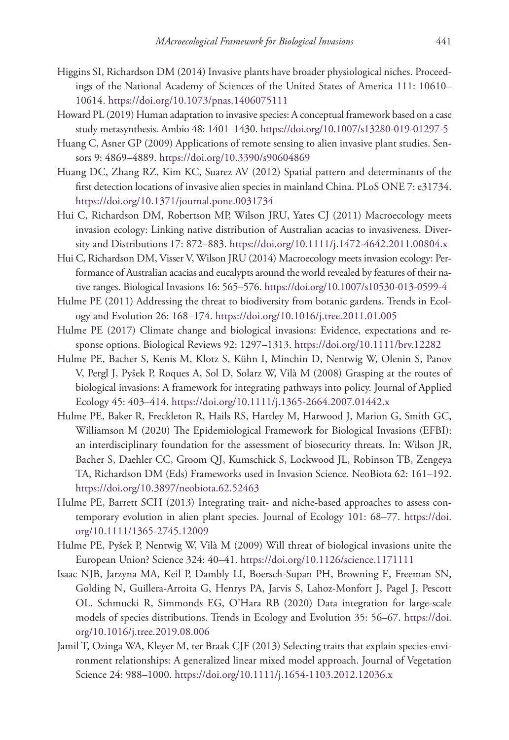- Higgins SI, Richardson DM (2014) Invasive plants have broader physiological niches. Proceedings of the National Academy of Sciences of the United States of America 111: 10610– 10614.<https://doi.org/10.1073/pnas.1406075111>
- Howard PL (2019) Human adaptation to invasive species: A conceptual framework based on a case study metasynthesis. Ambio 48: 1401–1430.<https://doi.org/10.1007/s13280-019-01297-5>
- Huang C, Asner GP (2009) Applications of remote sensing to alien invasive plant studies. Sensors 9: 4869–4889. <https://doi.org/10.3390/s90604869>
- Huang DC, Zhang RZ, Kim KC, Suarez AV (2012) Spatial pattern and determinants of the first detection locations of invasive alien species in mainland China. PLoS ONE 7: e31734. <https://doi.org/10.1371/journal.pone.0031734>
- Hui C, Richardson DM, Robertson MP, Wilson JRU, Yates CJ (2011) Macroecology meets invasion ecology: Linking native distribution of Australian acacias to invasiveness. Diversity and Distributions 17: 872–883.<https://doi.org/10.1111/j.1472-4642.2011.00804.x>
- Hui C, Richardson DM, Visser V, Wilson JRU (2014) Macroecology meets invasion ecology: Performance of Australian acacias and eucalypts around the world revealed by features of their native ranges. Biological Invasions 16: 565–576.<https://doi.org/10.1007/s10530-013-0599-4>
- Hulme PE (2011) Addressing the threat to biodiversity from botanic gardens. Trends in Ecology and Evolution 26: 168–174.<https://doi.org/10.1016/j.tree.2011.01.005>
- Hulme PE (2017) Climate change and biological invasions: Evidence, expectations and response options. Biological Reviews 92: 1297–1313. <https://doi.org/10.1111/brv.12282>
- Hulme PE, Bacher S, Kenis M, Klotz S, Kühn I, Minchin D, Nentwig W, Olenin S, Panov V, Pergl J, Pyšek P, Roques A, Sol D, Solarz W, Vilà M (2008) Grasping at the routes of biological invasions: A framework for integrating pathways into policy. Journal of Applied Ecology 45: 403–414. <https://doi.org/10.1111/j.1365-2664.2007.01442.x>
- Hulme PE, Baker R, Freckleton R, Hails RS, Hartley M, Harwood J, Marion G, Smith GC, Williamson M (2020) The Epidemiological Framework for Biological Invasions (EFBI): an interdisciplinary foundation for the assessment of biosecurity threats. In: Wilson JR, Bacher S, Daehler CC, Groom QJ, Kumschick S, Lockwood JL, Robinson TB, Zengeya TA, Richardson DM (Eds) Frameworks used in Invasion Science. NeoBiota 62: 161–192. <https://doi.org/10.3897/neobiota.62.52463>
- Hulme PE, Barrett SCH (2013) Integrating trait- and niche-based approaches to assess contemporary evolution in alien plant species. Journal of Ecology 101: 68–77. [https://doi.](https://doi.org/10.1111/1365-2745.12009) [org/10.1111/1365-2745.12009](https://doi.org/10.1111/1365-2745.12009)
- Hulme PE, Pyšek P, Nentwig W, Vilà M (2009) Will threat of biological invasions unite the European Union? Science 324: 40–41.<https://doi.org/10.1126/science.1171111>
- Isaac NJB, Jarzyna MA, Keil P, Dambly LI, Boersch-Supan PH, Browning E, Freeman SN, Golding N, Guillera-Arroita G, Henrys PA, Jarvis S, Lahoz-Monfort J, Pagel J, Pescott OL, Schmucki R, Simmonds EG, O'Hara RB (2020) Data integration for large-scale models of species distributions. Trends in Ecology and Evolution 35: 56–67. [https://doi.](https://doi.org/10.1016/j.tree.2019.08.006) [org/10.1016/j.tree.2019.08.006](https://doi.org/10.1016/j.tree.2019.08.006)
- Jamil T, Ozinga WA, Kleyer M, ter Braak CJF (2013) Selecting traits that explain species-environment relationships: A generalized linear mixed model approach. Journal of Vegetation Science 24: 988–1000. <https://doi.org/10.1111/j.1654-1103.2012.12036.x>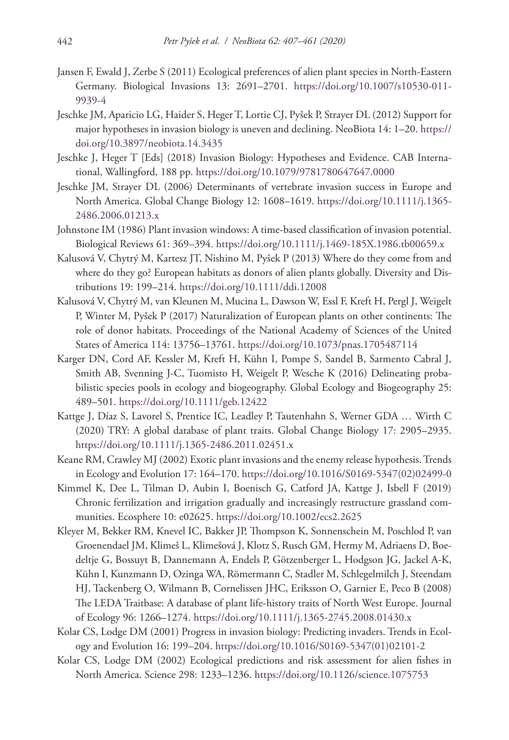- Jansen F, Ewald J, Zerbe S (2011) Ecological preferences of alien plant species in North-Eastern Germany. Biological Invasions 13: 2691–2701. [https://doi.org/10.1007/s10530-011-](https://doi.org/10.1007/s10530-011-9939-4) [9939-4](https://doi.org/10.1007/s10530-011-9939-4)
- Jeschke JM, Aparicio LG, Haider S, Heger T, Lortie CJ, Pyšek P, Strayer DL (2012) Support for major hypotheses in invasion biology is uneven and declining. NeoBiota 14: 1–20. [https://](https://doi.org/10.3897/neobiota.14.3435) [doi.org/10.3897/neobiota.14.3435](https://doi.org/10.3897/neobiota.14.3435)
- Jeschke J, Heger T [Eds] (2018) Invasion Biology: Hypotheses and Evidence. CAB International, Wallingford, 188 pp.<https://doi.org/10.1079/9781780647647.0000>
- Jeschke JM, Strayer DL (2006) Determinants of vertebrate invasion success in Europe and North America. Global Change Biology 12: 1608–1619. [https://doi.org/10.1111/j.1365-](https://doi.org/10.1111/j.1365-2486.2006.01213.x) [2486.2006.01213.x](https://doi.org/10.1111/j.1365-2486.2006.01213.x)
- Johnstone IM (1986) Plant invasion windows: A time-based classification of invasion potential. Biological Reviews 61: 369–394. <https://doi.org/10.1111/j.1469-185X.1986.tb00659.x>
- Kalusová V, Chytrý M, Kartesz JT, Nishino M, Pyšek P (2013) Where do they come from and where do they go? European habitats as donors of alien plants globally. Diversity and Distributions 19: 199–214.<https://doi.org/10.1111/ddi.12008>
- Kalusová V, Chytrý M, van Kleunen M, Mucina L, Dawson W, Essl F, Kreft H, Pergl J, Weigelt P, Winter M, Pyšek P (2017) Naturalization of European plants on other continents: The role of donor habitats. Proceedings of the National Academy of Sciences of the United States of America 114: 13756–13761. <https://doi.org/10.1073/pnas.1705487114>
- Karger DN, Cord AF, Kessler M, Kreft H, Kühn I, Pompe S, Sandel B, Sarmento Cabral J, Smith AB, Svenning J-C, Tuomisto H, Weigelt P, Wesche K (2016) Delineating probabilistic species pools in ecology and biogeography. Global Ecology and Biogeography 25: 489–501.<https://doi.org/10.1111/geb.12422>
- Kattge J, Díaz S, Lavorel S, Prentice IC, Leadley P, Tautenhahn S, Werner GDA … Wirth C (2020) TRY: A global database of plant traits. Global Change Biology 17: 2905–2935. <https://doi.org/10.1111/j.1365-2486.2011.02451.x>
- Keane RM, Crawley MJ (2002) Exotic plant invasions and the enemy release hypothesis. Trends in Ecology and Evolution 17: 164–170. [https://doi.org/10.1016/S0169-5347\(02\)02499-0](https://doi.org/10.1016/S0169-5347(02)02499-0)
- Kimmel K, Dee L, Tilman D, Aubin I, Boenisch G, Catford JA, Kattge J, Isbell F (2019) Chronic fertilization and irrigation gradually and increasingly restructure grassland communities. Ecosphere 10: e02625. <https://doi.org/10.1002/ecs2.2625>
- Kleyer M, Bekker RM, Knevel IC, Bakker JP, Thompson K, Sonnenschein M, Poschlod P, van Groenendael JM, Klimeš L, Klimešová J, Klotz S, Rusch GM, Hermy M, Adriaens D, Boedeltje G, Bossuyt B, Dannemann A, Endels P, Götzenberger L, Hodgson JG, Jackel A-K, Kühn I, Kunzmann D, Ozinga WA, Römermann C, Stadler M, Schlegelmilch J, Steendam HJ, Tackenberg O, Wilmann B, Cornelissen JHC, Eriksson O, Garnier E, Peco B (2008) The LEDA Traitbase: A database of plant life-history traits of North West Europe. Journal of Ecology 96: 1266–1274.<https://doi.org/10.1111/j.1365-2745.2008.01430.x>
- Kolar CS, Lodge DM (2001) Progress in invasion biology: Predicting invaders. Trends in Ecology and Evolution 16: 199–204. [https://doi.org/10.1016/S0169-5347\(01\)02101-2](https://doi.org/10.1016/S0169-5347(01)02101-2)
- Kolar CS, Lodge DM (2002) Ecological predictions and risk assessment for alien fishes in North America. Science 298: 1233–1236.<https://doi.org/10.1126/science.1075753>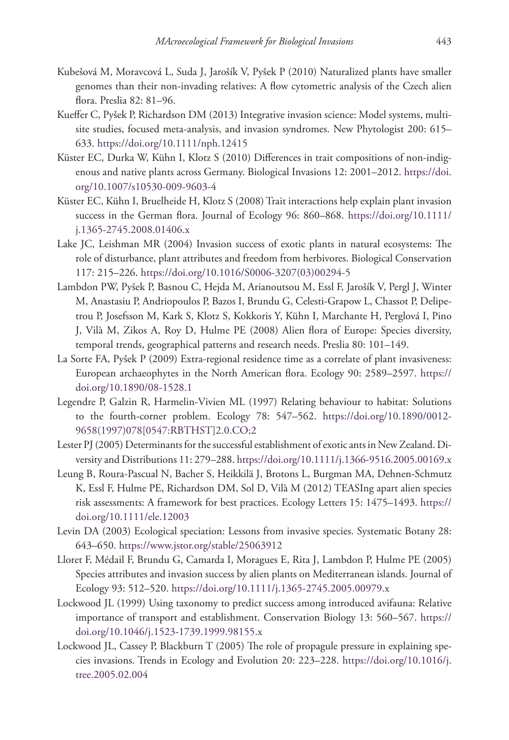- Kubešová M, Moravcová L, Suda J, Jarošík V, Pyšek P (2010) Naturalized plants have smaller genomes than their non-invading relatives: A flow cytometric analysis of the Czech alien flora. Preslia 82: 81–96.
- Kueffer C, Pyšek P, Richardson DM (2013) Integrative invasion science: Model systems, multisite studies, focused meta-analysis, and invasion syndromes. New Phytologist 200: 615– 633.<https://doi.org/10.1111/nph.12415>
- Küster EC, Durka W, Kühn I, Klotz S (2010) Differences in trait compositions of non-indigenous and native plants across Germany. Biological Invasions 12: 2001–2012. [https://doi.](https://doi.org/10.1007/s10530-009-9603-4) [org/10.1007/s10530-009-9603-4](https://doi.org/10.1007/s10530-009-9603-4)
- Küster EC, Kühn I, Bruelheide H, Klotz S (2008) Trait interactions help explain plant invasion success in the German flora. Journal of Ecology 96: 860–868. [https://doi.org/10.1111/](https://doi.org/10.1111/j.1365-2745.2008.01406.x) [j.1365-2745.2008.01406.x](https://doi.org/10.1111/j.1365-2745.2008.01406.x)
- Lake JC, Leishman MR (2004) Invasion success of exotic plants in natural ecosystems: The role of disturbance, plant attributes and freedom from herbivores. Biological Conservation 117: 215–226. [https://doi.org/10.1016/S0006-3207\(03\)00294-5](https://doi.org/10.1016/S0006-3207(03)00294-5)
- Lambdon PW, Pyšek P, Basnou C, Hejda M, Arianoutsou M, Essl F, Jarošík V, Pergl J, Winter M, Anastasiu P, Andriopoulos P, Bazos I, Brundu G, Celesti-Grapow L, Chassot P, Delipetrou P, Josefsson M, Kark S, Klotz S, Kokkoris Y, Kühn I, Marchante H, Perglová I, Pino J, Vilà M, Zikos A, Roy D, Hulme PE (2008) Alien flora of Europe: Species diversity, temporal trends, geographical patterns and research needs. Preslia 80: 101–149.
- La Sorte FA, Pyšek P (2009) Extra-regional residence time as a correlate of plant invasiveness: European archaeophytes in the North American flora. Ecology 90: 2589–2597. [https://](https://doi.org/10.1890/08-1528.1) [doi.org/10.1890/08-1528.1](https://doi.org/10.1890/08-1528.1)
- Legendre P, Galzin R, Harmelin-Vivien ML (1997) Relating behaviour to habitat: Solutions to the fourth-corner problem. Ecology 78: 547–562. [https://doi.org/10.1890/0012-](https://doi.org/10.1890/0012-9658(1997)078%5B0547:RBTHST%5D2.0.CO;2) [9658\(1997\)078\[0547:RBTHST\]2.0.CO;2](https://doi.org/10.1890/0012-9658(1997)078%5B0547:RBTHST%5D2.0.CO;2)
- Lester PJ (2005) Determinants for the successful establishment of exotic ants in New Zealand. Diversity and Distributions 11: 279–288.<https://doi.org/10.1111/j.1366-9516.2005.00169.x>
- Leung B, Roura-Pascual N, Bacher S, Heikkilä J, Brotons L, Burgman MA, Dehnen-Schmutz K, Essl F, Hulme PE, Richardson DM, Sol D, Vilà M (2012) TEASIng apart alien species risk assessments: A framework for best practices. Ecology Letters 15: 1475–1493. [https://](https://doi.org/10.1111/ele.12003) [doi.org/10.1111/ele.12003](https://doi.org/10.1111/ele.12003)
- Levin DA (2003) Ecological speciation: Lessons from invasive species. Systematic Botany 28: 643–650.<https://www.jstor.org/stable/25063912>
- Lloret F, Médail F, Brundu G, Camarda I, Moragues E, Rita J, Lambdon P, Hulme PE (2005) Species attributes and invasion success by alien plants on Mediterranean islands. Journal of Ecology 93: 512–520. <https://doi.org/10.1111/j.1365-2745.2005.00979.x>
- Lockwood JL (1999) Using taxonomy to predict success among introduced avifauna: Relative importance of transport and establishment. Conservation Biology 13: 560–567. [https://](https://doi.org/10.1046/j.1523-1739.1999.98155.x) [doi.org/10.1046/j.1523-1739.1999.98155.x](https://doi.org/10.1046/j.1523-1739.1999.98155.x)
- Lockwood JL, Cassey P, Blackburn T (2005) The role of propagule pressure in explaining species invasions. Trends in Ecology and Evolution 20: 223–228. [https://doi.org/10.1016/j.](https://doi.org/10.1016/j.tree.2005.02.004) [tree.2005.02.004](https://doi.org/10.1016/j.tree.2005.02.004)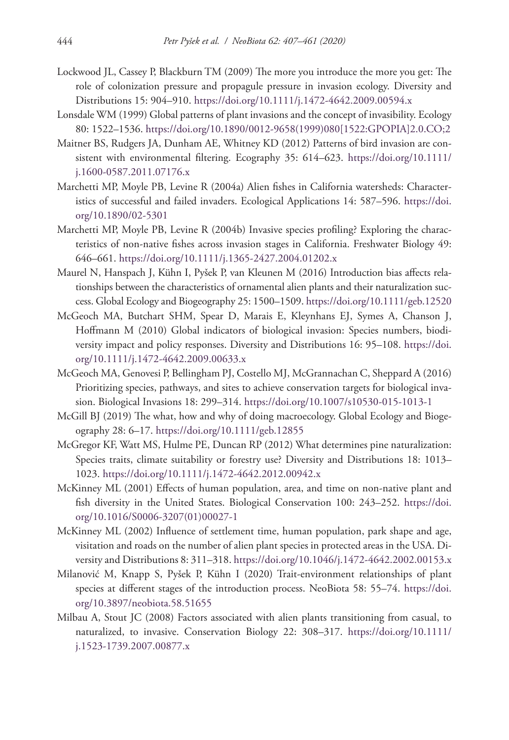- Lockwood JL, Cassey P, Blackburn TM (2009) The more you introduce the more you get: The role of colonization pressure and propagule pressure in invasion ecology. Diversity and Distributions 15: 904–910.<https://doi.org/10.1111/j.1472-4642.2009.00594.x>
- Lonsdale WM (1999) Global patterns of plant invasions and the concept of invasibility. Ecology 80: 1522–1536. [https://doi.org/10.1890/0012-9658\(1999\)080\[1522:GPOPIA\]2.0.CO;2](https://doi.org/10.1890/0012-9658(1999)080%5B1522:GPOPIA%5D2.0.CO;2)
- Maitner BS, Rudgers JA, Dunham AE, Whitney KD (2012) Patterns of bird invasion are consistent with environmental filtering. Ecography 35: 614–623. [https://doi.org/10.1111/](https://doi.org/10.1111/j.1600-0587.2011.07176.x) [j.1600-0587.2011.07176.x](https://doi.org/10.1111/j.1600-0587.2011.07176.x)
- Marchetti MP, Moyle PB, Levine R (2004a) Alien fishes in California watersheds: Characteristics of successful and failed invaders. Ecological Applications 14: 587–596. [https://doi.](https://doi.org/10.1890/02-5301) [org/10.1890/02-5301](https://doi.org/10.1890/02-5301)
- Marchetti MP, Moyle PB, Levine R (2004b) Invasive species profiling? Exploring the characteristics of non-native fishes across invasion stages in California. Freshwater Biology 49: 646–661.<https://doi.org/10.1111/j.1365-2427.2004.01202.x>
- Maurel N, Hanspach J, Kühn I, Pyšek P, van Kleunen M (2016) Introduction bias affects relationships between the characteristics of ornamental alien plants and their naturalization success. Global Ecology and Biogeography 25: 1500–1509.<https://doi.org/10.1111/geb.12520>
- McGeoch MA, Butchart SHM, Spear D, Marais E, Kleynhans EJ, Symes A, Chanson J, Hoffmann M (2010) Global indicators of biological invasion: Species numbers, biodiversity impact and policy responses. Diversity and Distributions 16: 95–108. [https://doi.](https://doi.org/10.1111/j.1472-4642.2009.00633.x) [org/10.1111/j.1472-4642.2009.00633.x](https://doi.org/10.1111/j.1472-4642.2009.00633.x)
- McGeoch MA, Genovesi P, Bellingham PJ, Costello MJ, McGrannachan C, Sheppard A (2016) Prioritizing species, pathways, and sites to achieve conservation targets for biological invasion. Biological Invasions 18: 299–314. <https://doi.org/10.1007/s10530-015-1013-1>
- McGill BJ (2019) The what, how and why of doing macroecology. Global Ecology and Biogeography 28: 6–17.<https://doi.org/10.1111/geb.12855>
- McGregor KF, Watt MS, Hulme PE, Duncan RP (2012) What determines pine naturalization: Species traits, climate suitability or forestry use? Diversity and Distributions 18: 1013– 1023.<https://doi.org/10.1111/j.1472-4642.2012.00942.x>
- McKinney ML (2001) Effects of human population, area, and time on non-native plant and fish diversity in the United States. Biological Conservation 100: 243–252. [https://doi.](https://doi.org/10.1016/S0006-3207(01)00027-1) [org/10.1016/S0006-3207\(01\)00027-1](https://doi.org/10.1016/S0006-3207(01)00027-1)
- McKinney ML (2002) Influence of settlement time, human population, park shape and age, visitation and roads on the number of alien plant species in protected areas in the USA. Diversity and Distributions 8: 311–318.<https://doi.org/10.1046/j.1472-4642.2002.00153.x>
- Milanović M, Knapp S, Pyšek P, Kühn I (2020) Trait-environment relationships of plant species at different stages of the introduction process. NeoBiota 58: 55–74. [https://doi.](https://doi.org/10.3897/neobiota.58.51655) [org/10.3897/neobiota.58.51655](https://doi.org/10.3897/neobiota.58.51655)
- Milbau A, Stout JC (2008) Factors associated with alien plants transitioning from casual, to naturalized, to invasive. Conservation Biology 22: 308–317. [https://doi.org/10.1111/](https://doi.org/10.1111/j.1523-1739.2007.00877.x) [j.1523-1739.2007.00877.x](https://doi.org/10.1111/j.1523-1739.2007.00877.x)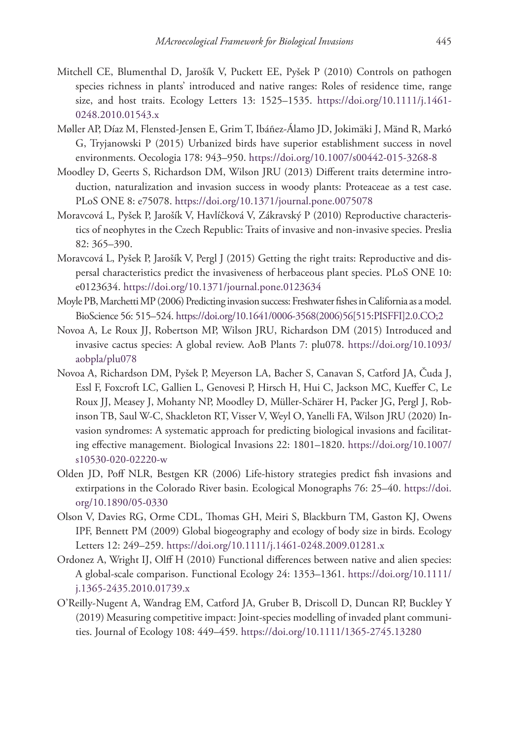- Mitchell CE, Blumenthal D, Jarošík V, Puckett EE, Pyšek P (2010) Controls on pathogen species richness in plants' introduced and native ranges: Roles of residence time, range size, and host traits. Ecology Letters 13: 1525–1535. [https://doi.org/10.1111/j.1461-](https://doi.org/10.1111/j.1461-0248.2010.01543.x) [0248.2010.01543.x](https://doi.org/10.1111/j.1461-0248.2010.01543.x)
- Møller AP, Díaz M, Flensted-Jensen E, Grim T, Ibáñez-Álamo JD, Jokimäki J, Mänd R, Markó G, Tryjanowski P (2015) Urbanized birds have superior establishment success in novel environments. Oecologia 178: 943–950. <https://doi.org/10.1007/s00442-015-3268-8>
- Moodley D, Geerts S, Richardson DM, Wilson JRU (2013) Different traits determine introduction, naturalization and invasion success in woody plants: Proteaceae as a test case. PLoS ONE 8: e75078. <https://doi.org/10.1371/journal.pone.0075078>
- Moravcová L, Pyšek P, Jarošík V, Havlíčková V, Zákravský P (2010) Reproductive characteristics of neophytes in the Czech Republic: Traits of invasive and non-invasive species. Preslia 82: 365–390.
- Moravcová L, Pyšek P, Jarošík V, Pergl J (2015) Getting the right traits: Reproductive and dispersal characteristics predict the invasiveness of herbaceous plant species. PLoS ONE 10: e0123634.<https://doi.org/10.1371/journal.pone.0123634>
- Moyle PB, Marchetti MP (2006) Predicting invasion success: Freshwater fishes in California as a model. BioScience 56: 515–524. [https://doi.org/10.1641/0006-3568\(2006\)56\[515:PISFFI\]2.0.CO;2](https://doi.org/10.1641/0006-3568(2006)56%5B515:PISFFI%5D2.0.CO;2)
- Novoa A, Le Roux JJ, Robertson MP, Wilson JRU, Richardson DM (2015) Introduced and invasive cactus species: A global review. AoB Plants 7: plu078. [https://doi.org/10.1093/](https://doi.org/10.1093/aobpla/plu078) [aobpla/plu078](https://doi.org/10.1093/aobpla/plu078)
- Novoa A, Richardson DM, Pyšek P, Meyerson LA, Bacher S, Canavan S, Catford JA, Čuda J, Essl F, Foxcroft LC, Gallien L, Genovesi P, Hirsch H, Hui C, Jackson MC, Kueffer C, Le Roux JJ, Measey J, Mohanty NP, Moodley D, Müller-Schärer H, Packer JG, Pergl J, Robinson TB, Saul W-C, Shackleton RT, Visser V, Weyl O, Yanelli FA, Wilson JRU (2020) Invasion syndromes: A systematic approach for predicting biological invasions and facilitating effective management. Biological Invasions 22: 1801–1820. [https://doi.org/10.1007/](https://doi.org/10.1007/s10530-020-02220-w) [s10530-020-02220-w](https://doi.org/10.1007/s10530-020-02220-w)
- Olden JD, Poff NLR, Bestgen KR (2006) Life-history strategies predict fish invasions and extirpations in the Colorado River basin. Ecological Monographs 76: 25–40. [https://doi.](https://doi.org/10.1890/05-0330) [org/10.1890/05-0330](https://doi.org/10.1890/05-0330)
- Olson V, Davies RG, Orme CDL, Thomas GH, Meiri S, Blackburn TM, Gaston KJ, Owens IPF, Bennett PM (2009) Global biogeography and ecology of body size in birds. Ecology Letters 12: 249–259.<https://doi.org/10.1111/j.1461-0248.2009.01281.x>
- Ordonez A, Wright IJ, Olff H (2010) Functional differences between native and alien species: A global-scale comparison. Functional Ecology 24: 1353–1361. [https://doi.org/10.1111/](https://doi.org/10.1111/j.1365-2435.2010.01739.x) [j.1365-2435.2010.01739.x](https://doi.org/10.1111/j.1365-2435.2010.01739.x)
- O'Reilly‐Nugent A, Wandrag EM, Catford JA, Gruber B, Driscoll D, Duncan RP, Buckley Y (2019) Measuring competitive impact: Joint‐species modelling of invaded plant communities. Journal of Ecology 108: 449–459. <https://doi.org/10.1111/1365-2745.13280>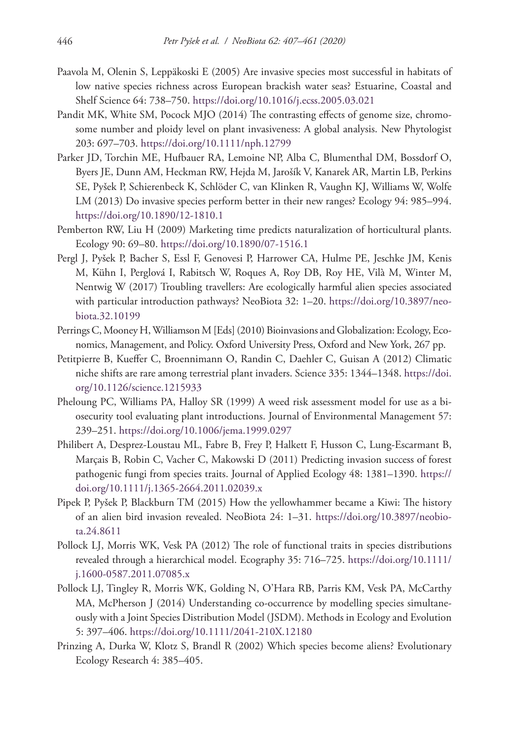- Paavola M, Olenin S, Leppäkoski E (2005) Are invasive species most successful in habitats of low native species richness across European brackish water seas? Estuarine, Coastal and Shelf Science 64: 738–750.<https://doi.org/10.1016/j.ecss.2005.03.021>
- Pandit MK, White SM, Pocock MJO (2014) The contrasting effects of genome size, chromosome number and ploidy level on plant invasiveness: A global analysis. New Phytologist 203: 697–703.<https://doi.org/10.1111/nph.12799>
- Parker JD, Torchin ME, Hufbauer RA, Lemoine NP, Alba C, Blumenthal DM, Bossdorf O, Byers JE, Dunn AM, Heckman RW, Hejda M, Jarošík V, Kanarek AR, Martin LB, Perkins SE, Pyšek P, Schierenbeck K, Schlöder C, van Klinken R, Vaughn KJ, Williams W, Wolfe LM (2013) Do invasive species perform better in their new ranges? Ecology 94: 985–994. <https://doi.org/10.1890/12-1810.1>
- Pemberton RW, Liu H (2009) Marketing time predicts naturalization of horticultural plants. Ecology 90: 69–80. <https://doi.org/10.1890/07-1516.1>
- Pergl J, Pyšek P, Bacher S, Essl F, Genovesi P, Harrower CA, Hulme PE, Jeschke JM, Kenis M, Kühn I, Perglová I, Rabitsch W, Roques A, Roy DB, Roy HE, Vilà M, Winter M, Nentwig W (2017) Troubling travellers: Are ecologically harmful alien species associated with particular introduction pathways? NeoBiota 32: 1–20. [https://doi.org/10.3897/neo](https://doi.org/10.3897/neobiota.32.10199)[biota.32.10199](https://doi.org/10.3897/neobiota.32.10199)
- Perrings C, Mooney H, Williamson M [Eds] (2010) Bioinvasions and Globalization: Ecology, Economics, Management, and Policy. Oxford University Press, Oxford and New York, 267 pp.
- Petitpierre B, Kueffer C, Broennimann O, Randin C, Daehler C, Guisan A (2012) Climatic niche shifts are rare among terrestrial plant invaders. Science 335: 1344–1348. [https://doi.](https://doi.org/10.1126/science.1215933) [org/10.1126/science.1215933](https://doi.org/10.1126/science.1215933)
- Pheloung PC, Williams PA, Halloy SR (1999) A weed risk assessment model for use as a biosecurity tool evaluating plant introductions. Journal of Environmental Management 57: 239–251.<https://doi.org/10.1006/jema.1999.0297>
- Philibert A, Desprez-Loustau ML, Fabre B, Frey P, Halkett F, Husson C, Lung-Escarmant B, Marçais B, Robin C, Vacher C, Makowski D (2011) Predicting invasion success of forest pathogenic fungi from species traits. Journal of Applied Ecology 48: 1381–1390. [https://](https://doi.org/10.1111/j.1365-2664.2011.02039.x) [doi.org/10.1111/j.1365-2664.2011.02039.x](https://doi.org/10.1111/j.1365-2664.2011.02039.x)
- Pipek P, Pyšek P, Blackburn TM (2015) How the yellowhammer became a Kiwi: The history of an alien bird invasion revealed. NeoBiota 24: 1–31. [https://doi.org/10.3897/neobio](https://doi.org/10.3897/neobiota.24.8611)[ta.24.8611](https://doi.org/10.3897/neobiota.24.8611)
- Pollock LJ, Morris WK, Vesk PA (2012) The role of functional traits in species distributions revealed through a hierarchical model. Ecography 35: 716–725. [https://doi.org/10.1111/](https://doi.org/10.1111/j.1600-0587.2011.07085.x) [j.1600-0587.2011.07085.x](https://doi.org/10.1111/j.1600-0587.2011.07085.x)
- Pollock LJ, Tingley R, Morris WK, Golding N, O'Hara RB, Parris KM, Vesk PA, McCarthy MA, McPherson J (2014) Understanding co-occurrence by modelling species simultaneously with a Joint Species Distribution Model (JSDM). Methods in Ecology and Evolution 5: 397–406.<https://doi.org/10.1111/2041-210X.12180>
- Prinzing A, Durka W, Klotz S, Brandl R (2002) Which species become aliens? Evolutionary Ecology Research 4: 385–405.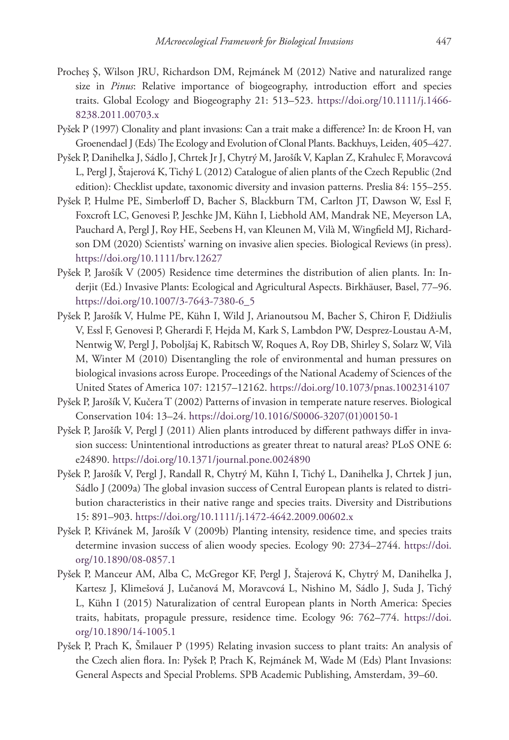- Procheş Ş, Wilson JRU, Richardson DM, Rejmánek M (2012) Native and naturalized range size in *Pinus*: Relative importance of biogeography, introduction effort and species traits. Global Ecology and Biogeography 21: 513–523. [https://doi.org/10.1111/j.1466-](https://doi.org/10.1111/j.1466-8238.2011.00703.x) [8238.2011.00703.x](https://doi.org/10.1111/j.1466-8238.2011.00703.x)
- Pyšek P (1997) Clonality and plant invasions: Can a trait make a difference? In: de Kroon H, van Groenendael J (Eds) The Ecology and Evolution of Clonal Plants. Backhuys, Leiden, 405–427.
- Pyšek P, Danihelka J, Sádlo J, Chrtek Jr J, Chytrý M, Jarošík V, Kaplan Z, Krahulec F, Moravcová L, Pergl J, Štajerová K, Tichý L (2012) Catalogue of alien plants of the Czech Republic (2nd edition): Checklist update, taxonomic diversity and invasion patterns. Preslia 84: 155–255.
- Pyšek P, Hulme PE, Simberloff D, Bacher S, Blackburn TM, Carlton JT, Dawson W, Essl F, Foxcroft LC, Genovesi P, Jeschke JM, Kühn I, Liebhold AM, Mandrak NE, Meyerson LA, Pauchard A, Pergl J, Roy HE, Seebens H, van Kleunen M, Vilà M, Wingfield MJ, Richardson DM (2020) Scientists' warning on invasive alien species. Biological Reviews (in press). <https://doi.org/10.1111/brv.12627>
- Pyšek P, Jarošík V (2005) Residence time determines the distribution of alien plants. In: Inderjit (Ed.) Invasive Plants: Ecological and Agricultural Aspects. Birkhäuser, Basel, 77–96. [https://doi.org/10.1007/3-7643-7380-6\\_5](https://doi.org/10.1007/3-7643-7380-6_5)
- Pyšek P, Jarošík V, Hulme PE, Kühn I, Wild J, Arianoutsou M, Bacher S, Chiron F, Didžiulis V, Essl F, Genovesi P, Gherardi F, Hejda M, Kark S, Lambdon PW, Desprez-Loustau A-M, Nentwig W, Pergl J, Poboljšaj K, Rabitsch W, Roques A, Roy DB, Shirley S, Solarz W, Vilà M, Winter M (2010) Disentangling the role of environmental and human pressures on biological invasions across Europe. Proceedings of the National Academy of Sciences of the United States of America 107: 12157–12162.<https://doi.org/10.1073/pnas.1002314107>
- Pyšek P, Jarošík V, Kučera T (2002) Patterns of invasion in temperate nature reserves. Biological Conservation 104: 13–24. [https://doi.org/10.1016/S0006-3207\(01\)00150-1](https://doi.org/10.1016/S0006-3207(01)00150-1)
- Pyšek P, Jarošík V, Pergl J (2011) Alien plants introduced by different pathways differ in invasion success: Unintentional introductions as greater threat to natural areas? PLoS ONE 6: e24890.<https://doi.org/10.1371/journal.pone.0024890>
- Pyšek P, Jarošík V, Pergl J, Randall R, Chytrý M, Kühn I, Tichý L, Danihelka J, Chrtek J jun, Sádlo J (2009a) The global invasion success of Central European plants is related to distribution characteristics in their native range and species traits. Diversity and Distributions 15: 891–903.<https://doi.org/10.1111/j.1472-4642.2009.00602.x>
- Pyšek P, Křivánek M, Jarošík V (2009b) Planting intensity, residence time, and species traits determine invasion success of alien woody species. Ecology 90: 2734–2744. [https://doi.](https://doi.org/10.1890/08-0857.1) [org/10.1890/08-0857.1](https://doi.org/10.1890/08-0857.1)
- Pyšek P, Manceur AM, Alba C, McGregor KF, Pergl J, Štajerová K, Chytrý M, Danihelka J, Kartesz J, Klimešová J, Lučanová M, Moravcová L, Nishino M, Sádlo J, Suda J, Tichý L, Kühn I (2015) Naturalization of central European plants in North America: Species traits, habitats, propagule pressure, residence time. Ecology 96: 762–774. [https://doi.](https://doi.org/10.1890/14-1005.1) [org/10.1890/14-1005.1](https://doi.org/10.1890/14-1005.1)
- Pyšek P, Prach K, Šmilauer P (1995) Relating invasion success to plant traits: An analysis of the Czech alien flora. In: Pyšek P, Prach K, Rejmánek M, Wade M (Eds) Plant Invasions: General Aspects and Special Problems. SPB Academic Publishing, Amsterdam, 39–60.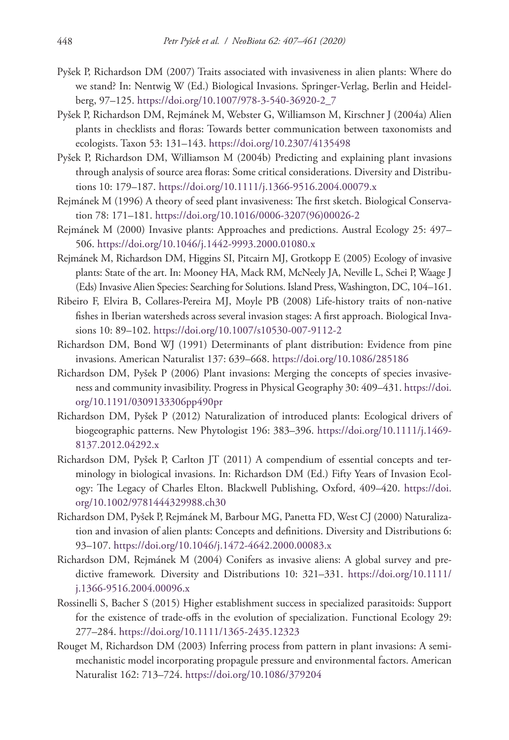- Pyšek P, Richardson DM (2007) Traits associated with invasiveness in alien plants: Where do we stand? In: Nentwig W (Ed.) Biological Invasions. Springer-Verlag, Berlin and Heidelberg, 97–125. [https://doi.org/10.1007/978-3-540-36920-2\\_7](https://doi.org/10.1007/978-3-540-36920-2_7)
- Pyšek P, Richardson DM, Rejmánek M, Webster G, Williamson M, Kirschner J (2004a) Alien plants in checklists and floras: Towards better communication between taxonomists and ecologists. Taxon 53: 131–143.<https://doi.org/10.2307/4135498>
- Pyšek P, Richardson DM, Williamson M (2004b) Predicting and explaining plant invasions through analysis of source area floras: Some critical considerations. Diversity and Distributions 10: 179–187. <https://doi.org/10.1111/j.1366-9516.2004.00079.x>
- Rejmánek M (1996) A theory of seed plant invasiveness: The first sketch. Biological Conservation 78: 171–181. [https://doi.org/10.1016/0006-3207\(96\)00026-2](https://doi.org/10.1016/0006-3207(96)00026-2)
- Rejmánek M (2000) Invasive plants: Approaches and predictions. Austral Ecology 25: 497– 506.<https://doi.org/10.1046/j.1442-9993.2000.01080.x>
- Rejmánek M, Richardson DM, Higgins SI, Pitcairn MJ, Grotkopp E (2005) Ecology of invasive plants: State of the art. In: Mooney HA, Mack RM, McNeely JA, Neville L, Schei P, Waage J (Eds) Invasive Alien Species: Searching for Solutions. Island Press, Washington, DC, 104–161.
- Ribeiro F, Elvira B, Collares-Pereira MJ, Moyle PB (2008) Life-history traits of non-native fishes in Iberian watersheds across several invasion stages: A first approach. Biological Invasions 10: 89–102.<https://doi.org/10.1007/s10530-007-9112-2>
- Richardson DM, Bond WJ (1991) Determinants of plant distribution: Evidence from pine invasions. American Naturalist 137: 639–668.<https://doi.org/10.1086/285186>
- Richardson DM, Pyšek P (2006) Plant invasions: Merging the concepts of species invasiveness and community invasibility. Progress in Physical Geography 30: 409–431. [https://doi.](https://doi.org/10.1191/0309133306pp490pr) [org/10.1191/0309133306pp490pr](https://doi.org/10.1191/0309133306pp490pr)
- Richardson DM, Pyšek P (2012) Naturalization of introduced plants: Ecological drivers of biogeographic patterns. New Phytologist 196: 383–396. [https://doi.org/10.1111/j.1469-](https://doi.org/10.1111/j.1469-8137.2012.04292.x) [8137.2012.04292.x](https://doi.org/10.1111/j.1469-8137.2012.04292.x)
- Richardson DM, Pyšek P, Carlton JT (2011) A compendium of essential concepts and terminology in biological invasions. In: Richardson DM (Ed.) Fifty Years of Invasion Ecology: The Legacy of Charles Elton. Blackwell Publishing, Oxford, 409–420. [https://doi.](https://doi.org/10.1002/9781444329988.ch30) [org/10.1002/9781444329988.ch30](https://doi.org/10.1002/9781444329988.ch30)
- Richardson DM, Pyšek P, Rejmánek M, Barbour MG, Panetta FD, West CJ (2000) Naturalization and invasion of alien plants: Concepts and definitions. Diversity and Distributions 6: 93–107.<https://doi.org/10.1046/j.1472-4642.2000.00083.x>
- Richardson DM, Rejmánek M (2004) Conifers as invasive aliens: A global survey and predictive framework*.* Diversity and Distributions 10: 321–331. [https://doi.org/10.1111/](https://doi.org/10.1111/j.1366-9516.2004.00096.x) [j.1366-9516.2004.00096.x](https://doi.org/10.1111/j.1366-9516.2004.00096.x)
- Rossinelli S, Bacher S (2015) Higher establishment success in specialized parasitoids: Support for the existence of trade-offs in the evolution of specialization. Functional Ecology 29: 277–284.<https://doi.org/10.1111/1365-2435.12323>
- Rouget M, Richardson DM (2003) Inferring process from pattern in plant invasions: A semimechanistic model incorporating propagule pressure and environmental factors. American Naturalist 162: 713–724.<https://doi.org/10.1086/379204>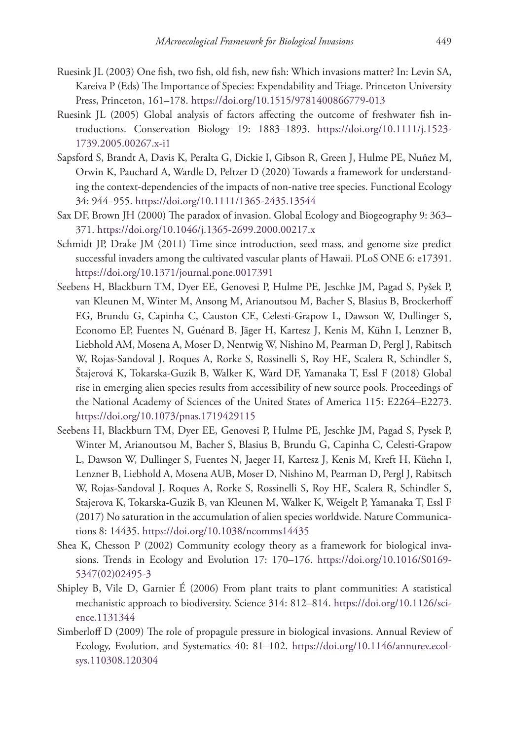- Ruesink JL (2003) One fish, two fish, old fish, new fish: Which invasions matter? In: Levin SA, Kareiva P (Eds) The Importance of Species: Expendability and Triage. Princeton University Press, Princeton, 161–178. <https://doi.org/10.1515/9781400866779-013>
- Ruesink JL (2005) Global analysis of factors affecting the outcome of freshwater fish introductions. Conservation Biology 19: 1883–1893. [https://doi.org/10.1111/j.1523-](https://doi.org/10.1111/j.1523-1739.2005.00267.x-i1) [1739.2005.00267.x-i1](https://doi.org/10.1111/j.1523-1739.2005.00267.x-i1)
- Sapsford S, Brandt A, Davis K, Peralta G, Dickie I, Gibson R, Green J, Hulme PE, Nuñez M, Orwin K, Pauchard A, Wardle D, Peltzer D (2020) Towards a framework for understanding the context-dependencies of the impacts of non-native tree species. Functional Ecology 34: 944–955.<https://doi.org/10.1111/1365-2435.13544>
- Sax DF, Brown JH (2000) The paradox of invasion. Global Ecology and Biogeography 9: 363– 371.<https://doi.org/10.1046/j.1365-2699.2000.00217.x>
- Schmidt JP, Drake JM (2011) Time since introduction, seed mass, and genome size predict successful invaders among the cultivated vascular plants of Hawaii. PLoS ONE 6: e17391. <https://doi.org/10.1371/journal.pone.0017391>
- Seebens H, Blackburn TM, Dyer EE, Genovesi P, Hulme PE, Jeschke JM, Pagad S, Pyšek P, van Kleunen M, Winter M, Ansong M, Arianoutsou M, Bacher S, Blasius B, Brockerhoff EG, Brundu G, Capinha C, Causton CE, Celesti-Grapow L, Dawson W, Dullinger S, Economo EP, Fuentes N, Guénard B, Jäger H, Kartesz J, Kenis M, Kühn I, Lenzner B, Liebhold AM, Mosena A, Moser D, Nentwig W, Nishino M, Pearman D, Pergl J, Rabitsch W, Rojas-Sandoval J, Roques A, Rorke S, Rossinelli S, Roy HE, Scalera R, Schindler S, Štajerová K, Tokarska-Guzik B, Walker K, Ward DF, Yamanaka T, Essl F (2018) Global rise in emerging alien species results from accessibility of new source pools. Proceedings of the National Academy of Sciences of the United States of America 115: E2264–E2273. <https://doi.org/10.1073/pnas.1719429115>
- Seebens H, Blackburn TM, Dyer EE, Genovesi P, Hulme PE, Jeschke JM, Pagad S, Pysek P, Winter M, Arianoutsou M, Bacher S, Blasius B, Brundu G, Capinha C, Celesti-Grapow L, Dawson W, Dullinger S, Fuentes N, Jaeger H, Kartesz J, Kenis M, Kreft H, Küehn I, Lenzner B, Liebhold A, Mosena AUB, Moser D, Nishino M, Pearman D, Pergl J, Rabitsch W, Rojas-Sandoval J, Roques A, Rorke S, Rossinelli S, Roy HE, Scalera R, Schindler S, Stajerova K, Tokarska-Guzik B, van Kleunen M, Walker K, Weigelt P, Yamanaka T, Essl F (2017) No saturation in the accumulation of alien species worldwide. Nature Communications 8: 14435. <https://doi.org/10.1038/ncomms14435>
- Shea K, Chesson P (2002) Community ecology theory as a framework for biological invasions. Trends in Ecology and Evolution 17: 170–176. [https://doi.org/10.1016/S0169-](https://doi.org/10.1016/S0169-5347(02)02495-3) [5347\(02\)02495-3](https://doi.org/10.1016/S0169-5347(02)02495-3)
- Shipley B, Vile D, Garnier É (2006) From plant traits to plant communities: A statistical mechanistic approach to biodiversity. Science 314: 812–814. [https://doi.org/10.1126/sci](https://doi.org/10.1126/science.1131344)[ence.1131344](https://doi.org/10.1126/science.1131344)
- Simberloff D (2009) The role of propagule pressure in biological invasions. Annual Review of Ecology, Evolution, and Systematics 40: 81–102. [https://doi.org/10.1146/annurev.ecol](https://doi.org/10.1146/annurev.ecolsys.110308.120304)[sys.110308.120304](https://doi.org/10.1146/annurev.ecolsys.110308.120304)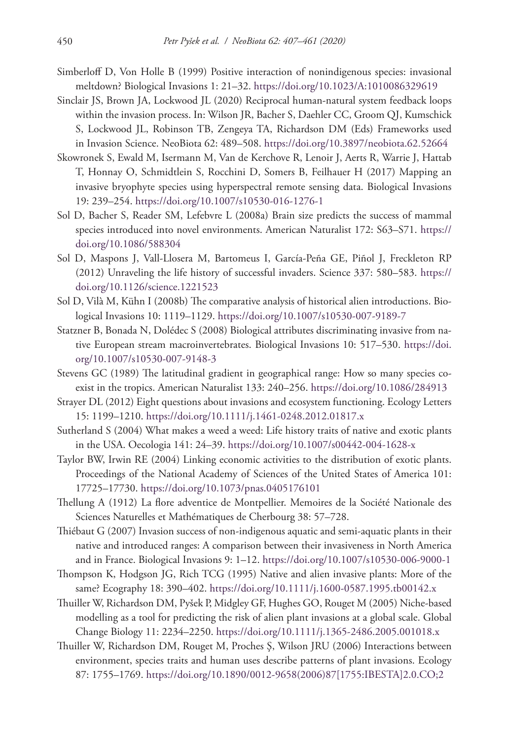- Simberloff D, Von Holle B (1999) Positive interaction of nonindigenous species: invasional meltdown? Biological Invasions 1: 21–32.<https://doi.org/10.1023/A:1010086329619>
- Sinclair JS, Brown JA, Lockwood JL (2020) Reciprocal human-natural system feedback loops within the invasion process. In: Wilson JR, Bacher S, Daehler CC, Groom QJ, Kumschick S, Lockwood JL, Robinson TB, Zengeya TA, Richardson DM (Eds) Frameworks used in Invasion Science. NeoBiota 62: 489–508. <https://doi.org/10.3897/neobiota.62.52664>
- Skowronek S, Ewald M, Isermann M, Van de Kerchove R, Lenoir J, Aerts R, Warrie J, Hattab T, Honnay O, Schmidtlein S, Rocchini D, Somers B, Feilhauer H (2017) Mapping an invasive bryophyte species using hyperspectral remote sensing data. Biological Invasions 19: 239–254.<https://doi.org/10.1007/s10530-016-1276-1>
- Sol D, Bacher S, Reader SM, Lefebvre L (2008a) Brain size predicts the success of mammal species introduced into novel environments. American Naturalist 172: S63–S71. [https://](https://doi.org/10.1086/588304) [doi.org/10.1086/588304](https://doi.org/10.1086/588304)
- Sol D, Maspons J, Vall-Llosera M, Bartomeus I, García-Peña GE, Piñol J, Freckleton RP (2012) Unraveling the life history of successful invaders. Science 337: 580–583. [https://](https://doi.org/10.1126/science.1221523) [doi.org/10.1126/science.1221523](https://doi.org/10.1126/science.1221523)
- Sol D, Vilà M, Kühn I (2008b) The comparative analysis of historical alien introductions. Biological Invasions 10: 1119–1129.<https://doi.org/10.1007/s10530-007-9189-7>
- Statzner B, Bonada N, Dolédec S (2008) Biological attributes discriminating invasive from native European stream macroinvertebrates. Biological Invasions 10: 517–530. [https://doi.](https://doi.org/10.1007/s10530-007-9148-3) [org/10.1007/s10530-007-9148-3](https://doi.org/10.1007/s10530-007-9148-3)
- Stevens GC (1989) The latitudinal gradient in geographical range: How so many species coexist in the tropics. American Naturalist 133: 240–256. <https://doi.org/10.1086/284913>
- Strayer DL (2012) Eight questions about invasions and ecosystem functioning. Ecology Letters 15: 1199–1210.<https://doi.org/10.1111/j.1461-0248.2012.01817.x>
- Sutherland S (2004) What makes a weed a weed: Life history traits of native and exotic plants in the USA. Oecologia 141: 24–39. <https://doi.org/10.1007/s00442-004-1628-x>
- Taylor BW, Irwin RE (2004) Linking economic activities to the distribution of exotic plants. Proceedings of the National Academy of Sciences of the United States of America 101: 17725–17730.<https://doi.org/10.1073/pnas.0405176101>
- Thellung A (1912) La flore adventice de Montpellier. Memoires de la Société Nationale des Sciences Naturelles et Mathématiques de Cherbourg 38: 57–728.
- Thiébaut G (2007) Invasion success of non-indigenous aquatic and semi-aquatic plants in their native and introduced ranges: A comparison between their invasiveness in North America and in France. Biological Invasions 9: 1–12.<https://doi.org/10.1007/s10530-006-9000-1>
- Thompson K, Hodgson JG, Rich TCG (1995) Native and alien invasive plants: More of the same? Ecography 18: 390–402. <https://doi.org/10.1111/j.1600-0587.1995.tb00142.x>
- Thuiller W, Richardson DM, Pyšek P, Midgley GF, Hughes GO, Rouget M (2005) Niche-based modelling as a tool for predicting the risk of alien plant invasions at a global scale. Global Change Biology 11: 2234–2250. <https://doi.org/10.1111/j.1365-2486.2005.001018.x>
- Thuiller W, Richardson DM, Rouget M, Proches Ş, Wilson JRU (2006) Interactions between environment, species traits and human uses describe patterns of plant invasions. Ecology 87: 1755–1769. [https://doi.org/10.1890/0012-9658\(2006\)87\[1755:IBESTA\]2.0.CO;2](https://doi.org/10.1890/0012-9658(2006)87%5B1755:IBESTA%5D2.0.CO;2)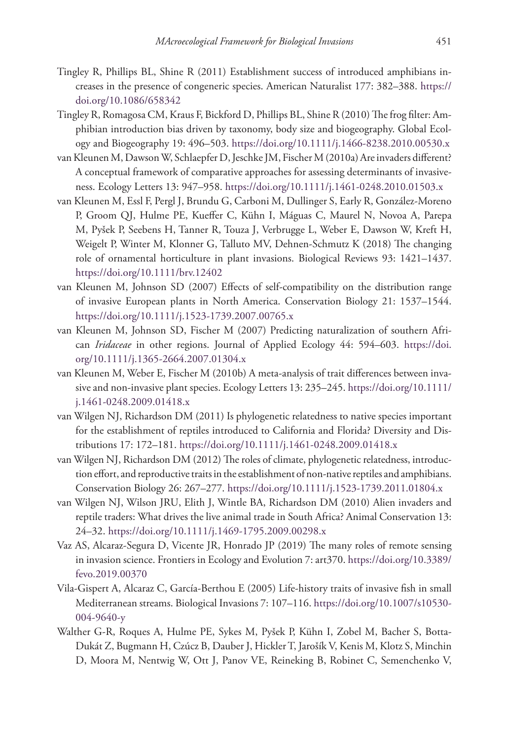- Tingley R, Phillips BL, Shine R (2011) Establishment success of introduced amphibians increases in the presence of congeneric species. American Naturalist 177: 382–388. [https://](https://doi.org/10.1086/658342) [doi.org/10.1086/658342](https://doi.org/10.1086/658342)
- Tingley R, Romagosa CM, Kraus F, Bickford D, Phillips BL, Shine R (2010) The frog filter: Amphibian introduction bias driven by taxonomy, body size and biogeography. Global Ecology and Biogeography 19: 496–503.<https://doi.org/10.1111/j.1466-8238.2010.00530.x>
- van Kleunen M, Dawson W, Schlaepfer D, Jeschke JM, Fischer M (2010a) Are invaders different? A conceptual framework of comparative approaches for assessing determinants of invasiveness. Ecology Letters 13: 947–958.<https://doi.org/10.1111/j.1461-0248.2010.01503.x>
- van Kleunen M, Essl F, Pergl J, Brundu G, Carboni M, Dullinger S, Early R, González-Moreno P, Groom QJ, Hulme PE, Kueffer C, Kühn I, Máguas C, Maurel N, Novoa A, Parepa M, Pyšek P, Seebens H, Tanner R, Touza J, Verbrugge L, Weber E, Dawson W, Kreft H, Weigelt P, Winter M, Klonner G, Talluto MV, Dehnen-Schmutz K (2018) The changing role of ornamental horticulture in plant invasions. Biological Reviews 93: 1421–1437. <https://doi.org/10.1111/brv.12402>
- van Kleunen M, Johnson SD (2007) Effects of self-compatibility on the distribution range of invasive European plants in North America. Conservation Biology 21: 1537–1544. <https://doi.org/10.1111/j.1523-1739.2007.00765.x>
- van Kleunen M, Johnson SD, Fischer M (2007) Predicting naturalization of southern African *Iridaceae* in other regions. Journal of Applied Ecology 44: 594–603. [https://doi.](https://doi.org/10.1111/j.1365-2664.2007.01304.x) [org/10.1111/j.1365-2664.2007.01304.x](https://doi.org/10.1111/j.1365-2664.2007.01304.x)
- van Kleunen M, Weber E, Fischer M (2010b) A meta-analysis of trait differences between invasive and non-invasive plant species. Ecology Letters 13: 235–245. [https://doi.org/10.1111/](https://doi.org/10.1111/j.1461-0248.2009.01418.x) [j.1461-0248.2009.01418.x](https://doi.org/10.1111/j.1461-0248.2009.01418.x)
- van Wilgen NJ, Richardson DM (2011) Is phylogenetic relatedness to native species important for the establishment of reptiles introduced to California and Florida? Diversity and Distributions 17: 172–181.<https://doi.org/10.1111/j.1461-0248.2009.01418.x>
- van Wilgen NJ, Richardson DM (2012) The roles of climate, phylogenetic relatedness, introduction effort, and reproductive traits in the establishment of non-native reptiles and amphibians. Conservation Biology 26: 267–277.<https://doi.org/10.1111/j.1523-1739.2011.01804.x>
- van Wilgen NJ, Wilson JRU, Elith J, Wintle BA, Richardson DM (2010) Alien invaders and reptile traders: What drives the live animal trade in South Africa? Animal Conservation 13: 24–32.<https://doi.org/10.1111/j.1469-1795.2009.00298.x>
- Vaz AS, Alcaraz-Segura D, Vicente JR, Honrado JP (2019) The many roles of remote sensing in invasion science. Frontiers in Ecology and Evolution 7: art370. [https://doi.org/10.3389/](https://doi.org/10.3389/fevo.2019.00370) [fevo.2019.00370](https://doi.org/10.3389/fevo.2019.00370)
- Vila-Gispert A, Alcaraz C, García-Berthou E (2005) Life-history traits of invasive fish in small Mediterranean streams. Biological Invasions 7: 107–116. [https://doi.org/10.1007/s10530-](https://doi.org/10.1007/s10530-004-9640-y) [004-9640-y](https://doi.org/10.1007/s10530-004-9640-y)
- Walther G-R, Roques A, Hulme PE, Sykes M, Pyšek P, Kühn I, Zobel M, Bacher S, Botta-Dukát Z, Bugmann H, Czúcz B, Dauber J, Hickler T, Jarošík V, Kenis M, Klotz S, Minchin D, Moora M, Nentwig W, Ott J, Panov VE, Reineking B, Robinet C, Semenchenko V,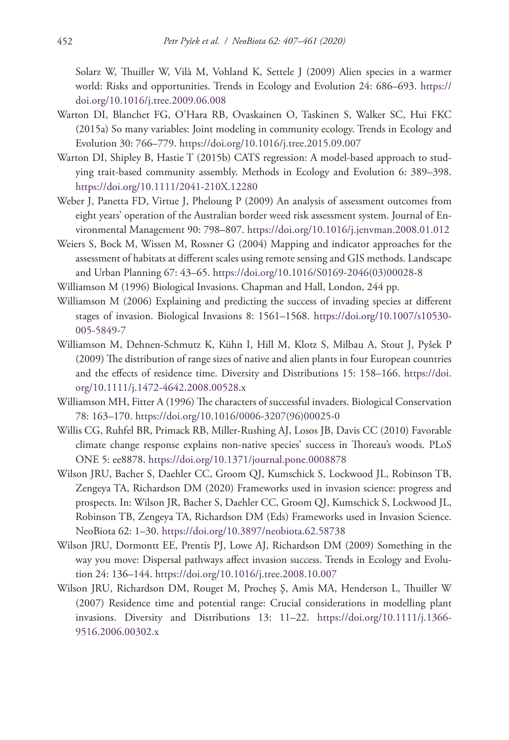Solarz W, Thuiller W, Vilà M, Vohland K, Settele J (2009) Alien species in a warmer world: Risks and opportunities. Trends in Ecology and Evolution 24: 686–693. [https://](https://doi.org/10.1016/j.tree.2009.06.008) [doi.org/10.1016/j.tree.2009.06.008](https://doi.org/10.1016/j.tree.2009.06.008)

- Warton DI, Blanchet FG, O'Hara RB, Ovaskainen O, Taskinen S, Walker SC, Hui FKC (2015a) So many variables: Joint modeling in community ecology. Trends in Ecology and Evolution 30: 766–779. <https://doi.org/10.1016/j.tree.2015.09.007>
- Warton DI, Shipley B, Hastie T (2015b) CATS regression: A model-based approach to studying trait-based community assembly. Methods in Ecology and Evolution 6: 389–398. <https://doi.org/10.1111/2041-210X.12280>
- Weber J, Panetta FD, Virtue J, Pheloung P (2009) An analysis of assessment outcomes from eight years' operation of the Australian border weed risk assessment system. Journal of Environmental Management 90: 798–807.<https://doi.org/10.1016/j.jenvman.2008.01.012>
- Weiers S, Bock M, Wissen M, Rossner G (2004) Mapping and indicator approaches for the assessment of habitats at different scales using remote sensing and GIS methods. Landscape and Urban Planning 67: 43–65. [https://doi.org/10.1016/S0169-2046\(03\)00028-8](https://doi.org/10.1016/S0169-2046(03)00028-8)
- Williamson M (1996) Biological Invasions. Chapman and Hall, London, 244 pp.
- Williamson M (2006) Explaining and predicting the success of invading species at different stages of invasion. Biological Invasions 8: 1561–1568. [https://doi.org/10.1007/s10530-](https://doi.org/10.1007/s10530-005-5849-7) [005-5849-7](https://doi.org/10.1007/s10530-005-5849-7)
- Williamson M, Dehnen-Schmutz K, Kühn I, Hill M, Klotz S, Milbau A, Stout J, Pyšek P (2009) The distribution of range sizes of native and alien plants in four European countries and the effects of residence time. Diversity and Distributions 15: 158–166. [https://doi.](https://doi.org/10.1111/j.1472-4642.2008.00528.x) [org/10.1111/j.1472-4642.2008.00528.x](https://doi.org/10.1111/j.1472-4642.2008.00528.x)
- Williamson MH, Fitter A (1996) The characters of successful invaders. Biological Conservation 78: 163–170. [https://doi.org/10.1016/0006-3207\(96\)00025-0](https://doi.org/10.1016/0006-3207(96)00025-0)
- Willis CG, Ruhfel BR, Primack RB, Miller-Rushing AJ, Losos JB, Davis CC (2010) Favorable climate change response explains non-native species' success in Thoreau's woods. PLoS ONE 5: ee8878.<https://doi.org/10.1371/journal.pone.0008878>
- Wilson JRU, Bacher S, Daehler CC, Groom QJ, Kumschick S, Lockwood JL, Robinson TB, Zengeya TA, Richardson DM (2020) Frameworks used in invasion science: progress and prospects. In: Wilson JR, Bacher S, Daehler CC, Groom QJ, Kumschick S, Lockwood JL, Robinson TB, Zengeya TA, Richardson DM (Eds) Frameworks used in Invasion Science. NeoBiota 62: 1–30. <https://doi.org/10.3897/neobiota.62.58738>
- Wilson JRU, Dormontt EE, Prentis PJ, Lowe AJ, Richardson DM (2009) Something in the way you move: Dispersal pathways affect invasion success. Trends in Ecology and Evolution 24: 136–144. <https://doi.org/10.1016/j.tree.2008.10.007>
- Wilson JRU, Richardson DM, Rouget M, Procheş Ş, Amis MA, Henderson L, Thuiller W (2007) Residence time and potential range: Crucial considerations in modelling plant invasions. Diversity and Distributions 13: 11–22. [https://doi.org/10.1111/j.1366-](https://doi.org/10.1111/j.1366-9516.2006.00302.x) [9516.2006.00302.x](https://doi.org/10.1111/j.1366-9516.2006.00302.x)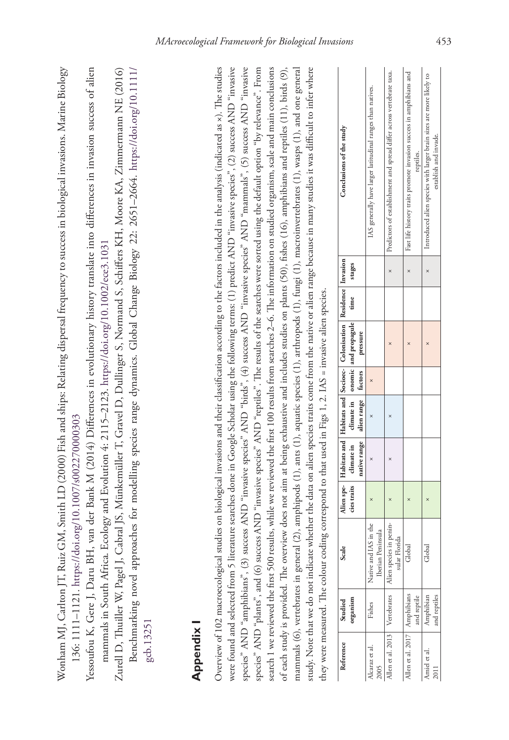| $\sim$ $\sim$                                                                                                                                                      |                                                                                                 |                                                         |
|--------------------------------------------------------------------------------------------------------------------------------------------------------------------|-------------------------------------------------------------------------------------------------|---------------------------------------------------------|
| Marine Bic                                                                                                                                                         |                                                                                                 |                                                         |
|                                                                                                                                                                    |                                                                                                 |                                                         |
|                                                                                                                                                                    |                                                                                                 |                                                         |
| $\frac{1}{1}$ . $\frac{1}{1}$                                                                                                                                      |                                                                                                 |                                                         |
|                                                                                                                                                                    |                                                                                                 |                                                         |
|                                                                                                                                                                    |                                                                                                 |                                                         |
|                                                                                                                                                                    |                                                                                                 | $\begin{bmatrix} 1 & 1 \\ 1 & 1 \\ 1 & 1 \end{bmatrix}$ |
|                                                                                                                                                                    |                                                                                                 |                                                         |
|                                                                                                                                                                    |                                                                                                 |                                                         |
|                                                                                                                                                                    |                                                                                                 |                                                         |
|                                                                                                                                                                    |                                                                                                 |                                                         |
|                                                                                                                                                                    |                                                                                                 |                                                         |
|                                                                                                                                                                    |                                                                                                 |                                                         |
|                                                                                                                                                                    |                                                                                                 |                                                         |
|                                                                                                                                                                    |                                                                                                 |                                                         |
| as the NA Smith LD (2000) Fish and ships: Kelating dispersal frequency to success in biological invasions. Marin<br>$\sim$ CM Smith I D (2000) Fight and abined by | coccocciccion - India - Cri<br>ו<br>גו                                                          |                                                         |
|                                                                                                                                                                    |                                                                                                 |                                                         |
|                                                                                                                                                                    |                                                                                                 |                                                         |
|                                                                                                                                                                    | .<br><i>i</i><br><i>i</i><br><i>i</i><br><i>i</i><br><i>i</i><br><i>i</i><br><i>i</i><br>צוט.נט |                                                         |
|                                                                                                                                                                    |                                                                                                 |                                                         |
| $\frac{1}{2}$                                                                                                                                                      |                                                                                                 |                                                         |
|                                                                                                                                                                    | $\ddot{\cdot}$<br>I                                                                             |                                                         |
|                                                                                                                                                                    |                                                                                                 |                                                         |
| -<br>2<br>$\frac{1}{2}$                                                                                                                                            |                                                                                                 |                                                         |
|                                                                                                                                                                    |                                                                                                 |                                                         |

Yessoufou K, Gere J, Daru BH, van der Bank M (2014) Differences in evolutionary history translate into differences in invasion success of alien Yessoufou K, Gere J, Daru BH, van der Bank M (2014) Differences in evolutionary history translate into differences in invasion success of alien mammals in South Africa. Ecology and Evolution 4: 2115-2123. https://doi.org/10.1002/ece3.1031 mammals in South Africa. Ecology and Evolution 4: 2115–2123.<https://doi.org/10.1002/ece3.1031>

Zurell D, Thuiller W, Pagel J, Cabral JS, Münkemüller T, Gravel D, Dullinger S, Normand S, Schiffers KH, Moore KA, Zimmermann NE (2016) Zurell D, Thuiller W, Pagel J, Cabral JS, Münkemüller T, Gravel D, Dullinger S, Normand S, Schiffers KH, Moore KA, Zimmermann NE (2016) Benchmarking novel approaches for modelling species range dynamics. Global Change Biology 22: 2651-2664. https://doi.org/10.1111/ Benchmarking novel approaches for modelling species range dynamics. Global Change Biology 22: 2651–2664. [https://doi.org/10.1111/](https://doi.org/10.1111/gcb.13251) [gcb.13251](https://doi.org/10.1111/gcb.13251)

# **Appendix I**  Appendix I

Overview of 102 macroecological studies on biological invasions and their classification according to the factors included in the analysis (indicated as ×). The studies Overview of 102 macroecological studies on biological invasions and their classification according to the factors included in the analysis (indicated as ×). The studies were found and selected from 5 literature searches done in Google Scholar using the following terms: (1) predict AND "invasive species", (2) success AND "invasive were found and selected from 5 literature searches done in Google Scholar using the following terms: (1) predict AND "invasive species", (2) success AND "invasive species" AND "amphibians", (3) success AND "invasive species" AND "birds", (4) success AND "invasive species" AND "mammals", (5) success AND "invasive species" AND "amphibians", (3) success AND "invasive species" AND "birds", (4) success AND "invasive species" AND "mammals", (5) success AND "invasive species" AND "plants", and (6) success AND "invasive species" AND "reptiles". The results of the searches were sorted using the default option "by relevance". From species" AND "plants", and (6) success AND "invasive species" AND "reptiles". The results of the searches were sorted using the default option "by relevance". From search 1 we reviewed the first 500 results, while we reviewed the first 100 results from searches 2–6. The information on studied organism, scale and main conclusions search 1 we reviewed the first 500 results, while we reviewed the first 100 results from searches 2–6. The information on studied organism, scale and main conclusions of each study is provided. The overview does not aim at being exhaustive and includes studies on plants (50), fishes (16), amphibians and reptiles (11), birds (9), mammals (6), vertebrates in general (2), amphipods (1), ants (1), aquatic species (1), arthropods (1), fungi (1), macroinvertebrates (1), wasps (1), and one general study. Note that we do not indicate whether the data on alien species traits come from the native or alien range because in many studies it was difficult to infer where study. Note that we do not indicate whether the data on alien species traits come from the native or alien range because in many studies it was difficult to infer where mammals (6), vertebrates in general (2), amphipods (1), ants (1), aquatic species (1), arthropods (1), fungi (1), macroinvertebrates (1), wasps (1), and one general of each study is provided. The overview does not aim at being exhaustive and includes studies on plants (50), fishes (16), amphibians and reptiles (11), birds (9), they were measured. The colour coding correspond to that used in Figs 1, 2. IAS = invasive alien species. they were measured. The colour coding correspond to that used in Figs 1, 2. IAS = invasive alien species.

| Reference                      | Studied      | Scale                  |  |                                      | Alien spe-   Habitats and   Habitats and   Socioec-   Colonisation   Residence   Invasion |        | Conclusions of the study                                              |
|--------------------------------|--------------|------------------------|--|--------------------------------------|-------------------------------------------------------------------------------------------|--------|-----------------------------------------------------------------------|
|                                | organism     |                        |  |                                      | cies traits   climate in   climate in   onomic   and propagule   time                     | stages |                                                                       |
|                                |              |                        |  | native range   alien range   factors | pressure                                                                                  |        |                                                                       |
| lcaraz et al                   | Fishes       | lative and IAS in the  |  |                                      |                                                                                           |        | IAS generally have larger latitudinal ranges than natives.            |
| 2005                           |              | Iberian Peninsula      |  |                                      |                                                                                           |        |                                                                       |
| llen et al. 2013   Vertebrates |              | Ulen species in penin- |  |                                      |                                                                                           |        | Predictors of establishment and spread differ across vertebrate taxa. |
|                                |              | sular Florida          |  |                                      |                                                                                           |        |                                                                       |
| llen et al. 2017               | Amphibians   | Global                 |  |                                      |                                                                                           |        | Fast life history traits promote invasion success in amphibians and   |
|                                | and reptile  |                        |  |                                      |                                                                                           |        | reptiles.                                                             |
| miel et al                     | Amphibian    | Global                 |  |                                      |                                                                                           |        | Introduced alien species with larger brain sizes are more likely to   |
|                                | and reptiles |                        |  |                                      |                                                                                           |        | establish and invade.                                                 |

 $\overline{1}$  $\overline{1}$  $\mathbf{I}$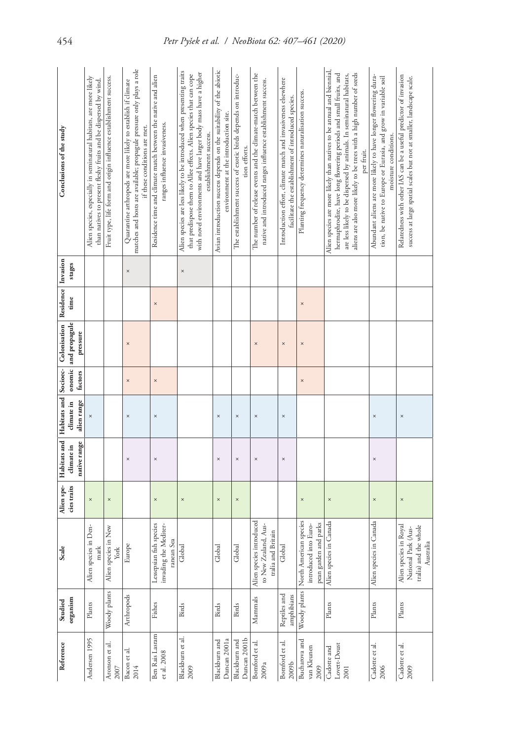|                    | Conclusions of the study                                                      | Alien species, especially in seminatural habitats, are more likely | than natives to present fleshy fruits and be dispersed by wind. | Fruit type, life form and origin influence establishment success. | matches and hosts are available; propagule pressure only plays a role<br>Quarantine arthropods are more likely to establish if climate<br>if these conditions are met. | Residence time and climate match between the native and alien | ranges influence invasiveness.      | Alien species are less likely to be introduced when presenting traits<br>with novel environments and have larger body mass have a higher<br>that predispose them to Allee effects. Alien species that can cope<br>establishment success. | Avian introduction success depends on the suitability of the abiotic | environment at the introduction site. | The establishment success of exotic birds depends on introduc-<br>tion efforts. | The number of release events and the climate-match between the | native and introduced ranges influence establishment success. |                    | Introduction effort, dimate match and invasiveness elsewhere<br>facilitate the establishment of introduced species. | Planting frequency determines naturalisation success. |                                                | Alien species are more likely than natives to be annual and biennial,<br>hermaphrodite, have long flowering periods and small fruits, and<br>aliens are also more likely to be trees with a high number of seeds<br>are less likely to be dispersed by animals. In seminatural habitats,<br>per fruit. | Abundant aliens are more likely to have longer flowering dura-<br>tion, be native to Europe or Eurasia, and grow in variable soil<br>moisture conditions. | Relatedness with other IAS can be a useful predictor of invasion<br>success at large spatial scales but not at smaller, landscape scale. |
|--------------------|-------------------------------------------------------------------------------|--------------------------------------------------------------------|-----------------------------------------------------------------|-------------------------------------------------------------------|------------------------------------------------------------------------------------------------------------------------------------------------------------------------|---------------------------------------------------------------|-------------------------------------|------------------------------------------------------------------------------------------------------------------------------------------------------------------------------------------------------------------------------------------|----------------------------------------------------------------------|---------------------------------------|---------------------------------------------------------------------------------|----------------------------------------------------------------|---------------------------------------------------------------|--------------------|---------------------------------------------------------------------------------------------------------------------|-------------------------------------------------------|------------------------------------------------|--------------------------------------------------------------------------------------------------------------------------------------------------------------------------------------------------------------------------------------------------------------------------------------------------------|-----------------------------------------------------------------------------------------------------------------------------------------------------------|------------------------------------------------------------------------------------------------------------------------------------------|
|                    | stages                                                                        |                                                                    |                                                                 |                                                                   | $\times$                                                                                                                                                               |                                                               |                                     | $\times$                                                                                                                                                                                                                                 |                                                                      |                                       |                                                                                 |                                                                |                                                               |                    |                                                                                                                     |                                                       |                                                |                                                                                                                                                                                                                                                                                                        |                                                                                                                                                           |                                                                                                                                          |
| Residence Invasion | time                                                                          |                                                                    |                                                                 |                                                                   |                                                                                                                                                                        | $\times$                                                      |                                     |                                                                                                                                                                                                                                          |                                                                      |                                       |                                                                                 |                                                                |                                                               |                    |                                                                                                                     | $\times$                                              |                                                |                                                                                                                                                                                                                                                                                                        |                                                                                                                                                           |                                                                                                                                          |
|                    | onomic and propagule<br>Habitats and   Habitats and   Socioec-   Colonisation | pressure                                                           |                                                                 |                                                                   | $\times$                                                                                                                                                               |                                                               |                                     |                                                                                                                                                                                                                                          |                                                                      |                                       |                                                                                 |                                                                | $\times$                                                      |                    | $\times$                                                                                                            | ×                                                     |                                                |                                                                                                                                                                                                                                                                                                        |                                                                                                                                                           |                                                                                                                                          |
|                    | factors                                                                       |                                                                    |                                                                 |                                                                   | $\times$                                                                                                                                                               | $\times$                                                      |                                     |                                                                                                                                                                                                                                          |                                                                      |                                       |                                                                                 |                                                                |                                                               |                    |                                                                                                                     | ×                                                     |                                                |                                                                                                                                                                                                                                                                                                        |                                                                                                                                                           |                                                                                                                                          |
|                    | climate in                                                                    | alien range<br>$\times$                                            |                                                                 |                                                                   | $\times$                                                                                                                                                               | $\times$                                                      |                                     |                                                                                                                                                                                                                                          | $\times$                                                             |                                       | $\times$                                                                        |                                                                | $\times$                                                      |                    | $\times$                                                                                                            |                                                       |                                                |                                                                                                                                                                                                                                                                                                        | $\times$                                                                                                                                                  | $\times$                                                                                                                                 |
|                    | climate in                                                                    | native range                                                       |                                                                 |                                                                   | $\times$                                                                                                                                                               | $\times$                                                      |                                     |                                                                                                                                                                                                                                          | ×                                                                    |                                       | ×                                                                               |                                                                | $\times$                                                      |                    | $\times$                                                                                                            |                                                       |                                                |                                                                                                                                                                                                                                                                                                        | $\times$                                                                                                                                                  |                                                                                                                                          |
|                    | Alien spe-<br>cies traits                                                     | $\times$                                                           |                                                                 | $\times$                                                          |                                                                                                                                                                        | $\times$                                                      |                                     | $\times$                                                                                                                                                                                                                                 | ×                                                                    |                                       | ×                                                                               |                                                                |                                                               |                    |                                                                                                                     | ×                                                     |                                                | $\times$                                                                                                                                                                                                                                                                                               | $\times$                                                                                                                                                  | $\times$                                                                                                                                 |
| Scale              |                                                                               | Alien species in Den-                                              | mark                                                            | Alien species in New<br>fork                                      | Europe                                                                                                                                                                 | Lessepsian fish species                                       | invading the Mediter-<br>ranean Sea | Global                                                                                                                                                                                                                                   | Global                                                               |                                       | Global                                                                          | Alien species introduced                                       | to New Zealand, Aus-                                          | tralia and Britain | Global                                                                                                              | North American species                                | pean garden and parks<br>introduced into Euro- | Alien species in Canada                                                                                                                                                                                                                                                                                | Alien species in Canada                                                                                                                                   | Alien species in Royal<br>tralia) and the whole<br>National Park (Aus-<br>Australia                                                      |
|                    | organism<br>Studied                                                           | Plants                                                             |                                                                 | Woody plants                                                      | Arthropods                                                                                                                                                             | Fishes                                                        |                                     | Birds                                                                                                                                                                                                                                    | <b>Birds</b>                                                         |                                       | <b>Birds</b>                                                                    | Mammals                                                        |                                                               |                    | Reptiles and<br>amphibians                                                                                          | Woody plants                                          |                                                | Plants                                                                                                                                                                                                                                                                                                 | Plants                                                                                                                                                    | Plants                                                                                                                                   |
| Reference          |                                                                               | Andersen 1995                                                      |                                                                 | Aronson et al.<br>2007                                            | Bacon et al.<br>2014                                                                                                                                                   | Ben Rais Lasram                                               | et al. 2008                         | Blackburn et al.<br>2009                                                                                                                                                                                                                 | Blackburn and                                                        | Duncan 2001a                          | Duncan 2001b<br>Blackburn and                                                   | Bomford et al.                                                 | 2009a                                                         |                    | Bomford et al.<br>2009 <sub>b</sub>                                                                                 | Bucharova and                                         | van Kleunen<br>2009                            | Lovetr-Doust<br>Cadotte and<br>2001                                                                                                                                                                                                                                                                    | Cadotte et al.<br>2006                                                                                                                                    | Cadotte et al.<br>2009                                                                                                                   |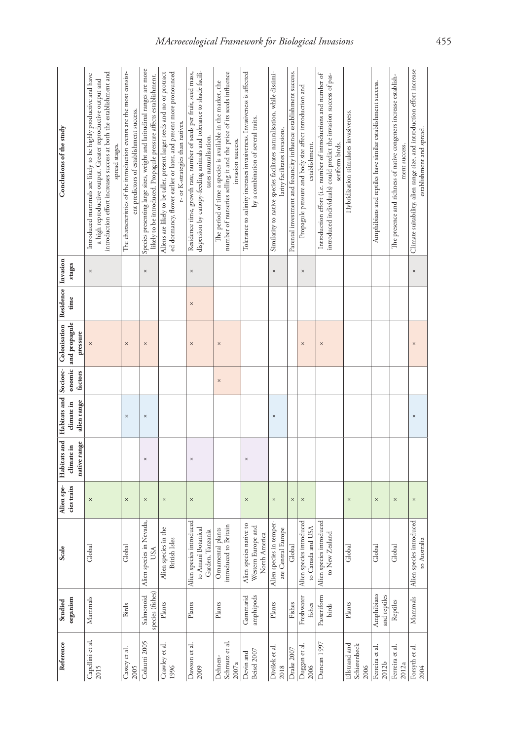| Reference                             | Studied                       | Scale                                                              | Alien spe-  |                            |                           |          | Habitats and Habitats and Socioec- Colonisation | Residence Invasion |          | Conclusions of the study                                                                                                                                                                                               |
|---------------------------------------|-------------------------------|--------------------------------------------------------------------|-------------|----------------------------|---------------------------|----------|-------------------------------------------------|--------------------|----------|------------------------------------------------------------------------------------------------------------------------------------------------------------------------------------------------------------------------|
|                                       | organism                      |                                                                    | cies traits | native range<br>climate in | alien range<br>climate in | factors  | onomic and propagule<br>pressure                | time               | stages   |                                                                                                                                                                                                                        |
| Capellini et al.<br>2015              | Mammals                       | Global                                                             | $\times$    |                            |                           |          | $\times$                                        |                    | $\times$ | introduction effort increases success at both the establishment and<br>Introduced mammals are likely to be highly productive and have<br>a high reproductive output. Greater reproductive output and<br>spread stages. |
| Cassey et al.<br>2005                 | <b>Birds</b>                  | Global                                                             | $\times$    |                            | $\times$                  |          | $\times$                                        |                    |          | The characteristics of the introduction events are the most consist-<br>ent predictors of establishment success.                                                                                                       |
| Colautti 2005                         | species (fishes)<br>Salmonoid | Alien species in Nevada,<br>USA                                    | ×           | $\times$                   | $\times$                  |          | $\times$                                        |                    | $\times$ | Species presenting large sizes, weight and latitudinal ranges are more<br>likely to be introduced. Propagule pressure affects establishment.                                                                           |
| Crawley et al<br>1996                 | $_{\rm Plants}$               | Alien species in the<br>Isles<br>British <sup>1</sup>              | $\times$    |                            |                           |          |                                                 |                    |          | Aliens are likely to be taller, present larger seeds and no or protract-<br>ed dormancy, flower earlier or later, and present more pronounced<br>r- or K-strategies than natives.                                      |
| Dawson et al.<br>2009                 | $\rm{Plants}$                 | Alien species introduced<br>to Amani Botanical<br>Garden, Tanzania | $\times$    | $\times$                   |                           |          | $\times$                                        | $\times$           | $\times$ | dispersion by canopy-feeding animals and tolerance to shade facili-<br>Residence time, growth rate, number of seeds per fruit, seed mass,<br>tates naturalisation.                                                     |
| Schmutz et al.<br>Dehnen-<br>2007a    | Plants                        | introduced to Britain<br>Ornamental plants                         |             |                            |                           | $\times$ | $\times$                                        |                    |          | number of nurseries selling it and the price of its seeds influence<br>The period of time a species is available in the market, the<br>invasion success.                                                               |
| Beisel 2007<br>Devin and              | Gammarid<br>amphipods         | native to<br>Western Europe and<br>North America<br>Alien species  | $\times$    | $\times$                   |                           |          |                                                 |                    |          | Tolerance to salinity increases invasiveness. Invasiveness is affected<br>by a combination of several traits.                                                                                                          |
| Divíšek et al.<br>2018                | Plants                        | Alien species in temper-<br>ate Central Europe                     | $\times$    |                            | $\times$                  |          |                                                 |                    | $\times$ | Similarity to native species facilitates naturalisation, while dissimi-<br>larity facilitates invasions.                                                                                                               |
| Drake 2007                            | Fishes                        | Global                                                             | $\times$    |                            |                           |          |                                                 |                    |          | Parental investment and fecundity influence establishment success.                                                                                                                                                     |
| Duggan et al.<br>2006                 | Freshwater<br>fishes          | Alien species introduced<br>to Canada and USA                      | $\times$    |                            |                           |          | $\times$                                        |                    | $\times$ | Propagule pressure and body size affect introduction and<br>establishment.                                                                                                                                             |
| Duncan 1997                           | Passeriform<br>birds          | Alien species introduced<br>to New Zealand                         |             |                            |                           |          | $\times$                                        |                    |          | Introduction effort (i.e. number of introductions and number of<br>introduced individuals) could predict the invasion success of pas-<br>seriform birds.                                                               |
| Ellstrand and<br>Schierenbeck<br>2006 | Plants                        | Global                                                             | $\times$    |                            |                           |          |                                                 |                    |          | Hybridization stimulates invasiveness.                                                                                                                                                                                 |
| Ferreira et al.<br>2012b              | Amphibians<br>and reptiles    | Global                                                             | $\times$    |                            |                           |          |                                                 |                    |          | Amphibians and reptiles have similar establishment success.                                                                                                                                                            |
| Ferreira et al.<br>2012a              | Reptiles                      | Global                                                             | $\times$    |                            |                           |          |                                                 |                    |          | The presence and richness of native congeners increase establish-<br>ment success.                                                                                                                                     |
| Forsyth et al.<br>2004                | Mammals                       | Alien species introduced<br>to Australia                           | $\times$    |                            | $\times$                  |          | $\times$                                        |                    | $\times$ | Climate suitability, alien range size, and introduction effort increase<br>establishment and spread.                                                                                                                   |
|                                       |                               |                                                                    |             |                            |                           |          |                                                 |                    |          |                                                                                                                                                                                                                        |

# *MAcroecological Framework for Biological Invasions* 455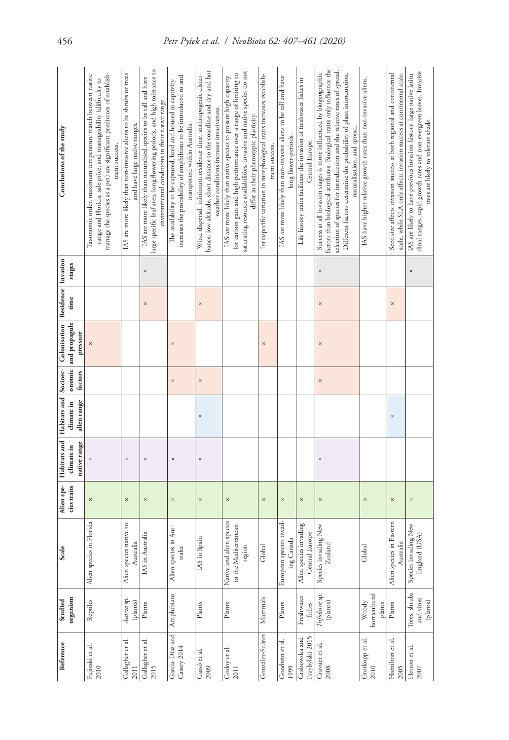| Conclusions of the study<br>Residence Invasion        | stages<br>time                   | manage the species as a pet) are significant predictors of establish-<br>Taxonomic order, maximum temperature match between native<br>range and Florida, sale price, and manageability (difficulty to<br>ment success. | IAS are more likely than non-invasive aliens to be shrubs or trees<br>and have large native ranges. | large specific leaf area, long flowering periods, and high tolerance to<br>IAS are more likely than naturalised species to be tall and have<br>environmental conditions in their native range.<br>$\times$<br>$\times$ | increases the probability of amphibians to be introduced to and<br>The availability to be captured, bred and housed in captivity<br>transported within Australia. | bance, low altitude, short distance to the coastline and dry and hot<br>Wind dispersal, minimum residence time, anthropogenic distur-<br>weather conditions increase invasiveness.<br>$\times$ | saturating resource availabilities. Invasive and native species do not<br>for carbon gain and high performance over a range of limiting to<br>IAS are more likely than native species to present high capacity<br>differ in their phenotypic plasticity. | Intraspecific variation in morphological traits increases establish-<br>ment success. | IAS are more likely than non-invasive aliens to be tall and have<br>long flower-periods. | Life history traits facilitate the invasion of freshwater fishes in<br>Central Europe. | factors than biological attributes. Biological traits only influence the<br>selection of species for introduction and the relative rates of spread.<br>Success at all invasion stages is more influenced by biogeographic<br>Different factors determine the probability of plant introduction,<br>naturalisation, and spread.<br>$\times$<br>$\times$ | IAS have higher relative growth rates than non-invasive aliens. | Seed size affects invasion success at both regional and continental<br>$\times$ | scale, while SLA only affects invasion success at continental scale. |
|-------------------------------------------------------|----------------------------------|------------------------------------------------------------------------------------------------------------------------------------------------------------------------------------------------------------------------|-----------------------------------------------------------------------------------------------------|------------------------------------------------------------------------------------------------------------------------------------------------------------------------------------------------------------------------|-------------------------------------------------------------------------------------------------------------------------------------------------------------------|------------------------------------------------------------------------------------------------------------------------------------------------------------------------------------------------|----------------------------------------------------------------------------------------------------------------------------------------------------------------------------------------------------------------------------------------------------------|---------------------------------------------------------------------------------------|------------------------------------------------------------------------------------------|----------------------------------------------------------------------------------------|--------------------------------------------------------------------------------------------------------------------------------------------------------------------------------------------------------------------------------------------------------------------------------------------------------------------------------------------------------|-----------------------------------------------------------------|---------------------------------------------------------------------------------|----------------------------------------------------------------------|
|                                                       | onomic and propagule<br>pressure |                                                                                                                                                                                                                        |                                                                                                     |                                                                                                                                                                                                                        | $\times$                                                                                                                                                          |                                                                                                                                                                                                |                                                                                                                                                                                                                                                          | $\times$                                                                              |                                                                                          |                                                                                        | $\times$                                                                                                                                                                                                                                                                                                                                               |                                                                 |                                                                                 |                                                                      |
|                                                       | factors                          |                                                                                                                                                                                                                        |                                                                                                     |                                                                                                                                                                                                                        | $\times$                                                                                                                                                          | $\times$                                                                                                                                                                                       |                                                                                                                                                                                                                                                          |                                                                                       |                                                                                          |                                                                                        | $\times$                                                                                                                                                                                                                                                                                                                                               |                                                                 |                                                                                 |                                                                      |
|                                                       | climate in<br>alien range        |                                                                                                                                                                                                                        |                                                                                                     |                                                                                                                                                                                                                        |                                                                                                                                                                   | $\times$                                                                                                                                                                                       |                                                                                                                                                                                                                                                          |                                                                                       |                                                                                          |                                                                                        |                                                                                                                                                                                                                                                                                                                                                        |                                                                 | $\times$                                                                        |                                                                      |
| Habitats and   Habitats and   Socioec-   Colonisation | native range<br>climate in       |                                                                                                                                                                                                                        | $\times$                                                                                            | $\times$                                                                                                                                                                                                               | $\times$                                                                                                                                                          | $\times$                                                                                                                                                                                       |                                                                                                                                                                                                                                                          |                                                                                       |                                                                                          |                                                                                        | ×                                                                                                                                                                                                                                                                                                                                                      |                                                                 |                                                                                 |                                                                      |
| Alien spe-                                            | cies traits                      | $\times$                                                                                                                                                                                                               | $\times$                                                                                            | $\times$                                                                                                                                                                                                               | $\times$                                                                                                                                                          | $\times$                                                                                                                                                                                       | $\times$                                                                                                                                                                                                                                                 | $\times$                                                                              | ×                                                                                        | $\times$                                                                               | $\times$                                                                                                                                                                                                                                                                                                                                               | $\times$                                                        | $\times$                                                                        |                                                                      |
| Scale                                                 |                                  | Alien species in Florida                                                                                                                                                                                               | Alien species native to<br>Australia                                                                | IAS in Australia                                                                                                                                                                                                       | Alien species in Aus-<br>tralia                                                                                                                                   | IAS in Spain                                                                                                                                                                                   | l alien species<br>in the Mediterranean<br>region<br>Native and                                                                                                                                                                                          | Global                                                                                | European species invad-<br>ing Canada                                                    | Alien species invading<br>Central Europe                                               | Species invading New<br>Zealand                                                                                                                                                                                                                                                                                                                        | Global                                                          | Alien species in Eastern<br>Australia                                           |                                                                      |
| Studied                                               | organism                         | Reptiles                                                                                                                                                                                                               | Acacia sp.<br>(plants)                                                                              | Plants                                                                                                                                                                                                                 | Amphibians                                                                                                                                                        | Plants                                                                                                                                                                                         | Plants                                                                                                                                                                                                                                                   | Mammals                                                                               | Plants                                                                                   | Freshwater<br>fishes                                                                   | Trifolium sp.<br>(plants)                                                                                                                                                                                                                                                                                                                              | horticultural<br>Woody<br>plants                                | $\rm{Plants}$                                                                   |                                                                      |
| Reference                                             |                                  | Fujisaki et al.<br>2010                                                                                                                                                                                                | Gallagher et al.<br>2011                                                                            | Gallagher et al<br>2015                                                                                                                                                                                                | García-Díaz and<br><b>Cassey 2014</b>                                                                                                                             | Gassó et al.<br>2009                                                                                                                                                                           | Godoy et al.<br>2011                                                                                                                                                                                                                                     | González-Suárez                                                                       | Goodwin et al.<br>1999                                                                   | Przybylski 2015<br>Grabowska and                                                       | Gravuer et al.<br>2008                                                                                                                                                                                                                                                                                                                                 | Grotkopp et al.<br>2010                                         | Hamilton et al.<br>2005                                                         |                                                                      |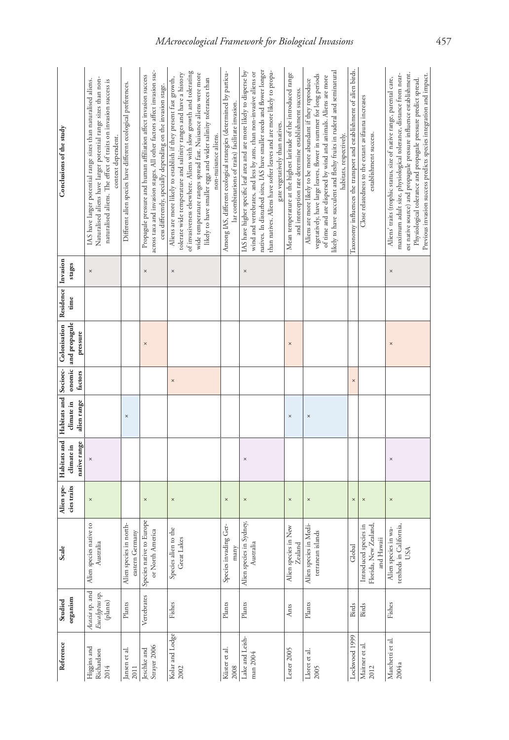| Reference        | Studied                                      | Scale                                                                                                       | Alien spe-  |              |             |          | Habitats and Habitats and Socioec- Colonisation | Residence Invasion |          | Conclusions of the study                                                                                                                                                                                                                                                                                                                                              |
|------------------|----------------------------------------------|-------------------------------------------------------------------------------------------------------------|-------------|--------------|-------------|----------|-------------------------------------------------|--------------------|----------|-----------------------------------------------------------------------------------------------------------------------------------------------------------------------------------------------------------------------------------------------------------------------------------------------------------------------------------------------------------------------|
|                  | organism                                     |                                                                                                             | cies traits | climate in   | climate in  |          | onomic and propagule                            | time               | stages   |                                                                                                                                                                                                                                                                                                                                                                       |
|                  |                                              |                                                                                                             |             | native range | alien range | factors  | pressure                                        |                    |          |                                                                                                                                                                                                                                                                                                                                                                       |
|                  | Acacia sp. and<br>Eucalyptus sp.<br>(plants) | native to<br>Australia<br>Alien species                                                                     | $\times$    | $\times$     |             |          |                                                 |                    | $\times$ | Naturalised aliens have larger potential range sizes than non-<br>IAS have larger potential range sizes than naturalised aliens.<br>naturalised aliens. The effect of traits on invasion success is<br>context dependent.                                                                                                                                             |
|                  | $\mathbf{Plants}$                            | in north-<br>eastern Germany<br>Alien species                                                               |             |              | $\times$    |          |                                                 |                    |          | Different alien species have different ecological preferences.                                                                                                                                                                                                                                                                                                        |
|                  | Vertebrates                                  | to Europe<br>or North America<br>Species native                                                             | $\times$    |              |             |          | $\times$                                        |                    | $\times$ | across taxa and invasion stages. All other factors affect invasion suc-<br>Propagule pressure and human affiliation affect invasion success<br>cess differently, specially depending on the invasion stage.                                                                                                                                                           |
| Kolar and Lodge  | Fishes                                       | Species alien to the<br>Great Lakes                                                                         | $\times$    |              |             | $\times$ |                                                 |                    | $\times$ | of invasiveness elsewhere. Aliens with slow growth and tolerating<br>tolerate wide temperature and salinity ranges and have a history<br>wide temperature ranges spread fast. Nuisance aliens were more<br>Aliens are more likely to establish if they present fast growth,<br>likely to have smaller eggs and wider salinity tolerances than<br>non-nuisance aliens. |
|                  | Plants                                       | Species invading Ger-<br>many                                                                               | $\times$    |              |             |          |                                                 |                    |          | Among IAS, different ecological strategies (determined by particu-<br>lar combinations of traits) facilitate invasion.                                                                                                                                                                                                                                                |
| Lake and Leish-  | Plants                                       | Alien species in Sydney,<br>Australia                                                                       | $\times$    | ×            |             |          |                                                 |                    | $\times$ | IAS have higher specific leaf area and are more likely to disperse by<br>natives. In disturbed sites, IAS have smaller seeds and flower longer<br>than natives. Aliens have softer leaves and are more likely to propa-<br>wind and vertebrates, and less by ants, than non-invasive aliens or<br>gate vegetatively than natives.                                     |
|                  | Ants                                         | Alien species in New<br>$\ensuremath{\mathsf{Z}\text{-}\mathrm{e}\mathrm{a}\mathrm{h}\mathrm{d}\mathrm{d}}$ | $\times$    |              | $\times$    |          | $\times$                                        |                    |          | Mean temperature at the highest latitude of the introduced range<br>and interception rate determine establishment success.                                                                                                                                                                                                                                            |
|                  | $_{\rm Plants}$                              | in Medi-<br>terranean islands<br>Alien species                                                              | $\times$    |              | $\times$    |          |                                                 |                    |          | likely to have succulent and fleshy fruits in ruderal and seminatural<br>vegetatively, have large leaves, flower in summer for long periods<br>of time and are dispersed by wind and animals. Aliens are more<br>Aliens are more likely to be more abundant if they reproduce<br>habitats, respectively.                                                              |
| ockwood 1999     | <b>Birds</b>                                 | Global                                                                                                      | $\times$    |              |             | $\times$ |                                                 |                    |          | Taxonomy influences the transport and establishment of alien birds.                                                                                                                                                                                                                                                                                                   |
|                  | Birds                                        | Florida, New Zealand,<br>Introduced species in<br>and Hawaii                                                | $\times$    |              |             |          |                                                 |                    |          | Close relatedness to the extant avifauna increases<br>establishment success.                                                                                                                                                                                                                                                                                          |
| Marchetti et al. | Fishes                                       | rensheds in California,<br>Alien species in wa-<br>USA                                                      | $\times$    | $\times$     |             |          | $\times$                                        |                    | $\times$ | est native source) and propagule pressure influence establishment.<br>Previous invasion success predicts species integration and impact.<br>maximum adult size, physiological tolerance, distance from near-<br>Aliens' traits (trophic status, size of native range, parental care,<br>Physiological tolerance and propagule pressure predict spread.                |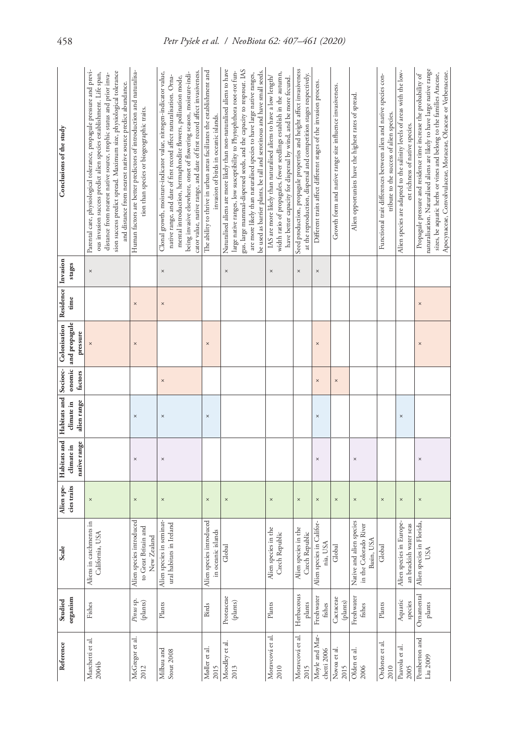| Reference                     | Studied                                                                         | Scale                                                           | Alien spe-  |                            |                           |          | Habitats and Habitats and Socioec- Colonisation | Residence Invasion |          | Conclusions of the study                                                                                                                                                                                                                                                                                                                                                    |
|-------------------------------|---------------------------------------------------------------------------------|-----------------------------------------------------------------|-------------|----------------------------|---------------------------|----------|-------------------------------------------------|--------------------|----------|-----------------------------------------------------------------------------------------------------------------------------------------------------------------------------------------------------------------------------------------------------------------------------------------------------------------------------------------------------------------------------|
|                               | organism                                                                        |                                                                 | cies traits | native range<br>climate in | alien range<br>climate in | factors  | onomic and propagule<br>pressure                | time               | stages   |                                                                                                                                                                                                                                                                                                                                                                             |
| Marchetti et al.<br>2004b     | Fishes                                                                          | Aliens in catchments in<br>California, USA                      | $\times$    |                            |                           |          |                                                 |                    | $\times$ | Parental care, physiological tolerance, propagule pressure and previ-<br>sion success predict spread. Maximum size, physiological tolerance<br>ous invasion success predict alien species establishment. Life span,<br>distance from nearest native source, trophic status and prior inva-<br>and distance from nearest native source predict abundance.                    |
| McGregor et al.<br>2012       | $\begin{array}{c} \hbox{\small Pimus sp.}\\ \hbox{\small (plants)} \end{array}$ | Alien species introduced<br>to Great Britain and<br>New Zealand | $\times$    | $\times$                   | $\times$                  |          | $\times$                                        | $\times$           |          | Human factors are better predictors of introduction and naturalisa-<br>tion than species or biogeographic traits.                                                                                                                                                                                                                                                           |
| Milbau and<br>Stout 2008      | $\rm{Plants}$                                                                   | Alien species in seminat-<br>ural habitats in Ireland           | $\times$    | ×                          | $\times$                  | $\times$ |                                                 | ×                  | $\times$ | cator value, native range, and date of first record affect invasiveness.<br>being invasive elsewhere, onset of flowering season, moisture-indi-<br>Clonal growth, moisture-indicator value, nitrogen-indicator value,<br>native range, and date of first record affect naturalisation. Orna-<br>mental introduction, hermaphrodite flowers, pollination mode,               |
| Møller et al.<br>2015         | <b>Birds</b>                                                                    | Alien species introduced<br>in oceanic islands                  | ×           |                            | $\times$                  |          | $\times$                                        |                    |          | The ability to thrive in urban areas facilitates the establishment and<br>invasion of birds in oceanic islands.                                                                                                                                                                                                                                                             |
| Moodley et al.<br>2013        | Proteaceae<br>( <i>plants</i> )                                                 | Global                                                          | $\times$    |                            |                           |          |                                                 |                    | $\times$ | Naturalised aliens are more likely than non-naturalised aliens to have<br>gus, large mammal-dispersed seeds, and the capacity to resprout. IAS<br>large native ranges, low susceptibility to Phytophthora root-rot fun-<br>be used as barrier plants, be tall and serotinous and have small seeds.<br>are more likely than naturalised species to have large native ranges, |
| Moravcová et al.<br>2010      | Plants                                                                          | Alien species in the<br>Czech Republic                          | $\times$    |                            |                           |          |                                                 |                    | $\times$ | width ratio of propagules, fewer seedlings establish in the autumn,<br>IAS are more likely than naturalised aliens to have a low length/<br>have better capacity for dispersal by wind, and be more fecund.                                                                                                                                                                 |
| Moravcová et al.<br>2015      | Herbaceous<br>plants                                                            | Alien species in the<br>Czech Republic                          | $\times$    |                            |                           |          |                                                 |                    | $\times$ | Seed production, propagule properties and height affect invasiveness<br>at the reproduction, dispersal and competition stages respectively.                                                                                                                                                                                                                                 |
| Moyle and Mar-<br>chetti 2006 | Freshwater<br>fishes                                                            | Alien species in Califor-<br>nia, USA                           | $\times$    | ×                          | $\times$                  | $\times$ | ×                                               |                    | $\times$ | Different traits affect different stages of the invasion process.                                                                                                                                                                                                                                                                                                           |
| Novoa et al.<br>2015          | Cactaceae<br>(plants)                                                           | Global                                                          | $\times$    |                            |                           | $\times$ |                                                 |                    |          | Growth form and native range size influence invasiveness.                                                                                                                                                                                                                                                                                                                   |
| Olden et al.<br>2006          | Freshwater<br>fishes                                                            | Native and alien species<br>in the Colorado River<br>Basin, USA | ×           | $\times$                   |                           |          |                                                 |                    |          | Alien opportunists have the highest rates of spread.                                                                                                                                                                                                                                                                                                                        |
| Ordonez et al.<br>2010        | Plants                                                                          | Global                                                          | ×           |                            |                           |          |                                                 |                    |          | Functional trait differences between alien and native species con-<br>tribute to the success of alien species.                                                                                                                                                                                                                                                              |
| Paavola et al.<br>2005        | Aquatic<br>species                                                              | Alien species in Europe-<br>an brackish water seas              | $\times$    |                            | $\times$                  |          |                                                 |                    |          | Alien species are adapted to the salinity levels of areas with the low-<br>est richness of native species.                                                                                                                                                                                                                                                                  |
| Pemberton and<br>Liu 2009     | Ornamental<br>plants                                                            | Alien species in Florida,<br>USA                                | $\times$    | $\times$                   |                           |          | $\times$                                        | $\times$           |          | naturalisation. Naturalised aliens are likely to have large native range<br>Apocynaceae, Convolvulaceae, Moraceae, Oleaceae or Verbenaceae.<br>sizes, be aquatic herbs or vines and belong to the families Araceae,<br>Propagule pressure and residence time increase the probability of                                                                                    |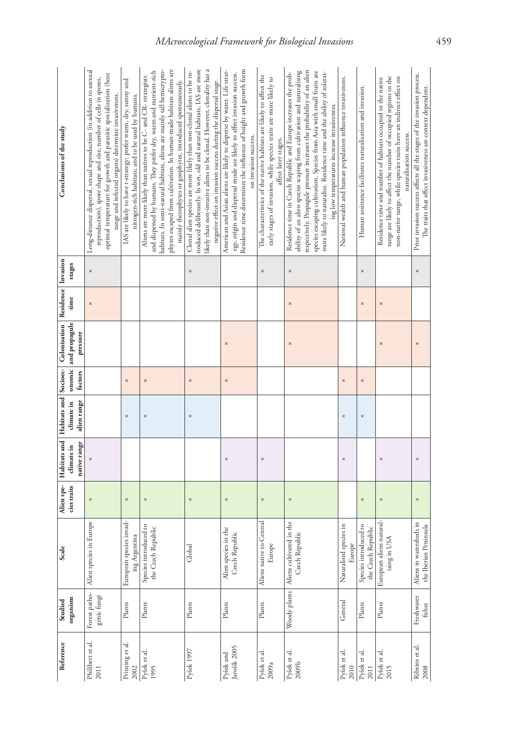| Reference                             | Studied                      | Scale                                            | Alien spe-  |                            |                           |          | Habitats and Habitats and Socioec- Colonisation | Residence Invasion |          | Conclusions of the study                                                                                                                                                                                                                                                                                                                                                                                            |
|---------------------------------------|------------------------------|--------------------------------------------------|-------------|----------------------------|---------------------------|----------|-------------------------------------------------|--------------------|----------|---------------------------------------------------------------------------------------------------------------------------------------------------------------------------------------------------------------------------------------------------------------------------------------------------------------------------------------------------------------------------------------------------------------------|
|                                       | organism                     |                                                  | cies traits | native range<br>climate in | alien range<br>climate in | factors  | onomic and propagule<br>pressure                | time               | stages   |                                                                                                                                                                                                                                                                                                                                                                                                                     |
| Philibert et al.                      | Forest patho-<br>genic fungi | in Europe<br>Alien species                       | $\times$    |                            |                           |          |                                                 | $\times$           | $\times$ | Long-distance dispersal, sexual reproduction (in addition to asexual<br>optimal temperature for growth and parasitic specialization (host<br>reproduction), spore shape and size, number of cells in spores,<br>range and infected organs) determine invasiveness.                                                                                                                                                  |
| Prinzing et al.                       | Plants                       | European species invad-<br>ing Argentina         | $\times$    |                            | $\times$                  | $\times$ |                                                 |                    |          | IAS are likely to have r-strategy; prefer warm, dry, sunny and<br>nitrogen-rich habitats; and to be used by humans.                                                                                                                                                                                                                                                                                                 |
| Pyšek et al.<br>1995                  | Plants                       | Species introduced to<br>the Czech Republic      | $\times$    |                            | $\times$                  | $\times$ |                                                 |                    |          | phytes escaped from cultivation. In human-made habitats aliens are<br>habitats. In semi-natural habitats, aliens are mainly tall hemicrypto-<br>and dispersed by humans. They prefer dry, warm and nutrient-rich<br>Aliens are more likely than natives to be C- and CR- strategists<br>mainly therophytes or geophytes, introduced spontaneously.                                                                  |
| Pyšek 1997                            | Plants                       | Global                                           | $\times$    |                            | $\times$                  | $\times$ |                                                 |                    | $\times$ | likely than non-invasive aliens to be clonal. However, clonality has a<br>troduced deliberately. In wet, old and natural habitats, IAS are more<br>Clonal alien species are more likely than non-clonal aliens to be in-<br>negative effect on invasion success during the dispersal stage.                                                                                                                         |
| Jarošík 2005<br>$\mathbf{P}$ yšek and | Plants                       | Alien species in the<br>Czech Republic           | $\times$    | $\times$                   |                           | $\times$ | $\times$                                        |                    |          | Residence time determines the influence of height and growth form<br>American and Asian aliens are likely to disperse by water. Life strat-<br>egy, origin and dispersal mode are likely to affect invasion success.<br>on invasion success.                                                                                                                                                                        |
| Pyšek et al.<br>2009a                 | Plants                       | to Central<br>Europe<br>Aliens native            | $\times$    | $\times$                   |                           |          |                                                 |                    | $\times$ | The characteristics of the native habitats are likely to affect the<br>early stages of invasion, while species traits are more likely to<br>affect later stages.                                                                                                                                                                                                                                                    |
| Pyšek et al.<br>2009b                 | Woody plants                 | Aliens cultivated in the<br>Czech Republic       | $\times$    |                            |                           |          | $\times$                                        | $\times$           | $\times$ | respectively. Propagule pressure increases the probability of an alien<br>ability of an alien species scaping from cultivation and naturalising<br>species escaping cultivation. Species from Asia with small fruits are<br>more likely to naturalise. Residence time and the ability of tolerat-<br>Residence time in Czech Republic and Europe increases the prob-<br>ing low temperatures increase invasiveness. |
| Pyšek et al.                          | General                      | Naturalised species in<br>Europe                 |             | $\times$                   | $\times$                  | $\times$ |                                                 |                    |          | National wealth and human population influence invasiveness.                                                                                                                                                                                                                                                                                                                                                        |
| Pyšek et al.                          | $\rm{Plants}$                | Species introduced to<br>the Czech Republic      | ×           |                            | $\times$                  | ×        |                                                 | ×                  | $\times$ | Human assistance facilitates naturalisation and invasion.                                                                                                                                                                                                                                                                                                                                                           |
| Pyšek et al.<br>2015                  | Plants                       | European aliens natural-<br>USA<br>ising in      | $\times$    | $\times$                   |                           |          | $\times$                                        | $\times$           |          | range are likely to affect the number of occupied regions in the<br>non-native range, while species traits have an indirect effect on<br>Residence time and number of habitats occupied in the native<br>naturalisation success.                                                                                                                                                                                    |
| Ribeiro et al.                        | Freshwater<br>fishes         | Aliens in watersheds in<br>the Iberian Peninsula | $\times$    | $\times$                   |                           |          | $\times$                                        |                    | $\times$ | Prior invasion success affects all the stages of the invasion process.<br>The traits that affect invasiveness are context dependent.                                                                                                                                                                                                                                                                                |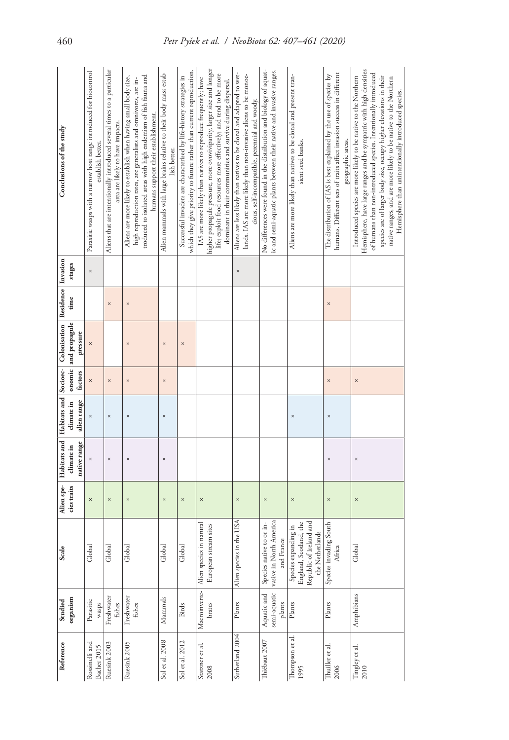| Conclusions of the study                                                                                         | Parasitic wasps with a narrow host range introduced for biocontrol<br>establish better. | Aliens that are intentionally introduced several times to a particular<br>area are likely to have impacts. | troduced to isolated areas with high endemism of fish fauna and<br>Aliens are more likely to establish when having small body size,<br>high reproduction rates, are generalists and omnivores, are in-<br>humans support their establishment. | Alien mammals with large brains relative to their body mass estab-<br>lish better. | which they give priority to future rather than current reproduction.<br>Successful invaders are characterised by life-history strategies in | higher propagule pressure, more ovoviviparity, larger size and longer<br>life; exploit food resources more effectively; and tend to be more<br>IAS are more likely than natives to reproduce frequently; have<br>dominant in their communities and survive during dispersal. | Aliens are less likely than natives to be clonal and adapted to wet-<br>lands. IAS are more likely than non-invasive aliens to be monoe-<br>cious, self-incompatible, perennial and woody. | No differences were found in the distribution and biology of aquat-<br>ic and semi-aquatic plants between their native and invasive ranges. | Aliens are more likely than natives to be clonal and present tran-<br>sient seed banks.      | humans. Different sets of traits affect invasion success in different<br>The distribution of IAS is best explained by the use of species by<br>geographic areas. | Hemisphere, have large ranges and be sympatric with high densities<br>of humans than non-introduced species. Intentionally introduced<br>Introduced species are more likely to be native to the Northern<br>species are of larger body size, occupy higher elevations in their<br>native ranges, and are more likely to be native to the Northern<br>Hemisphere than unintentionally introduced species. |
|------------------------------------------------------------------------------------------------------------------|-----------------------------------------------------------------------------------------|------------------------------------------------------------------------------------------------------------|-----------------------------------------------------------------------------------------------------------------------------------------------------------------------------------------------------------------------------------------------|------------------------------------------------------------------------------------|---------------------------------------------------------------------------------------------------------------------------------------------|------------------------------------------------------------------------------------------------------------------------------------------------------------------------------------------------------------------------------------------------------------------------------|--------------------------------------------------------------------------------------------------------------------------------------------------------------------------------------------|---------------------------------------------------------------------------------------------------------------------------------------------|----------------------------------------------------------------------------------------------|------------------------------------------------------------------------------------------------------------------------------------------------------------------|----------------------------------------------------------------------------------------------------------------------------------------------------------------------------------------------------------------------------------------------------------------------------------------------------------------------------------------------------------------------------------------------------------|
| stages                                                                                                           | $\times$                                                                                |                                                                                                            |                                                                                                                                                                                                                                               |                                                                                    |                                                                                                                                             |                                                                                                                                                                                                                                                                              | $\times$                                                                                                                                                                                   |                                                                                                                                             |                                                                                              |                                                                                                                                                                  |                                                                                                                                                                                                                                                                                                                                                                                                          |
| time                                                                                                             |                                                                                         | $\times$                                                                                                   | $\times$                                                                                                                                                                                                                                      |                                                                                    |                                                                                                                                             |                                                                                                                                                                                                                                                                              |                                                                                                                                                                                            |                                                                                                                                             |                                                                                              | $\times$                                                                                                                                                         |                                                                                                                                                                                                                                                                                                                                                                                                          |
| Habitats and   Habitats and   Socioec-   Colonisation   Residence   Invasion<br>onomic and propagule<br>pressure | $\times$                                                                                |                                                                                                            | $\times$                                                                                                                                                                                                                                      | ×                                                                                  | $\times$                                                                                                                                    |                                                                                                                                                                                                                                                                              |                                                                                                                                                                                            |                                                                                                                                             |                                                                                              |                                                                                                                                                                  |                                                                                                                                                                                                                                                                                                                                                                                                          |
| factors                                                                                                          | $\times$                                                                                | $\times$                                                                                                   | $\times$                                                                                                                                                                                                                                      | $\times$                                                                           |                                                                                                                                             |                                                                                                                                                                                                                                                                              |                                                                                                                                                                                            |                                                                                                                                             |                                                                                              | $\times$                                                                                                                                                         | $\times$                                                                                                                                                                                                                                                                                                                                                                                                 |
| climate in<br>alien range                                                                                        | $\times$                                                                                | $\times$                                                                                                   | $\times$                                                                                                                                                                                                                                      | $\times$                                                                           |                                                                                                                                             |                                                                                                                                                                                                                                                                              |                                                                                                                                                                                            |                                                                                                                                             | $\times$                                                                                     | $\times$                                                                                                                                                         |                                                                                                                                                                                                                                                                                                                                                                                                          |
| native range<br>climate in                                                                                       | $\times$                                                                                | $\times$                                                                                                   | $\times$                                                                                                                                                                                                                                      | ×                                                                                  |                                                                                                                                             |                                                                                                                                                                                                                                                                              |                                                                                                                                                                                            |                                                                                                                                             |                                                                                              | $\times$                                                                                                                                                         | $\times$                                                                                                                                                                                                                                                                                                                                                                                                 |
| Alien spe-<br>cies traits                                                                                        | $\times$                                                                                | $\times$                                                                                                   | $\times$                                                                                                                                                                                                                                      | ×                                                                                  | $\times$                                                                                                                                    | $\times$                                                                                                                                                                                                                                                                     | $\times$                                                                                                                                                                                   | ×                                                                                                                                           | $\times$                                                                                     | $\times$                                                                                                                                                         | $\times$                                                                                                                                                                                                                                                                                                                                                                                                 |
| Scale                                                                                                            | Global                                                                                  | Global                                                                                                     | Global                                                                                                                                                                                                                                        | Global                                                                             | Global                                                                                                                                      | Alien species in natural<br>stream sites<br>European                                                                                                                                                                                                                         | Alien species in the USA                                                                                                                                                                   | vasive in North America<br>Species native to or in-<br>France<br>and                                                                        | Republic of Ireland and<br>England, Scotland, the<br>Species expanding in<br>the Netherlands | Species invading South<br>Africa                                                                                                                                 | Global                                                                                                                                                                                                                                                                                                                                                                                                   |
| organism<br>Studied                                                                                              | Parasitic<br>wasps                                                                      | Freshwater<br>fishes                                                                                       | Freshwater<br>fishes                                                                                                                                                                                                                          | Mammals                                                                            | Birds                                                                                                                                       | Macroinverte-<br>brates                                                                                                                                                                                                                                                      | Plants                                                                                                                                                                                     | semi-aquatic<br>Aquatic and<br>plants                                                                                                       | Plants                                                                                       | Plants                                                                                                                                                           | Amphibians                                                                                                                                                                                                                                                                                                                                                                                               |
| Reference                                                                                                        | Rossinelli and<br><b>Bacher 2015</b>                                                    | Ruesink 2003                                                                                               | Ruesink 2005                                                                                                                                                                                                                                  | Sol et al. 2008                                                                    | Sol et al. 2012                                                                                                                             | Statzner et al.<br>2008                                                                                                                                                                                                                                                      | Sutherland 2004                                                                                                                                                                            | Thiébaut 2007                                                                                                                               | Thompson et al.<br>1995                                                                      | Thuiller et al.<br>2006                                                                                                                                          | Tingley et al.<br>2010                                                                                                                                                                                                                                                                                                                                                                                   |